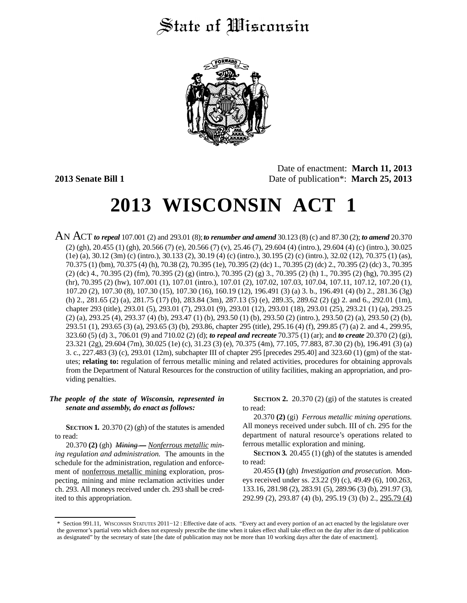# State of Wisconsin



Date of enactment: **March 11, 2013 2013 Senate Bill 1** Date of publication\*: **March 25, 2013**

# **2013 WISCONSIN ACT 1**

AN ACT *to repeal* 107.001 (2) and 293.01 (8);*to renumber and amend* 30.123 (8) (c) and 87.30 (2); *to amend* 20.370 (2) (gh), 20.455 (1) (gh), 20.566 (7) (e), 20.566 (7) (v), 25.46 (7), 29.604 (4) (intro.), 29.604 (4) (c) (intro.), 30.025 (1e) (a), 30.12 (3m) (c) (intro.), 30.133 (2), 30.19 (4) (c) (intro.), 30.195 (2) (c) (intro.), 32.02 (12), 70.375 (1) (as), 70.375 (1) (bm), 70.375 (4) (h), 70.38 (2), 70.395 (1e), 70.395 (2) (dc) 1., 70.395 (2) (dc) 2., 70.395 (2) (dc) 3., 70.395 (2) (dc) 4., 70.395 (2) (fm), 70.395 (2) (g) (intro.), 70.395 (2) (g) 3., 70.395 (2) (h) 1., 70.395 (2) (hg), 70.395 (2) (hr), 70.395 (2) (hw), 107.001 (1), 107.01 (intro.), 107.01 (2), 107.02, 107.03, 107.04, 107.11, 107.12, 107.20 (1), 107.20 (2), 107.30 (8), 107.30 (15), 107.30 (16), 160.19 (12), 196.491 (3) (a) 3. b., 196.491 (4) (b) 2., 281.36 (3g) (h) 2., 281.65 (2) (a), 281.75 (17) (b), 283.84 (3m), 287.13 (5) (e), 289.35, 289.62 (2) (g) 2. and 6., 292.01 (1m), chapter 293 (title), 293.01 (5), 293.01 (7), 293.01 (9), 293.01 (12), 293.01 (18), 293.01 (25), 293.21 (1) (a), 293.25 (2) (a), 293.25 (4), 293.37 (4) (b), 293.47 (1) (b), 293.50 (1) (b), 293.50 (2) (intro.), 293.50 (2) (a), 293.50 (2) (b), 293.51 (1), 293.65 (3) (a), 293.65 (3) (b), 293.86, chapter 295 (title), 295.16 (4) (f), 299.85 (7) (a) 2. and 4., 299.95, 323.60 (5) (d) 3., 706.01 (9) and 710.02 (2) (d); *to repeal and recreate* 70.375 (1) (ar); and *to create* 20.370 (2) (gi), 23.321 (2g), 29.604 (7m), 30.025 (1e) (c), 31.23 (3) (e), 70.375 (4m), 77.105, 77.883, 87.30 (2) (b), 196.491 (3) (a) 3. c., 227.483 (3) (c), 293.01 (12m), subchapter III of chapter 295 [precedes 295.40] and 323.60 (1) (gm) of the statutes; **relating to:** regulation of ferrous metallic mining and related activities, procedures for obtaining approvals from the Department of Natural Resources for the construction of utility facilities, making an appropriation, and providing penalties.

### *The people of the state of Wisconsin, represented in senate and assembly, do enact as follows:*

**SECTION 1.** 20.370 (2) (gh) of the statutes is amended to read:

20.370 **(2)** (gh) *Mining — Nonferrous metallic mining regulation and administration.* The amounts in the schedule for the administration, regulation and enforcement of nonferrous metallic mining exploration, prospecting, mining and mine reclamation activities under ch. 293. All moneys received under ch. 293 shall be credited to this appropriation.

**SECTION 2.** 20.370 (2) (gi) of the statutes is created to read:

20.370 **(2)** (gi) *Ferrous metallic mining operations.* All moneys received under subch. III of ch. 295 for the department of natural resource's operations related to ferrous metallic exploration and mining.

**SECTION 3.** 20.455 (1) (gh) of the statutes is amended to read:

20.455 **(1)** (gh) *Investigation and prosecution.* Moneys received under ss. 23.22 (9) (c), 49.49 (6), 100.263, 133.16, 281.98 (2), 283.91 (5), 289.96 (3) (b), 291.97 (3), 292.99 (2), 293.87 (4) (b), 295.19 (3) (b) 2., 295.79 (4)

<sup>\*</sup> Section 991.11, WISCONSIN STATUTES 2011−12 : Effective date of acts. "Every act and every portion of an act enacted by the legislature over the governor's partial veto which does not expressly prescribe the time when it takes effect shall take effect on the day after its date of publication as designated" by the secretary of state [the date of publication may not be more than 10 working days after the date of enactment].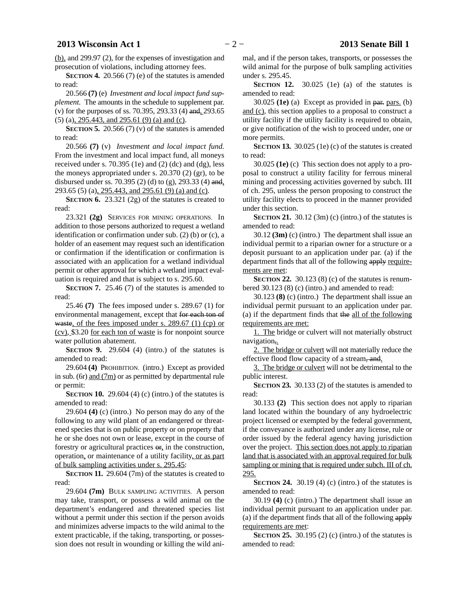(b), and 299.97 (2), for the expenses of investigation and prosecution of violations, including attorney fees.

**SECTION 4.** 20.566 (7) (e) of the statutes is amended to read:

20.566 **(7)** (e) *Investment and local impact fund supplement.* The amounts in the schedule to supplement par. (v) for the purposes of ss. 70.395, 293.33 (4) and, 293.65 (5) (a), 295.443, and 295.61 (9) (a) and (c).

**SECTION 5.** 20.566 (7) (v) of the statutes is amended to read:

20.566 **(7)** (v) *Investment and local impact fund.* From the investment and local impact fund, all moneys received under s.  $70.395$  (1e) and (2) (dc) and (dg), less the moneys appropriated under s. 20.370 (2) (gr), to be disbursed under ss. 70.395 (2) (d) to (g), 293.33 (4) and, 293.65 (5) (a), 295.443, and 295.61 (9) (a) and (c).

**SECTION 6.** 23.321 (2g) of the statutes is created to read:

23.321 **(2g)** SERVICES FOR MINING OPERATIONS. In addition to those persons authorized to request a wetland identification or confirmation under sub. (2) (b) or (c), a holder of an easement may request such an identification or confirmation if the identification or confirmation is associated with an application for a wetland individual permit or other approval for which a wetland impact evaluation is required and that is subject to s. 295.60.

**SECTION 7.** 25.46 (7) of the statutes is amended to read:

25.46 **(7)** The fees imposed under s. 289.67 (1) for environmental management, except that for each ton of waste, of the fees imposed under s. 289.67 (1) (cp) or (cv), \$3.20 for each ton of waste is for nonpoint source water pollution abatement.

**SECTION 9.** 29.604 (4) (intro.) of the statutes is amended to read:

29.604 **(4)** PROHIBITION. (intro.) Except as provided in sub. (6r) and (7m) or as permitted by departmental rule or permit:

**SECTION 10.** 29.604 (4) (c) (intro.) of the statutes is amended to read:

29.604 **(4)** (c) (intro.) No person may do any of the following to any wild plant of an endangered or threatened species that is on public property or on property that he or she does not own or lease, except in the course of forestry or agricultural practices or, in the construction, operation, or maintenance of a utility facility, or as part of bulk sampling activities under s. 295.45:

**SECTION 11.** 29.604 (7m) of the statutes is created to read:

29.604 **(7m)** BULK SAMPLING ACTIVITIES. A person may take, transport, or possess a wild animal on the department's endangered and threatened species list without a permit under this section if the person avoids and minimizes adverse impacts to the wild animal to the extent practicable, if the taking, transporting, or possession does not result in wounding or killing the wild animal, and if the person takes, transports, or possesses the wild animal for the purpose of bulk sampling activities under s. 295.45.

**SECTION 12.** 30.025 (1e) (a) of the statutes is amended to read:

30.025 **(1e)** (a) Except as provided in par. pars. (b) and (c), this section applies to a proposal to construct a utility facility if the utility facility is required to obtain, or give notification of the wish to proceed under, one or more permits.

**SECTION 13.** 30.025 (1e) (c) of the statutes is created to read:

30.025 **(1e)** (c) This section does not apply to a proposal to construct a utility facility for ferrous mineral mining and processing activities governed by subch. III of ch. 295, unless the person proposing to construct the utility facility elects to proceed in the manner provided under this section.

**SECTION** 21.  $30.12$  (3m) (c) (intro.) of the statutes is amended to read:

30.12 **(3m)** (c) (intro.) The department shall issue an individual permit to a riparian owner for a structure or a deposit pursuant to an application under par. (a) if the department finds that all of the following apply requirements are met:

**SECTION 22.** 30.123 (8) (c) of the statutes is renumbered 30.123 (8) (c) (intro.) and amended to read:

30.123 **(8)** (c) (intro.) The department shall issue an individual permit pursuant to an application under par. (a) if the department finds that the all of the following requirements are met:

1. The bridge or culvert will not materially obstruct navigation,.

2. The bridge or culvert will not materially reduce the effective flood flow capacity of a stream, and.

3. The bridge or culvert will not be detrimental to the public interest.

**SECTION 23.** 30.133 (2) of the statutes is amended to read:

30.133 **(2)** This section does not apply to riparian land located within the boundary of any hydroelectric project licensed or exempted by the federal government, if the conveyance is authorized under any license, rule or order issued by the federal agency having jurisdiction over the project. This section does not apply to riparian land that is associated with an approval required for bulk sampling or mining that is required under subch. III of ch. 295.

**SECTION 24.** 30.19 (4) (c) (intro.) of the statutes is amended to read:

30.19 **(4)** (c) (intro.) The department shall issue an individual permit pursuant to an application under par. (a) if the department finds that all of the following apply requirements are met:

**SECTION 25.** 30.195 (2) (c) (intro.) of the statutes is amended to read: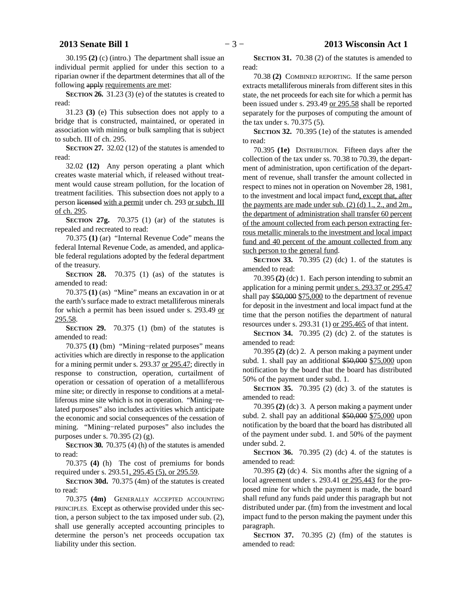30.195 **(2)** (c) (intro.) The department shall issue an individual permit applied for under this section to a riparian owner if the department determines that all of the following apply requirements are met:

**SECTION 26.** 31.23 (3) (e) of the statutes is created to read:

31.23 **(3)** (e) This subsection does not apply to a bridge that is constructed, maintained, or operated in association with mining or bulk sampling that is subject to subch. III of ch. 295.

**SECTION 27.** 32.02 (12) of the statutes is amended to read:

32.02 **(12)** Any person operating a plant which creates waste material which, if released without treatment would cause stream pollution, for the location of treatment facilities. This subsection does not apply to a person licensed with a permit under ch. 293 or subch. III of ch. 295.

**SECTION 27g.** 70.375 (1) (ar) of the statutes is repealed and recreated to read:

70.375 **(1)** (ar) "Internal Revenue Code" means the federal Internal Revenue Code, as amended, and applicable federal regulations adopted by the federal department of the treasury.

**SECTION 28.** 70.375 (1) (as) of the statutes is amended to read:

70.375 **(1)** (as) "Mine" means an excavation in or at the earth's surface made to extract metalliferous minerals for which a permit has been issued under s. 293.49 or 295.58.

**SECTION** 29. 70.375 (1) (bm) of the statutes is amended to read:

70.375 **(1)** (bm) "Mining−related purposes" means activities which are directly in response to the application for a mining permit under s. 293.37 or 295.47; directly in response to construction, operation, curtailment of operation or cessation of operation of a metalliferous mine site; or directly in response to conditions at a metalliferous mine site which is not in operation. "Mining−related purposes" also includes activities which anticipate the economic and social consequences of the cessation of mining. "Mining−related purposes" also includes the purposes under s. 70.395 (2) (g).

**SECTION** 30. 70.375 (4) (h) of the statutes is amended to read:

70.375 **(4)** (h) The cost of premiums for bonds required under s. 293.51, 295.45 (5), or 295.59.

**SECTION 30d.** 70.375 (4m) of the statutes is created to read:

70.375 **(4m)** GENERALLY ACCEPTED ACCOUNTING PRINCIPLES. Except as otherwise provided under this section, a person subject to the tax imposed under sub. (2), shall use generally accepted accounting principles to determine the person's net proceeds occupation tax liability under this section.

**SECTION 31.** 70.38 (2) of the statutes is amended to read:

70.38 **(2)** COMBINED REPORTING. If the same person extracts metalliferous minerals from different sites in this state, the net proceeds for each site for which a permit has been issued under s. 293.49 or 295.58 shall be reported separately for the purposes of computing the amount of the tax under s. 70.375 (5).

**SECTION 32.** 70.395 (1e) of the statutes is amended to read:

70.395 **(1e)** DISTRIBUTION. Fifteen days after the collection of the tax under ss. 70.38 to 70.39, the department of administration, upon certification of the department of revenue, shall transfer the amount collected in respect to mines not in operation on November 28, 1981, to the investment and local impact fund, except that, after the payments are made under sub.  $(2)$  (d) 1, 2, and 2m., the department of administration shall transfer 60 percent of the amount collected from each person extracting ferrous metallic minerals to the investment and local impact fund and 40 percent of the amount collected from any such person to the general fund.

**SECTION 33.** 70.395 (2) (dc) 1. of the statutes is amended to read:

70.395 **(2)** (dc) 1. Each person intending to submit an application for a mining permit under s. 293.37 or 295.47 shall pay \$50,000 \$75,000 to the department of revenue for deposit in the investment and local impact fund at the time that the person notifies the department of natural resources under s. 293.31 (1) or 295.465 of that intent.

**SECTION 34.** 70.395 (2) (dc) 2. of the statutes is amended to read:

70.395 **(2)** (dc) 2. A person making a payment under subd. 1. shall pay an additional \$50,000 \$75,000 upon notification by the board that the board has distributed 50% of the payment under subd. 1.

**SECTION 35.** 70.395 (2) (dc) 3. of the statutes is amended to read:

70.395 **(2)** (dc) 3. A person making a payment under subd. 2. shall pay an additional \$50,000 \$75,000 upon notification by the board that the board has distributed all of the payment under subd. 1. and 50% of the payment under subd. 2.

**SECTION 36.** 70.395 (2) (dc) 4. of the statutes is amended to read:

70.395 **(2)** (dc) 4. Six months after the signing of a local agreement under s. 293.41 or 295.443 for the proposed mine for which the payment is made, the board shall refund any funds paid under this paragraph but not distributed under par. (fm) from the investment and local impact fund to the person making the payment under this paragraph.

**SECTION 37.** 70.395 (2) (fm) of the statutes is amended to read: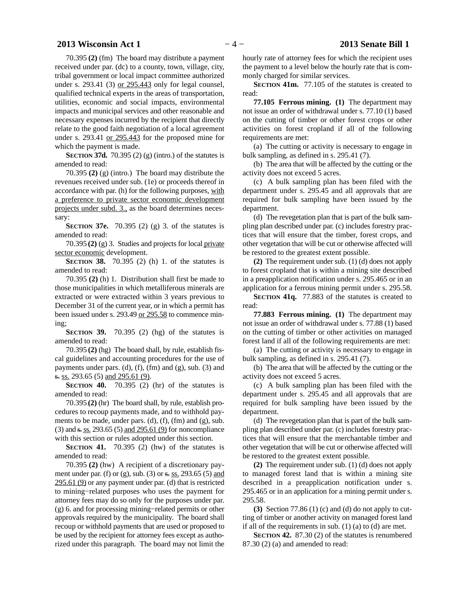### **2013 Wisconsin Act 1** − 4 − **2013 Senate Bill 1**

70.395 **(2)** (fm) The board may distribute a payment received under par. (dc) to a county, town, village, city, tribal government or local impact committee authorized under s. 293.41 (3) or 295.443 only for legal counsel, qualified technical experts in the areas of transportation, utilities, economic and social impacts, environmental impacts and municipal services and other reasonable and necessary expenses incurred by the recipient that directly relate to the good faith negotiation of a local agreement under s. 293.41 or 295.443 for the proposed mine for which the payment is made.

**SECTION** 37d. 70.395 (2) (g) (intro.) of the statutes is amended to read:

70.395 **(2)** (g) (intro.) The board may distribute the revenues received under sub. (1e) or proceeds thereof in accordance with par. (h) for the following purposes, with a preference to private sector economic development projects under subd. 3., as the board determines necessary:

**SECTION 37e.** 70.395 (2) (g) 3. of the statutes is amended to read:

70.395 **(2)** (g) 3. Studies and projects for local private sector economic development.

**SECTION 38.** 70.395 (2) (h) 1. of the statutes is amended to read:

70.395 **(2)** (h) 1. Distribution shall first be made to those municipalities in which metalliferous minerals are extracted or were extracted within 3 years previous to December 31 of the current year, or in which a permit has been issued under s. 293.49 or 295.58 to commence mining;

**SECTION 39.** 70.395 (2) (hg) of the statutes is amended to read:

70.395 **(2)** (hg) The board shall, by rule, establish fiscal guidelines and accounting procedures for the use of payments under pars. (d), (f), (fm) and  $(g)$ , sub. (3) and s. ss. 293.65 (5) and 295.61 (9).

**SECTION 40.** 70.395 (2) (hr) of the statutes is amended to read:

70.395 **(2)** (hr) The board shall, by rule, establish procedures to recoup payments made, and to withhold payments to be made, under pars. (d), (f), (fm) and (g), sub. (3) and  $s$ . ss. 293.65 (5) and 295.61 (9) for noncompliance with this section or rules adopted under this section.

**SECTION 41.** 70.395 (2) (hw) of the statutes is amended to read:

70.395 **(2)** (hw) A recipient of a discretionary payment under par. (f) or (g), sub. (3) or  $\frac{\text{s}}{s}$  as 293.65 (5) and 295.61 (9) or any payment under par. (d) that is restricted to mining−related purposes who uses the payment for attorney fees may do so only for the purposes under par. (g) 6. and for processing mining−related permits or other approvals required by the municipality. The board shall recoup or withhold payments that are used or proposed to be used by the recipient for attorney fees except as authorized under this paragraph. The board may not limit the hourly rate of attorney fees for which the recipient uses the payment to a level below the hourly rate that is commonly charged for similar services.

**SECTION 41m.** 77.105 of the statutes is created to read:

**77.105 Ferrous mining. (1)** The department may not issue an order of withdrawal under s. 77.10 (1) based on the cutting of timber or other forest crops or other activities on forest cropland if all of the following requirements are met:

(a) The cutting or activity is necessary to engage in bulk sampling, as defined in s. 295.41 (7).

(b) The area that will be affected by the cutting or the activity does not exceed 5 acres.

(c) A bulk sampling plan has been filed with the department under s. 295.45 and all approvals that are required for bulk sampling have been issued by the department.

(d) The revegetation plan that is part of the bulk sampling plan described under par. (c) includes forestry practices that will ensure that the timber, forest crops, and other vegetation that will be cut or otherwise affected will be restored to the greatest extent possible.

**(2)** The requirement under sub. (1) (d) does not apply to forest cropland that is within a mining site described in a preapplication notification under s. 295.465 or in an application for a ferrous mining permit under s. 295.58.

**SECTION 41q.** 77.883 of the statutes is created to read:

**77.883 Ferrous mining. (1)** The department may not issue an order of withdrawal under s. 77.88 (1) based on the cutting of timber or other activities on managed forest land if all of the following requirements are met:

(a) The cutting or activity is necessary to engage in bulk sampling, as defined in s. 295.41 (7).

(b) The area that will be affected by the cutting or the activity does not exceed 5 acres.

(c) A bulk sampling plan has been filed with the department under s. 295.45 and all approvals that are required for bulk sampling have been issued by the department.

(d) The revegetation plan that is part of the bulk sampling plan described under par. (c) includes forestry practices that will ensure that the merchantable timber and other vegetation that will be cut or otherwise affected will be restored to the greatest extent possible.

**(2)** The requirement under sub. (1) (d) does not apply to managed forest land that is within a mining site described in a preapplication notification under s. 295.465 or in an application for a mining permit under s. 295.58.

**(3)** Section 77.86 (1) (c) and (d) do not apply to cutting of timber or another activity on managed forest land if all of the requirements in sub.  $(1)$   $(a)$  to  $(d)$  are met.

**SECTION 42.** 87.30 (2) of the statutes is renumbered 87.30 (2) (a) and amended to read: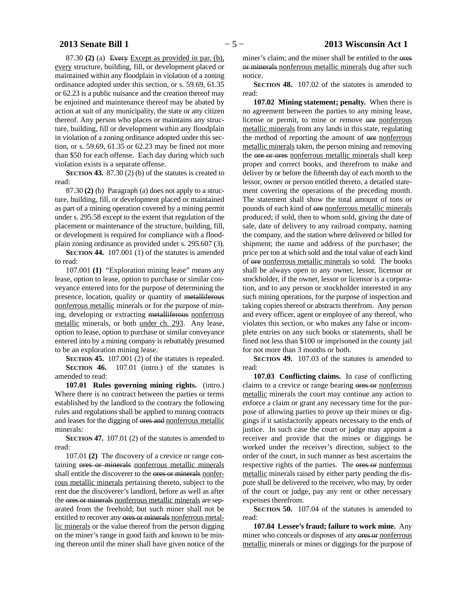87.30 **(2)** (a) Every Except as provided in par. (b), every structure, building, fill, or development placed or maintained within any floodplain in violation of a zoning ordinance adopted under this section, or s. 59.69, 61.35 or 62.23 is a public nuisance and the creation thereof may be enjoined and maintenance thereof may be abated by action at suit of any municipality, the state or any citizen thereof. Any person who places or maintains any structure, building, fill or development within any floodplain in violation of a zoning ordinance adopted under this section, or s. 59.69, 61.35 or 62.23 may be fined not more than \$50 for each offense. Each day during which such violation exists is a separate offense.

**SECTION 43.** 87.30 (2) (b) of the statutes is created to read:

87.30 **(2)** (b) Paragraph (a) does not apply to a structure, building, fill, or development placed or maintained as part of a mining operation covered by a mining permit under s. 295.58 except to the extent that regulation of the placement or maintenance of the structure, building, fill, or development is required for compliance with a floodplain zoning ordinance as provided under s. 295.607 (3).

**SECTION 44.** 107.001 (1) of the statutes is amended to read:

107.001 **(1)** "Exploration mining lease" means any lease, option to lease, option to purchase or similar conveyance entered into for the purpose of determining the presence, location, quality or quantity of metalliferous nonferrous metallic minerals or for the purpose of mining, developing or extracting metalliferous nonferrous metallic minerals, or both under ch. 293. Any lease, option to lease, option to purchase or similar conveyance entered into by a mining company is rebuttably presumed to be an exploration mining lease.

**SECTION 45.** 107.001 (2) of the statutes is repealed. **SECTION 46.** 107.01 (intro.) of the statutes is amended to read:

**107.01 Rules governing mining rights.** (intro.) Where there is no contract between the parties or terms established by the landlord to the contrary the following rules and regulations shall be applied to mining contracts and leases for the digging of ores and nonferrous metallic minerals:

**SECTION 47.** 107.01 (2) of the statutes is amended to read:

107.01 **(2)** The discovery of a crevice or range containing ores or minerals nonferrous metallic minerals shall entitle the discoverer to the ores or minerals nonferrous metallic minerals pertaining thereto, subject to the rent due the discoverer's landlord, before as well as after the ores or minerals nonferrous metallic minerals are separated from the freehold; but such miner shall not be entitled to recover any ores or minerals nonferrous metallic minerals or the value thereof from the person digging on the miner's range in good faith and known to be mining thereon until the miner shall have given notice of the

miner's claim; and the miner shall be entitled to the ores or minerals nonferrous metallic minerals dug after such notice.

**SECTION 48.** 107.02 of the statutes is amended to read:

**107.02 Mining statement; penalty.** When there is no agreement between the parties to any mining lease, license or permit, to mine or remove ore nonferrous metallic minerals from any lands in this state, regulating the method of reporting the amount of ore nonferrous metallic minerals taken, the person mining and removing the ore or ores nonferrous metallic minerals shall keep proper and correct books, and therefrom to make and deliver by or before the fifteenth day of each month to the lessor, owner or person entitled thereto, a detailed statement covering the operations of the preceding month. The statement shall show the total amount of tons or pounds of each kind of ore nonferrous metallic minerals produced; if sold, then to whom sold, giving the date of sale, date of delivery to any railroad company, naming the company, and the station where delivered or billed for shipment; the name and address of the purchaser; the price per ton at which sold and the total value of each kind of ore nonferrous metallic minerals so sold. The books shall be always open to any owner, lessor, licensor or stockholder, if the owner, lessor or licensor is a corporation, and to any person or stockholder interested in any such mining operations, for the purpose of inspection and taking copies thereof or abstracts therefrom. Any person and every officer, agent or employee of any thereof, who violates this section, or who makes any false or incomplete entries on any such books or statements, shall be fined not less than \$100 or imprisoned in the county jail for not more than 3 months or both.

**SECTION** 49. 107.03 of the statutes is amended to read:

**107.03 Conflicting claims.** In case of conflicting claims to a crevice or range bearing ores or nonferrous metallic minerals the court may continue any action to enforce a claim or grant any necessary time for the purpose of allowing parties to prove up their mines or diggings if it satisfactorily appears necessary to the ends of justice. In such case the court or judge may appoint a receiver and provide that the mines or diggings be worked under the receiver's direction, subject to the order of the court, in such manner as best ascertains the respective rights of the parties. The ores or nonferrous metallic minerals raised by either party pending the dispute shall be delivered to the receiver, who may, by order of the court or judge, pay any rent or other necessary expenses therefrom.

**SECTION 50.** 107.04 of the statutes is amended to read:

**107.04 Lessee's fraud; failure to work mine.** Any miner who conceals or disposes of any ores or nonferrous metallic minerals or mines or diggings for the purpose of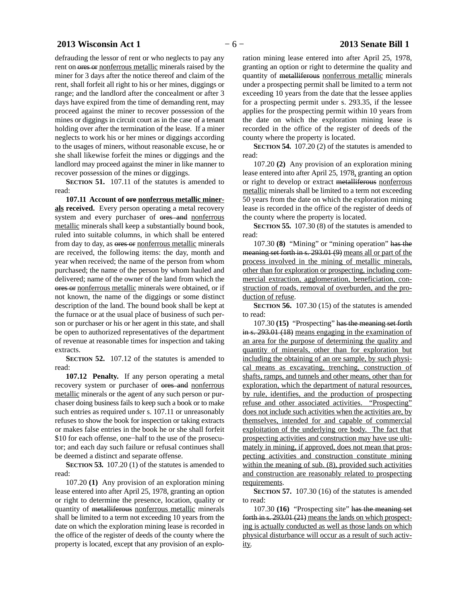# **2013 Wisconsin Act 1** − 6 − **2013 Senate Bill 1**

defrauding the lessor of rent or who neglects to pay any rent on ores or nonferrous metallic minerals raised by the miner for 3 days after the notice thereof and claim of the rent, shall forfeit all right to his or her mines, diggings or range; and the landlord after the concealment or after 3 days have expired from the time of demanding rent, may proceed against the miner to recover possession of the mines or diggings in circuit court as in the case of a tenant holding over after the termination of the lease. If a miner neglects to work his or her mines or diggings according to the usages of miners, without reasonable excuse, he or she shall likewise forfeit the mines or diggings and the landlord may proceed against the miner in like manner to recover possession of the mines or diggings.

**SECTION 51.** 107.11 of the statutes is amended to read:

**107.11 Account of ore nonferrous metallic miner**als received. Every person operating a metal recovery system and every purchaser of ores and nonferrous metallic minerals shall keep a substantially bound book, ruled into suitable columns, in which shall be entered from day to day, as ores or nonferrous metallic minerals are received, the following items: the day, month and year when received; the name of the person from whom purchased; the name of the person by whom hauled and delivered; name of the owner of the land from which the ores or nonferrous metallic minerals were obtained, or if not known, the name of the diggings or some distinct description of the land. The bound book shall be kept at the furnace or at the usual place of business of such person or purchaser or his or her agent in this state, and shall be open to authorized representatives of the department of revenue at reasonable times for inspection and taking extracts.

**SECTION** 52. 107.12 of the statutes is amended to read:

**107.12 Penalty.** If any person operating a metal recovery system or purchaser of ores and nonferrous metallic minerals or the agent of any such person or purchaser doing business fails to keep such a book or to make such entries as required under s. 107.11 or unreasonably refuses to show the book for inspection or taking extracts or makes false entries in the book he or she shall forfeit \$10 for each offense, one−half to the use of the prosecutor; and each day such failure or refusal continues shall be deemed a distinct and separate offense.

**SECTION 53.** 107.20 (1) of the statutes is amended to read:

107.20 **(1)** Any provision of an exploration mining lease entered into after April 25, 1978, granting an option or right to determine the presence, location, quality or quantity of metalliferous nonferrous metallic minerals shall be limited to a term not exceeding 10 years from the date on which the exploration mining lease is recorded in the office of the register of deeds of the county where the property is located, except that any provision of an exploration mining lease entered into after April 25, 1978, granting an option or right to determine the quality and quantity of metalliferous nonferrous metallic minerals under a prospecting permit shall be limited to a term not exceeding 10 years from the date that the lessee applies for a prospecting permit under s. 293.35, if the lessee applies for the prospecting permit within 10 years from the date on which the exploration mining lease is recorded in the office of the register of deeds of the county where the property is located.

**SECTION 54.** 107.20 (2) of the statutes is amended to read:

107.20 **(2)** Any provision of an exploration mining lease entered into after April 25, 1978, granting an option or right to develop or extract metalliferous nonferrous metallic minerals shall be limited to a term not exceeding 50 years from the date on which the exploration mining lease is recorded in the office of the register of deeds of the county where the property is located.

**SECTION 55.** 107.30 (8) of the statutes is amended to read:

107.30 **(8)** "Mining" or "mining operation" has the meaning set forth in s. 293.01 (9) means all or part of the process involved in the mining of metallic minerals, other than for exploration or prospecting, including commercial extraction, agglomeration, beneficiation, construction of roads, removal of overburden, and the production of refuse.

**SECTION 56.** 107.30 (15) of the statutes is amended to read:

107.30 **(15)** "Prospecting" has the meaning set forth in s. 293.01 (18) means engaging in the examination of an area for the purpose of determining the quality and quantity of minerals, other than for exploration but including the obtaining of an ore sample, by such physical means as excavating, trenching, construction of shafts, ramps, and tunnels and other means, other than for exploration, which the department of natural resources, by rule, identifies, and the production of prospecting refuse and other associated activities. "Prospecting" does not include such activities when the activities are, by themselves, intended for and capable of commercial exploitation of the underlying ore body. The fact that prospecting activities and construction may have use ultimately in mining, if approved, does not mean that prospecting activities and construction constitute mining within the meaning of sub. (8), provided such activities and construction are reasonably related to prospecting requirements.

**SECTION 57.** 107.30 (16) of the statutes is amended to read:

107.30 **(16)** "Prospecting site" has the meaning set forth in s. 293.01 (21) means the lands on which prospecting is actually conducted as well as those lands on which physical disturbance will occur as a result of such activity.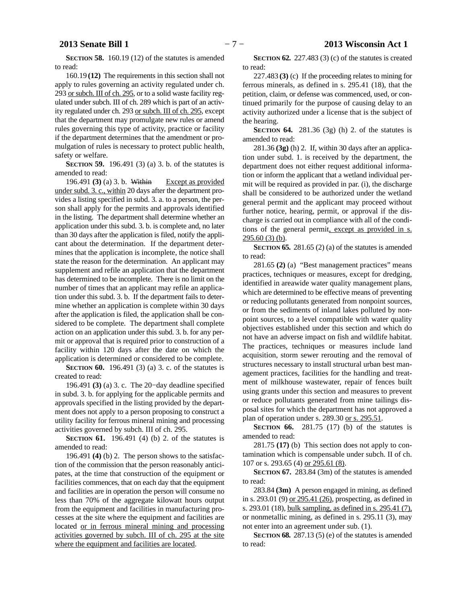**SECTION 58.** 160.19 (12) of the statutes is amended to read:

160.19 **(12)** The requirements in this section shall not apply to rules governing an activity regulated under ch. 293 or subch. III of ch. 295, or to a solid waste facility regulated under subch. III of ch. 289 which is part of an activity regulated under ch. 293 or subch. III of ch. 295, except that the department may promulgate new rules or amend rules governing this type of activity, practice or facility if the department determines that the amendment or promulgation of rules is necessary to protect public health, safety or welfare.

**SECTION** 59. 196.491 (3) (a) 3. b. of the statutes is amended to read:

196.491 **(3)** (a) 3. b. Within Except as provided under subd. 3. c., within 20 days after the department provides a listing specified in subd. 3. a. to a person, the person shall apply for the permits and approvals identified in the listing. The department shall determine whether an application under this subd. 3. b. is complete and, no later than 30 days after the application is filed, notify the applicant about the determination. If the department determines that the application is incomplete, the notice shall state the reason for the determination. An applicant may supplement and refile an application that the department has determined to be incomplete. There is no limit on the number of times that an applicant may refile an application under this subd. 3. b. If the department fails to determine whether an application is complete within 30 days after the application is filed, the application shall be considered to be complete. The department shall complete action on an application under this subd. 3. b. for any permit or approval that is required prior to construction of a facility within 120 days after the date on which the application is determined or considered to be complete.

**SECTION 60.** 196.491 (3) (a) 3. c. of the statutes is created to read:

196.491 **(3)** (a) 3. c. The 20−day deadline specified in subd. 3. b. for applying for the applicable permits and approvals specified in the listing provided by the department does not apply to a person proposing to construct a utility facility for ferrous mineral mining and processing activities governed by subch. III of ch. 295.

**SECTION 61.** 196.491 (4) (b) 2. of the statutes is amended to read:

196.491 **(4)** (b) 2. The person shows to the satisfaction of the commission that the person reasonably anticipates, at the time that construction of the equipment or facilities commences, that on each day that the equipment and facilities are in operation the person will consume no less than 70% of the aggregate kilowatt hours output from the equipment and facilities in manufacturing processes at the site where the equipment and facilities are located or in ferrous mineral mining and processing activities governed by subch. III of ch. 295 at the site where the equipment and facilities are located.

**SECTION 62.** 227.483 (3) (c) of the statutes is created to read:

227.483 **(3)** (c) If the proceeding relates to mining for ferrous minerals, as defined in s. 295.41 (18), that the petition, claim, or defense was commenced, used, or continued primarily for the purpose of causing delay to an activity authorized under a license that is the subject of the hearing.

**SECTION 64.** 281.36 (3g) (h) 2. of the statutes is amended to read:

281.36 **(3g)** (h) 2. If, within 30 days after an application under subd. 1. is received by the department, the department does not either request additional information or inform the applicant that a wetland individual permit will be required as provided in par. (i), the discharge shall be considered to be authorized under the wetland general permit and the applicant may proceed without further notice, hearing, permit, or approval if the discharge is carried out in compliance with all of the conditions of the general permit, except as provided in s.  $295.60(3)$  (b).

**SECTION 65.** 281.65 (2) (a) of the statutes is amended to read:

281.65 **(2)** (a) "Best management practices" means practices, techniques or measures, except for dredging, identified in areawide water quality management plans, which are determined to be effective means of preventing or reducing pollutants generated from nonpoint sources, or from the sediments of inland lakes polluted by nonpoint sources, to a level compatible with water quality objectives established under this section and which do not have an adverse impact on fish and wildlife habitat. The practices, techniques or measures include land acquisition, storm sewer rerouting and the removal of structures necessary to install structural urban best management practices, facilities for the handling and treatment of milkhouse wastewater, repair of fences built using grants under this section and measures to prevent or reduce pollutants generated from mine tailings disposal sites for which the department has not approved a plan of operation under s. 289.30 or s. 295.51.

**SECTION 66.** 281.75 (17) (b) of the statutes is amended to read:

281.75 **(17)** (b) This section does not apply to contamination which is compensable under subch. II of ch. 107 or s. 293.65 (4) or 295.61 (8).

**SECTION 67.** 283.84 (3m) of the statutes is amended to read:

283.84 **(3m)** A person engaged in mining, as defined in s. 293.01 (9) or 295.41 (26), prospecting, as defined in s. 293.01 (18), bulk sampling, as defined in s. 295.41 (7), or nonmetallic mining, as defined in s. 295.11 (3), may not enter into an agreement under sub. (1).

**SECTION 68.** 287.13 (5) (e) of the statutes is amended to read: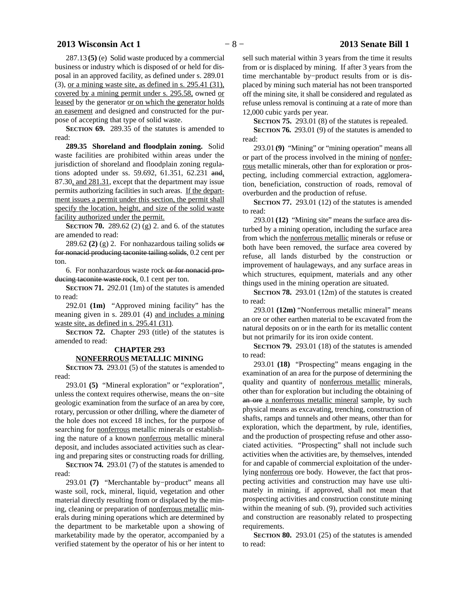# **2013 Wisconsin Act 1** − 8 − **2013 Senate Bill 1**

287.13 **(5)** (e) Solid waste produced by a commercial business or industry which is disposed of or held for disposal in an approved facility, as defined under s. 289.01 (3), or a mining waste site, as defined in s. 295.41 (31), covered by a mining permit under s. 295.58, owned or leased by the generator or on which the generator holds an easement and designed and constructed for the purpose of accepting that type of solid waste.

**SECTION 69.** 289.35 of the statutes is amended to read:

**289.35 Shoreland and floodplain zoning.** Solid waste facilities are prohibited within areas under the jurisdiction of shoreland and floodplain zoning regulations adopted under ss. 59.692, 61.351, 62.231 and, 87.30, and 281.31, except that the department may issue permits authorizing facilities in such areas. If the department issues a permit under this section, the permit shall specify the location, height, and size of the solid waste facility authorized under the permit.

**SECTION 70.** 289.62 (2) (g) 2. and 6. of the statutes are amended to read:

289.62 **(2)** (g) 2. For nonhazardous tailing solids or for nonacid producing taconite tailing solids, 0.2 cent per ton.

6. For nonhazardous waste rock or for nonacid producing taconite waste rock, 0.1 cent per ton.

**SECTION 71.** 292.01 (1m) of the statutes is amended to read:

292.01 **(1m)** "Approved mining facility" has the meaning given in s. 289.01 (4) and includes a mining waste site, as defined in s. 295.41 (31).

**SECTION 72.** Chapter 293 (title) of the statutes is amended to read:

# **CHAPTER 293 NONFERROUS METALLIC MINING**

**SECTION 73.** 293.01 (5) of the statutes is amended to read:

293.01 **(5)** "Mineral exploration" or "exploration", unless the context requires otherwise, means the on−site geologic examination from the surface of an area by core, rotary, percussion or other drilling, where the diameter of the hole does not exceed 18 inches, for the purpose of searching for nonferrous metallic minerals or establishing the nature of a known nonferrous metallic mineral deposit, and includes associated activities such as clearing and preparing sites or constructing roads for drilling.

**SECTION 74.** 293.01 (7) of the statutes is amended to read:

293.01 **(7)** "Merchantable by−product" means all waste soil, rock, mineral, liquid, vegetation and other material directly resulting from or displaced by the mining, cleaning or preparation of nonferrous metallic minerals during mining operations which are determined by the department to be marketable upon a showing of marketability made by the operator, accompanied by a verified statement by the operator of his or her intent to

sell such material within 3 years from the time it results from or is displaced by mining. If after 3 years from the time merchantable by−product results from or is displaced by mining such material has not been transported off the mining site, it shall be considered and regulated as refuse unless removal is continuing at a rate of more than 12,000 cubic yards per year.

**SECTION 75.** 293.01 (8) of the statutes is repealed.

**SECTION 76.** 293.01 (9) of the statutes is amended to read:

293.01 **(9)** "Mining" or "mining operation" means all or part of the process involved in the mining of nonferrous metallic minerals, other than for exploration or prospecting, including commercial extraction, agglomeration, beneficiation, construction of roads, removal of overburden and the production of refuse.

**SECTION 77.** 293.01 (12) of the statutes is amended to read:

293.01 **(12)** "Mining site" means the surface area disturbed by a mining operation, including the surface area from which the nonferrous metallic minerals or refuse or both have been removed, the surface area covered by refuse, all lands disturbed by the construction or improvement of haulageways, and any surface areas in which structures, equipment, materials and any other things used in the mining operation are situated.

**SECTION 78.** 293.01 (12m) of the statutes is created to read:

293.01 **(12m)** "Nonferrous metallic mineral" means an ore or other earthen material to be excavated from the natural deposits on or in the earth for its metallic content but not primarily for its iron oxide content.

**SECTION 79.** 293.01 (18) of the statutes is amended to read:

293.01 **(18)** "Prospecting" means engaging in the examination of an area for the purpose of determining the quality and quantity of nonferrous metallic minerals, other than for exploration but including the obtaining of an ore a nonferrous metallic mineral sample, by such physical means as excavating, trenching, construction of shafts, ramps and tunnels and other means, other than for exploration, which the department, by rule, identifies, and the production of prospecting refuse and other associated activities. "Prospecting" shall not include such activities when the activities are, by themselves, intended for and capable of commercial exploitation of the underlying nonferrous ore body. However, the fact that prospecting activities and construction may have use ultimately in mining, if approved, shall not mean that prospecting activities and construction constitute mining within the meaning of sub. (9), provided such activities and construction are reasonably related to prospecting requirements.

**SECTION 80.** 293.01 (25) of the statutes is amended to read: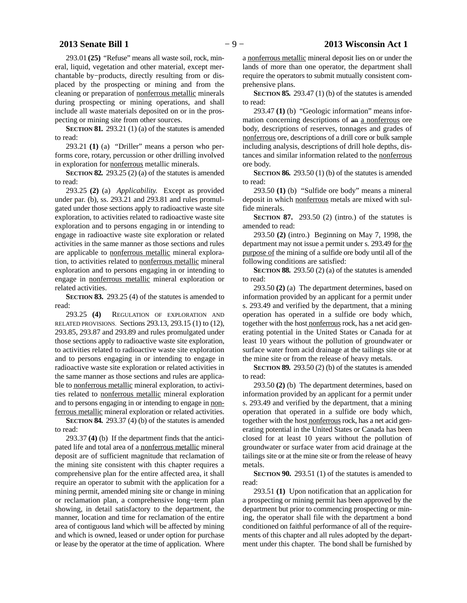293.01 **(25)** "Refuse" means all waste soil, rock, mineral, liquid, vegetation and other material, except merchantable by−products, directly resulting from or displaced by the prospecting or mining and from the cleaning or preparation of nonferrous metallic minerals during prospecting or mining operations, and shall include all waste materials deposited on or in the prospecting or mining site from other sources.

**SECTION 81.** 293.21 (1) (a) of the statutes is amended to read:

293.21 **(1)** (a) "Driller" means a person who performs core, rotary, percussion or other drilling involved in exploration for nonferrous metallic minerals.

**SECTION 82.** 293.25 (2) (a) of the statutes is amended to read:

293.25 **(2)** (a) *Applicability.* Except as provided under par. (b), ss. 293.21 and 293.81 and rules promulgated under those sections apply to radioactive waste site exploration, to activities related to radioactive waste site exploration and to persons engaging in or intending to engage in radioactive waste site exploration or related activities in the same manner as those sections and rules are applicable to nonferrous metallic mineral exploration, to activities related to nonferrous metallic mineral exploration and to persons engaging in or intending to engage in nonferrous metallic mineral exploration or related activities.

**SECTION 83.** 293.25 (4) of the statutes is amended to read:

293.25 **(4)** REGULATION OF EXPLORATION AND RELATED PROVISIONS. Sections 293.13, 293.15 (1) to (12), 293.85, 293.87 and 293.89 and rules promulgated under those sections apply to radioactive waste site exploration, to activities related to radioactive waste site exploration and to persons engaging in or intending to engage in radioactive waste site exploration or related activities in the same manner as those sections and rules are applicable to nonferrous metallic mineral exploration, to activities related to nonferrous metallic mineral exploration and to persons engaging in or intending to engage in nonferrous metallic mineral exploration or related activities.

**SECTION 84.** 293.37 (4) (b) of the statutes is amended to read:

293.37 **(4)** (b) If the department finds that the anticipated life and total area of a nonferrous metallic mineral deposit are of sufficient magnitude that reclamation of the mining site consistent with this chapter requires a comprehensive plan for the entire affected area, it shall require an operator to submit with the application for a mining permit, amended mining site or change in mining or reclamation plan, a comprehensive long−term plan showing, in detail satisfactory to the department, the manner, location and time for reclamation of the entire area of contiguous land which will be affected by mining and which is owned, leased or under option for purchase or lease by the operator at the time of application. Where

a nonferrous metallic mineral deposit lies on or under the lands of more than one operator, the department shall require the operators to submit mutually consistent comprehensive plans.

**SECTION 85.** 293.47 (1) (b) of the statutes is amended to read:

293.47 **(1)** (b) "Geologic information" means information concerning descriptions of an a nonferrous ore body, descriptions of reserves, tonnages and grades of nonferrous ore, descriptions of a drill core or bulk sample including analysis, descriptions of drill hole depths, distances and similar information related to the nonferrous ore body.

**SECTION 86.** 293.50 (1) (b) of the statutes is amended to read:

293.50 **(1)** (b) "Sulfide ore body" means a mineral deposit in which nonferrous metals are mixed with sulfide minerals.

**SECTION 87.** 293.50 (2) (intro.) of the statutes is amended to read:

293.50 **(2)** (intro.) Beginning on May 7, 1998, the department may not issue a permit under s. 293.49 for the purpose of the mining of a sulfide ore body until all of the following conditions are satisfied:

**SECTION 88.** 293.50 (2) (a) of the statutes is amended to read:

293.50 **(2)** (a) The department determines, based on information provided by an applicant for a permit under s. 293.49 and verified by the department, that a mining operation has operated in a sulfide ore body which, together with the host nonferrous rock, has a net acid generating potential in the United States or Canada for at least 10 years without the pollution of groundwater or surface water from acid drainage at the tailings site or at the mine site or from the release of heavy metals.

**SECTION 89.** 293.50 (2) (b) of the statutes is amended to read:

293.50 **(2)** (b) The department determines, based on information provided by an applicant for a permit under s. 293.49 and verified by the department, that a mining operation that operated in a sulfide ore body which, together with the host nonferrous rock, has a net acid generating potential in the United States or Canada has been closed for at least 10 years without the pollution of groundwater or surface water from acid drainage at the tailings site or at the mine site or from the release of heavy metals.

**SECTION 90.** 293.51 (1) of the statutes is amended to read:

293.51 **(1)** Upon notification that an application for a prospecting or mining permit has been approved by the department but prior to commencing prospecting or mining, the operator shall file with the department a bond conditioned on faithful performance of all of the requirements of this chapter and all rules adopted by the department under this chapter. The bond shall be furnished by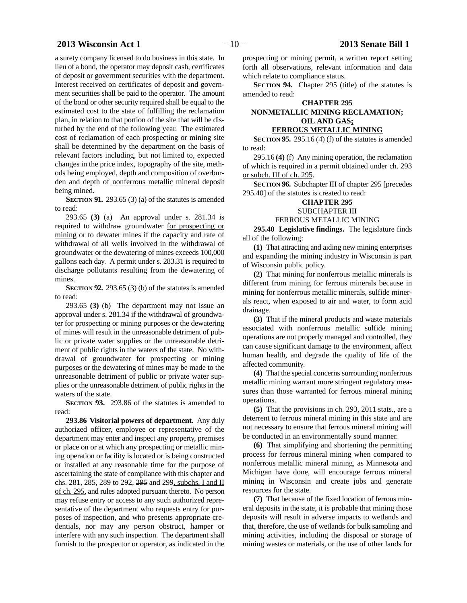# **2013 Wisconsin Act 1** − 10 − **2013 Senate Bill 1**

a surety company licensed to do business in this state. In lieu of a bond, the operator may deposit cash, certificates of deposit or government securities with the department. Interest received on certificates of deposit and government securities shall be paid to the operator. The amount of the bond or other security required shall be equal to the estimated cost to the state of fulfilling the reclamation plan, in relation to that portion of the site that will be disturbed by the end of the following year. The estimated cost of reclamation of each prospecting or mining site shall be determined by the department on the basis of relevant factors including, but not limited to, expected changes in the price index, topography of the site, methods being employed, depth and composition of overburden and depth of nonferrous metallic mineral deposit being mined.

**SECTION 91.** 293.65 (3) (a) of the statutes is amended to read:

293.65 **(3)** (a) An approval under s. 281.34 is required to withdraw groundwater for prospecting or mining or to dewater mines if the capacity and rate of withdrawal of all wells involved in the withdrawal of groundwater or the dewatering of mines exceeds 100,000 gallons each day. A permit under s. 283.31 is required to discharge pollutants resulting from the dewatering of mines.

**SECTION 92.** 293.65 (3) (b) of the statutes is amended to read:

293.65 **(3)** (b) The department may not issue an approval under s. 281.34 if the withdrawal of groundwater for prospecting or mining purposes or the dewatering of mines will result in the unreasonable detriment of public or private water supplies or the unreasonable detriment of public rights in the waters of the state. No withdrawal of groundwater for prospecting or mining purposes or the dewatering of mines may be made to the unreasonable detriment of public or private water supplies or the unreasonable detriment of public rights in the waters of the state.

**SECTION 93.** 293.86 of the statutes is amended to read:

**293.86 Visitorial powers of department.** Any duly authorized officer, employee or representative of the department may enter and inspect any property, premises or place on or at which any prospecting or metallic mining operation or facility is located or is being constructed or installed at any reasonable time for the purpose of ascertaining the state of compliance with this chapter and chs. 281, 285, 289 to 292, 295 and 299, subchs. I and II of ch. 295, and rules adopted pursuant thereto. No person may refuse entry or access to any such authorized representative of the department who requests entry for purposes of inspection, and who presents appropriate credentials, nor may any person obstruct, hamper or interfere with any such inspection. The department shall furnish to the prospector or operator, as indicated in the

prospecting or mining permit, a written report setting forth all observations, relevant information and data which relate to compliance status.

**SECTION 94.** Chapter 295 (title) of the statutes is amended to read:

# **CHAPTER 295 NONMETALLIC MINING RECLAMATION; OIL AND GAS; FERROUS METALLIC MINING**

**SECTION 95.** 295.16 (4) (f) of the statutes is amended to read:

295.16 **(4)** (f) Any mining operation, the reclamation of which is required in a permit obtained under ch. 293 or subch. III of ch. 295.

**SECTION 96.** Subchapter III of chapter 295 [precedes 295.40] of the statutes is created to read:

# **CHAPTER 295**

## SUBCHAPTER III

# FERROUS METALLIC MINING

**295.40 Legislative findings.** The legislature finds all of the following:

**(1)** That attracting and aiding new mining enterprises and expanding the mining industry in Wisconsin is part of Wisconsin public policy.

**(2)** That mining for nonferrous metallic minerals is different from mining for ferrous minerals because in mining for nonferrous metallic minerals, sulfide minerals react, when exposed to air and water, to form acid drainage.

**(3)** That if the mineral products and waste materials associated with nonferrous metallic sulfide mining operations are not properly managed and controlled, they can cause significant damage to the environment, affect human health, and degrade the quality of life of the affected community.

**(4)** That the special concerns surrounding nonferrous metallic mining warrant more stringent regulatory measures than those warranted for ferrous mineral mining operations.

**(5)** That the provisions in ch. 293, 2011 stats., are a deterrent to ferrous mineral mining in this state and are not necessary to ensure that ferrous mineral mining will be conducted in an environmentally sound manner.

**(6)** That simplifying and shortening the permitting process for ferrous mineral mining when compared to nonferrous metallic mineral mining, as Minnesota and Michigan have done, will encourage ferrous mineral mining in Wisconsin and create jobs and generate resources for the state.

**(7)** That because of the fixed location of ferrous mineral deposits in the state, it is probable that mining those deposits will result in adverse impacts to wetlands and that, therefore, the use of wetlands for bulk sampling and mining activities, including the disposal or storage of mining wastes or materials, or the use of other lands for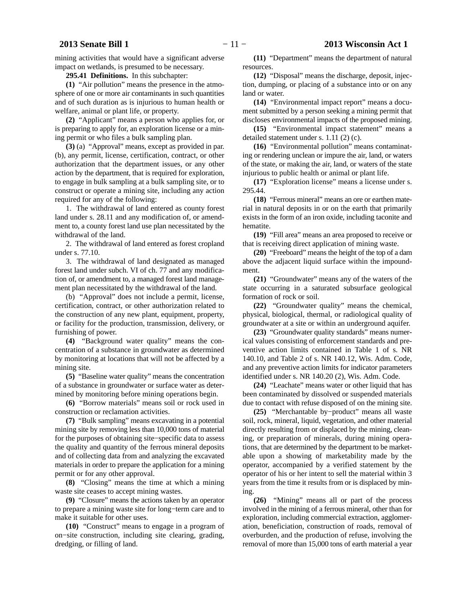mining activities that would have a significant adverse impact on wetlands, is presumed to be necessary.

**295.41 Definitions.** In this subchapter:

**(1)** "Air pollution" means the presence in the atmosphere of one or more air contaminants in such quantities and of such duration as is injurious to human health or welfare, animal or plant life, or property.

**(2)** "Applicant" means a person who applies for, or is preparing to apply for, an exploration license or a mining permit or who files a bulk sampling plan.

**(3)** (a) "Approval" means, except as provided in par. (b), any permit, license, certification, contract, or other authorization that the department issues, or any other action by the department, that is required for exploration, to engage in bulk sampling at a bulk sampling site, or to construct or operate a mining site, including any action required for any of the following:

1. The withdrawal of land entered as county forest land under s. 28.11 and any modification of, or amendment to, a county forest land use plan necessitated by the withdrawal of the land.

2. The withdrawal of land entered as forest cropland under s. 77.10.

3. The withdrawal of land designated as managed forest land under subch. VI of ch. 77 and any modification of, or amendment to, a managed forest land management plan necessitated by the withdrawal of the land.

(b) "Approval" does not include a permit, license, certification, contract, or other authorization related to the construction of any new plant, equipment, property, or facility for the production, transmission, delivery, or furnishing of power.

**(4)** "Background water quality" means the concentration of a substance in groundwater as determined by monitoring at locations that will not be affected by a mining site.

**(5)** "Baseline water quality" means the concentration of a substance in groundwater or surface water as determined by monitoring before mining operations begin.

**(6)** "Borrow materials" means soil or rock used in construction or reclamation activities.

**(7)** "Bulk sampling" means excavating in a potential mining site by removing less than 10,000 tons of material for the purposes of obtaining site−specific data to assess the quality and quantity of the ferrous mineral deposits and of collecting data from and analyzing the excavated materials in order to prepare the application for a mining permit or for any other approval.

**(8)** "Closing" means the time at which a mining waste site ceases to accept mining wastes.

**(9)** "Closure" means the actions taken by an operator to prepare a mining waste site for long−term care and to make it suitable for other uses.

**(10)** "Construct" means to engage in a program of on−site construction, including site clearing, grading, dredging, or filling of land.

**(11)** "Department" means the department of natural resources.

**(12)** "Disposal" means the discharge, deposit, injection, dumping, or placing of a substance into or on any land or water.

**(14)** "Environmental impact report" means a document submitted by a person seeking a mining permit that discloses environmental impacts of the proposed mining.

**(15)** "Environmental impact statement" means a detailed statement under s. 1.11 (2) (c).

**(16)** "Environmental pollution" means contaminating or rendering unclean or impure the air, land, or waters of the state, or making the air, land, or waters of the state injurious to public health or animal or plant life.

**(17)** "Exploration license" means a license under s. 295.44.

**(18)** "Ferrous mineral" means an ore or earthen material in natural deposits in or on the earth that primarily exists in the form of an iron oxide, including taconite and hematite.

**(19)** "Fill area" means an area proposed to receive or that is receiving direct application of mining waste.

**(20)** "Freeboard" means the height of the top of a dam above the adjacent liquid surface within the impoundment.

**(21)** "Groundwater" means any of the waters of the state occurring in a saturated subsurface geological formation of rock or soil.

**(22)** "Groundwater quality" means the chemical, physical, biological, thermal, or radiological quality of groundwater at a site or within an underground aquifer.

**(23)** "Groundwater quality standards" means numerical values consisting of enforcement standards and preventive action limits contained in Table 1 of s. NR 140.10, and Table 2 of s. NR 140.12, Wis. Adm. Code, and any preventive action limits for indicator parameters identified under s. NR 140.20 (2), Wis. Adm. Code.

**(24)** "Leachate" means water or other liquid that has been contaminated by dissolved or suspended materials due to contact with refuse disposed of on the mining site.

**(25)** "Merchantable by−product" means all waste soil, rock, mineral, liquid, vegetation, and other material directly resulting from or displaced by the mining, cleaning, or preparation of minerals, during mining operations, that are determined by the department to be marketable upon a showing of marketability made by the operator, accompanied by a verified statement by the operator of his or her intent to sell the material within 3 years from the time it results from or is displaced by mining.

**(26)** "Mining" means all or part of the process involved in the mining of a ferrous mineral, other than for exploration, including commercial extraction, agglomeration, beneficiation, construction of roads, removal of overburden, and the production of refuse, involving the removal of more than 15,000 tons of earth material a year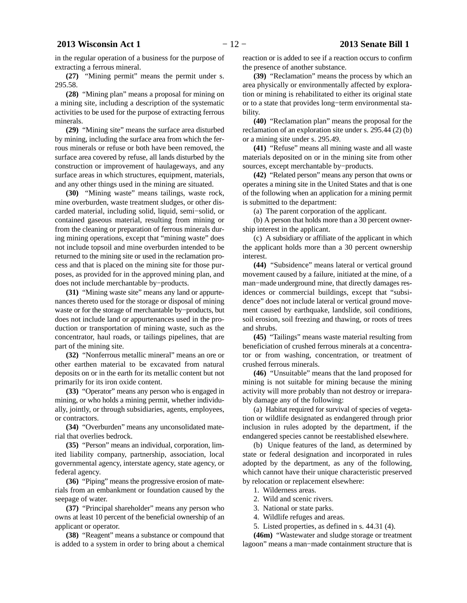in the regular operation of a business for the purpose of extracting a ferrous mineral.

**(27)** "Mining permit" means the permit under s. 295.58.

**(28)** "Mining plan" means a proposal for mining on a mining site, including a description of the systematic activities to be used for the purpose of extracting ferrous minerals.

**(29)** "Mining site" means the surface area disturbed by mining, including the surface area from which the ferrous minerals or refuse or both have been removed, the surface area covered by refuse, all lands disturbed by the construction or improvement of haulageways, and any surface areas in which structures, equipment, materials, and any other things used in the mining are situated.

**(30)** "Mining waste" means tailings, waste rock, mine overburden, waste treatment sludges, or other discarded material, including solid, liquid, semi−solid, or contained gaseous material, resulting from mining or from the cleaning or preparation of ferrous minerals during mining operations, except that "mining waste" does not include topsoil and mine overburden intended to be returned to the mining site or used in the reclamation process and that is placed on the mining site for those purposes, as provided for in the approved mining plan, and does not include merchantable by−products.

**(31)** "Mining waste site" means any land or appurtenances thereto used for the storage or disposal of mining waste or for the storage of merchantable by−products, but does not include land or appurtenances used in the production or transportation of mining waste, such as the concentrator, haul roads, or tailings pipelines, that are part of the mining site.

**(32)** "Nonferrous metallic mineral" means an ore or other earthen material to be excavated from natural deposits on or in the earth for its metallic content but not primarily for its iron oxide content.

**(33)** "Operator" means any person who is engaged in mining, or who holds a mining permit, whether individually, jointly, or through subsidiaries, agents, employees, or contractors.

**(34)** "Overburden" means any unconsolidated material that overlies bedrock.

**(35)** "Person" means an individual, corporation, limited liability company, partnership, association, local governmental agency, interstate agency, state agency, or federal agency.

**(36)** "Piping" means the progressive erosion of materials from an embankment or foundation caused by the seepage of water.

**(37)** "Principal shareholder" means any person who owns at least 10 percent of the beneficial ownership of an applicant or operator.

**(38)** "Reagent" means a substance or compound that is added to a system in order to bring about a chemical

reaction or is added to see if a reaction occurs to confirm the presence of another substance.

**(39)** "Reclamation" means the process by which an area physically or environmentally affected by exploration or mining is rehabilitated to either its original state or to a state that provides long−term environmental stability.

**(40)** "Reclamation plan" means the proposal for the reclamation of an exploration site under s. 295.44 (2) (b) or a mining site under s. 295.49.

**(41)** "Refuse" means all mining waste and all waste materials deposited on or in the mining site from other sources, except merchantable by−products.

**(42)** "Related person" means any person that owns or operates a mining site in the United States and that is one of the following when an application for a mining permit is submitted to the department:

(a) The parent corporation of the applicant.

(b) A person that holds more than a 30 percent ownership interest in the applicant.

(c) A subsidiary or affiliate of the applicant in which the applicant holds more than a 30 percent ownership interest.

**(44)** "Subsidence" means lateral or vertical ground movement caused by a failure, initiated at the mine, of a man–made underground mine, that directly damages residences or commercial buildings, except that "subsidence" does not include lateral or vertical ground movement caused by earthquake, landslide, soil conditions, soil erosion, soil freezing and thawing, or roots of trees and shrubs.

**(45)** "Tailings" means waste material resulting from beneficiation of crushed ferrous minerals at a concentrator or from washing, concentration, or treatment of crushed ferrous minerals.

**(46)** "Unsuitable" means that the land proposed for mining is not suitable for mining because the mining activity will more probably than not destroy or irreparably damage any of the following:

(a) Habitat required for survival of species of vegetation or wildlife designated as endangered through prior inclusion in rules adopted by the department, if the endangered species cannot be reestablished elsewhere.

(b) Unique features of the land, as determined by state or federal designation and incorporated in rules adopted by the department, as any of the following, which cannot have their unique characteristic preserved by relocation or replacement elsewhere:

- 1. Wilderness areas.
- 2. Wild and scenic rivers.
- 3. National or state parks.
- 4. Wildlife refuges and areas.
- 5. Listed properties, as defined in s. 44.31 (4).

**(46m)** "Wastewater and sludge storage or treatment lagoon" means a man−made containment structure that is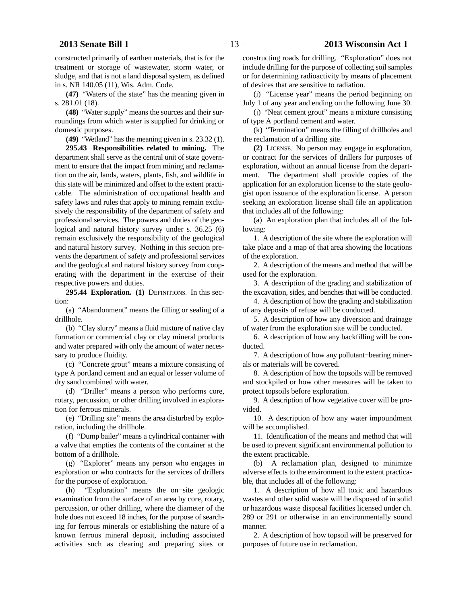constructed primarily of earthen materials, that is for the treatment or storage of wastewater, storm water, or sludge, and that is not a land disposal system, as defined in s. NR 140.05 (11), Wis. Adm. Code.

**(47)** "Waters of the state" has the meaning given in s. 281.01 (18).

**(48)** "Water supply" means the sources and their surroundings from which water is supplied for drinking or domestic purposes.

**(49)** "Wetland" has the meaning given in s. 23.32 (1).

**295.43 Responsibilities related to mining.** The department shall serve as the central unit of state government to ensure that the impact from mining and reclamation on the air, lands, waters, plants, fish, and wildlife in this state will be minimized and offset to the extent practicable. The administration of occupational health and safety laws and rules that apply to mining remain exclusively the responsibility of the department of safety and professional services. The powers and duties of the geological and natural history survey under s. 36.25 (6) remain exclusively the responsibility of the geological and natural history survey. Nothing in this section prevents the department of safety and professional services and the geological and natural history survey from cooperating with the department in the exercise of their respective powers and duties.

**295.44 Exploration. (1)** DEFINITIONS. In this section:

(a) "Abandonment" means the filling or sealing of a drillhole.

(b) "Clay slurry" means a fluid mixture of native clay formation or commercial clay or clay mineral products and water prepared with only the amount of water necessary to produce fluidity.

(c) "Concrete grout" means a mixture consisting of type A portland cement and an equal or lesser volume of dry sand combined with water.

(d) "Driller" means a person who performs core, rotary, percussion, or other drilling involved in exploration for ferrous minerals.

(e) "Drilling site" means the area disturbed by exploration, including the drillhole.

(f) "Dump bailer" means a cylindrical container with a valve that empties the contents of the container at the bottom of a drillhole.

(g) "Explorer" means any person who engages in exploration or who contracts for the services of drillers for the purpose of exploration.

(h) "Exploration" means the on−site geologic examination from the surface of an area by core, rotary, percussion, or other drilling, where the diameter of the hole does not exceed 18 inches, for the purpose of searching for ferrous minerals or establishing the nature of a known ferrous mineral deposit, including associated activities such as clearing and preparing sites or

constructing roads for drilling. "Exploration" does not include drilling for the purpose of collecting soil samples or for determining radioactivity by means of placement of devices that are sensitive to radiation.

(i) "License year" means the period beginning on July 1 of any year and ending on the following June 30.

(j) "Neat cement grout" means a mixture consisting of type A portland cement and water.

(k) "Termination" means the filling of drillholes and the reclamation of a drilling site.

**(2)** LICENSE. No person may engage in exploration, or contract for the services of drillers for purposes of exploration, without an annual license from the department. The department shall provide copies of the application for an exploration license to the state geologist upon issuance of the exploration license. A person seeking an exploration license shall file an application that includes all of the following:

(a) An exploration plan that includes all of the following:

1. A description of the site where the exploration will take place and a map of that area showing the locations of the exploration.

2. A description of the means and method that will be used for the exploration.

3. A description of the grading and stabilization of the excavation, sides, and benches that will be conducted.

4. A description of how the grading and stabilization of any deposits of refuse will be conducted.

5. A description of how any diversion and drainage of water from the exploration site will be conducted.

6. A description of how any backfilling will be conducted.

7. A description of how any pollutant−bearing minerals or materials will be covered.

8. A description of how the topsoils will be removed and stockpiled or how other measures will be taken to protect topsoils before exploration.

9. A description of how vegetative cover will be provided.

10. A description of how any water impoundment will be accomplished.

11. Identification of the means and method that will be used to prevent significant environmental pollution to the extent practicable.

(b) A reclamation plan, designed to minimize adverse effects to the environment to the extent practicable, that includes all of the following:

1. A description of how all toxic and hazardous wastes and other solid waste will be disposed of in solid or hazardous waste disposal facilities licensed under ch. 289 or 291 or otherwise in an environmentally sound manner.

2. A description of how topsoil will be preserved for purposes of future use in reclamation.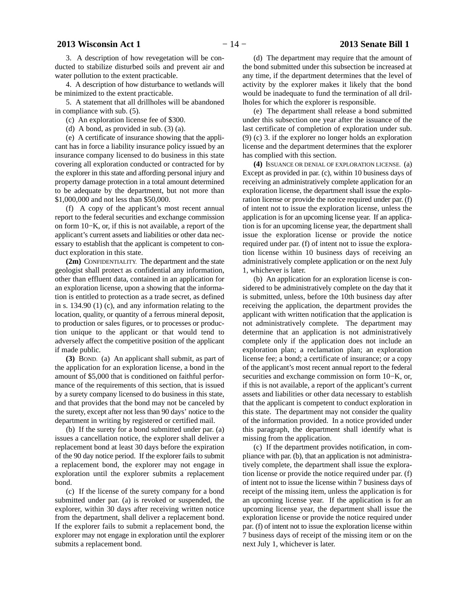3. A description of how revegetation will be conducted to stabilize disturbed soils and prevent air and water pollution to the extent practicable.

4. A description of how disturbance to wetlands will be minimized to the extent practicable.

5. A statement that all drillholes will be abandoned in compliance with sub. (5).

(c) An exploration license fee of \$300.

(d) A bond, as provided in sub. (3) (a).

(e) A certificate of insurance showing that the applicant has in force a liability insurance policy issued by an insurance company licensed to do business in this state covering all exploration conducted or contracted for by the explorer in this state and affording personal injury and property damage protection in a total amount determined to be adequate by the department, but not more than \$1,000,000 and not less than \$50,000.

(f) A copy of the applicant's most recent annual report to the federal securities and exchange commission on form 10−K, or, if this is not available, a report of the applicant's current assets and liabilities or other data necessary to establish that the applicant is competent to conduct exploration in this state.

**(2m)** CONFIDENTIALITY. The department and the state geologist shall protect as confidential any information, other than effluent data, contained in an application for an exploration license, upon a showing that the information is entitled to protection as a trade secret, as defined in s. 134.90 (1) (c), and any information relating to the location, quality, or quantity of a ferrous mineral deposit, to production or sales figures, or to processes or production unique to the applicant or that would tend to adversely affect the competitive position of the applicant if made public.

**(3)** BOND. (a) An applicant shall submit, as part of the application for an exploration license, a bond in the amount of \$5,000 that is conditioned on faithful performance of the requirements of this section, that is issued by a surety company licensed to do business in this state, and that provides that the bond may not be canceled by the surety, except after not less than 90 days' notice to the department in writing by registered or certified mail.

(b) If the surety for a bond submitted under par. (a) issues a cancellation notice, the explorer shall deliver a replacement bond at least 30 days before the expiration of the 90 day notice period. If the explorer fails to submit a replacement bond, the explorer may not engage in exploration until the explorer submits a replacement bond.

(c) If the license of the surety company for a bond submitted under par. (a) is revoked or suspended, the explorer, within 30 days after receiving written notice from the department, shall deliver a replacement bond. If the explorer fails to submit a replacement bond, the explorer may not engage in exploration until the explorer submits a replacement bond.

activity by the explorer makes it likely that the bond would be inadequate to fund the termination of all drillholes for which the explorer is responsible. (e) The department shall release a bond submitted

under this subsection one year after the issuance of the last certificate of completion of exploration under sub. (9) (c) 3. if the explorer no longer holds an exploration license and the department determines that the explorer has complied with this section.

**(4)** ISSUANCE OR DENIAL OF EXPLORATION LICENSE. (a) Except as provided in par. (c), within 10 business days of receiving an administratively complete application for an exploration license, the department shall issue the exploration license or provide the notice required under par. (f) of intent not to issue the exploration license, unless the application is for an upcoming license year. If an application is for an upcoming license year, the department shall issue the exploration license or provide the notice required under par. (f) of intent not to issue the exploration license within 10 business days of receiving an administratively complete application or on the next July 1, whichever is later.

(b) An application for an exploration license is considered to be administratively complete on the day that it is submitted, unless, before the 10th business day after receiving the application, the department provides the applicant with written notification that the application is not administratively complete. The department may determine that an application is not administratively complete only if the application does not include an exploration plan; a reclamation plan; an exploration license fee; a bond; a certificate of insurance; or a copy of the applicant's most recent annual report to the federal securities and exchange commission on form 10−K, or, if this is not available, a report of the applicant's current assets and liabilities or other data necessary to establish that the applicant is competent to conduct exploration in this state. The department may not consider the quality of the information provided. In a notice provided under this paragraph, the department shall identify what is missing from the application.

(c) If the department provides notification, in compliance with par. (b), that an application is not administratively complete, the department shall issue the exploration license or provide the notice required under par. (f) of intent not to issue the license within 7 business days of receipt of the missing item, unless the application is for an upcoming license year. If the application is for an upcoming license year, the department shall issue the exploration license or provide the notice required under par. (f) of intent not to issue the exploration license within 7 business days of receipt of the missing item or on the next July 1, whichever is later.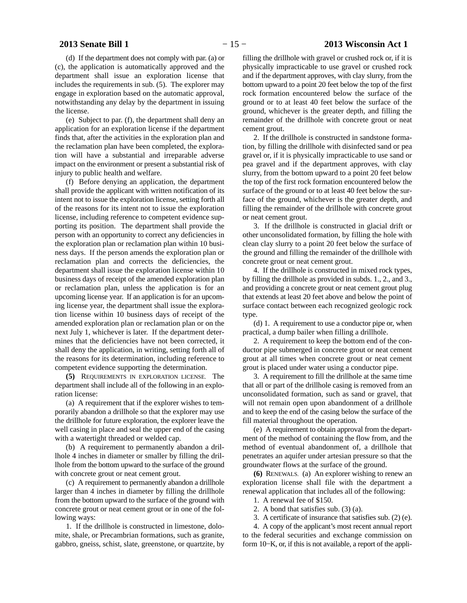# **2013 Senate Bill 1** − 15 − **2013 Wisconsin Act 1**

(d) If the department does not comply with par. (a) or (c), the application is automatically approved and the department shall issue an exploration license that includes the requirements in sub. (5). The explorer may engage in exploration based on the automatic approval, notwithstanding any delay by the department in issuing the license.

(e) Subject to par. (f), the department shall deny an application for an exploration license if the department finds that, after the activities in the exploration plan and the reclamation plan have been completed, the exploration will have a substantial and irreparable adverse impact on the environment or present a substantial risk of injury to public health and welfare.

(f) Before denying an application, the department shall provide the applicant with written notification of its intent not to issue the exploration license, setting forth all of the reasons for its intent not to issue the exploration license, including reference to competent evidence supporting its position. The department shall provide the person with an opportunity to correct any deficiencies in the exploration plan or reclamation plan within 10 business days. If the person amends the exploration plan or reclamation plan and corrects the deficiencies, the department shall issue the exploration license within 10 business days of receipt of the amended exploration plan or reclamation plan, unless the application is for an upcoming license year. If an application is for an upcoming license year, the department shall issue the exploration license within 10 business days of receipt of the amended exploration plan or reclamation plan or on the next July 1, whichever is later. If the department determines that the deficiencies have not been corrected, it shall deny the application, in writing, setting forth all of the reasons for its determination, including reference to competent evidence supporting the determination.

**(5)** REQUIREMENTS IN EXPLORATION LICENSE. The department shall include all of the following in an exploration license:

(a) A requirement that if the explorer wishes to temporarily abandon a drillhole so that the explorer may use the drillhole for future exploration, the explorer leave the well casing in place and seal the upper end of the casing with a watertight threaded or welded cap.

(b) A requirement to permanently abandon a drillhole 4 inches in diameter or smaller by filling the drillhole from the bottom upward to the surface of the ground with concrete grout or neat cement grout.

(c) A requirement to permanently abandon a drillhole larger than 4 inches in diameter by filling the drillhole from the bottom upward to the surface of the ground with concrete grout or neat cement grout or in one of the following ways:

1. If the drillhole is constructed in limestone, dolomite, shale, or Precambrian formations, such as granite, gabbro, gneiss, schist, slate, greenstone, or quartzite, by

filling the drillhole with gravel or crushed rock or, if it is physically impracticable to use gravel or crushed rock and if the department approves, with clay slurry, from the bottom upward to a point 20 feet below the top of the first rock formation encountered below the surface of the ground or to at least 40 feet below the surface of the ground, whichever is the greater depth, and filling the remainder of the drillhole with concrete grout or neat cement grout.

2. If the drillhole is constructed in sandstone formation, by filling the drillhole with disinfected sand or pea gravel or, if it is physically impracticable to use sand or pea gravel and if the department approves, with clay slurry, from the bottom upward to a point 20 feet below the top of the first rock formation encountered below the surface of the ground or to at least 40 feet below the surface of the ground, whichever is the greater depth, and filling the remainder of the drillhole with concrete grout or neat cement grout.

3. If the drillhole is constructed in glacial drift or other unconsolidated formation, by filling the hole with clean clay slurry to a point 20 feet below the surface of the ground and filling the remainder of the drillhole with concrete grout or neat cement grout.

4. If the drillhole is constructed in mixed rock types, by filling the drillhole as provided in subds. 1., 2., and 3., and providing a concrete grout or neat cement grout plug that extends at least 20 feet above and below the point of surface contact between each recognized geologic rock type.

(d) 1. A requirement to use a conductor pipe or, when practical, a dump bailer when filling a drillhole.

2. A requirement to keep the bottom end of the conductor pipe submerged in concrete grout or neat cement grout at all times when concrete grout or neat cement grout is placed under water using a conductor pipe.

3. A requirement to fill the drillhole at the same time that all or part of the drillhole casing is removed from an unconsolidated formation, such as sand or gravel, that will not remain open upon abandonment of a drillhole and to keep the end of the casing below the surface of the fill material throughout the operation.

(e) A requirement to obtain approval from the department of the method of containing the flow from, and the method of eventual abandonment of, a drillhole that penetrates an aquifer under artesian pressure so that the groundwater flows at the surface of the ground.

**(6)** RENEWALS. (a) An explorer wishing to renew an exploration license shall file with the department a renewal application that includes all of the following:

1. A renewal fee of \$150.

2. A bond that satisfies sub. (3) (a).

3. A certificate of insurance that satisfies sub. (2) (e).

4. A copy of the applicant's most recent annual report to the federal securities and exchange commission on form 10−K, or, if this is not available, a report of the appli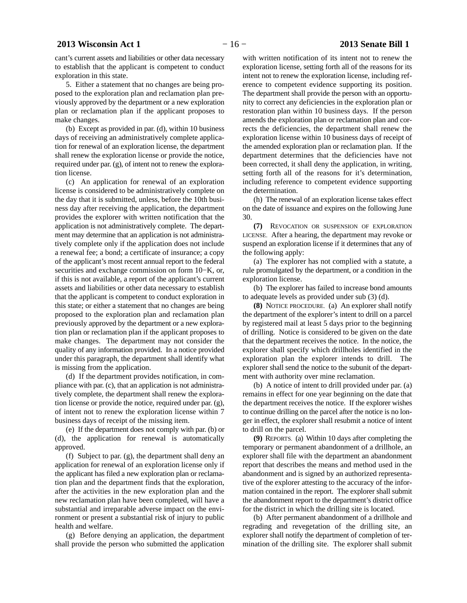cant's current assets and liabilities or other data necessary to establish that the applicant is competent to conduct exploration in this state.

5. Either a statement that no changes are being proposed to the exploration plan and reclamation plan previously approved by the department or a new exploration plan or reclamation plan if the applicant proposes to make changes.

(b) Except as provided in par. (d), within 10 business days of receiving an administratively complete application for renewal of an exploration license, the department shall renew the exploration license or provide the notice, required under par. (g), of intent not to renew the exploration license.

(c) An application for renewal of an exploration license is considered to be administratively complete on the day that it is submitted, unless, before the 10th business day after receiving the application, the department provides the explorer with written notification that the application is not administratively complete. The department may determine that an application is not administratively complete only if the application does not include a renewal fee; a bond; a certificate of insurance; a copy of the applicant's most recent annual report to the federal securities and exchange commission on form 10−K, or, if this is not available, a report of the applicant's current assets and liabilities or other data necessary to establish that the applicant is competent to conduct exploration in this state; or either a statement that no changes are being proposed to the exploration plan and reclamation plan previously approved by the department or a new exploration plan or reclamation plan if the applicant proposes to make changes. The department may not consider the quality of any information provided. In a notice provided under this paragraph, the department shall identify what is missing from the application.

(d) If the department provides notification, in compliance with par. (c), that an application is not administratively complete, the department shall renew the exploration license or provide the notice, required under par. (g), of intent not to renew the exploration license within 7 business days of receipt of the missing item.

(e) If the department does not comply with par. (b) or (d), the application for renewal is automatically approved.

(f) Subject to par. (g), the department shall deny an application for renewal of an exploration license only if the applicant has filed a new exploration plan or reclamation plan and the department finds that the exploration, after the activities in the new exploration plan and the new reclamation plan have been completed, will have a substantial and irreparable adverse impact on the environment or present a substantial risk of injury to public health and welfare.

(g) Before denying an application, the department shall provide the person who submitted the application

with written notification of its intent not to renew the exploration license, setting forth all of the reasons for its intent not to renew the exploration license, including reference to competent evidence supporting its position. The department shall provide the person with an opportunity to correct any deficiencies in the exploration plan or restoration plan within 10 business days. If the person amends the exploration plan or reclamation plan and corrects the deficiencies, the department shall renew the exploration license within 10 business days of receipt of the amended exploration plan or reclamation plan. If the department determines that the deficiencies have not been corrected, it shall deny the application, in writing, setting forth all of the reasons for it's determination, including reference to competent evidence supporting the determination.

(h) The renewal of an exploration license takes effect on the date of issuance and expires on the following June 30.

**(7)** REVOCATION OR SUSPENSION OF EXPLORATION LICENSE. After a hearing, the department may revoke or suspend an exploration license if it determines that any of the following apply:

(a) The explorer has not complied with a statute, a rule promulgated by the department, or a condition in the exploration license.

(b) The explorer has failed to increase bond amounts to adequate levels as provided under sub (3) (d).

**(8)** NOTICE PROCEDURE. (a) An explorer shall notify the department of the explorer's intent to drill on a parcel by registered mail at least 5 days prior to the beginning of drilling. Notice is considered to be given on the date that the department receives the notice. In the notice, the explorer shall specify which drillholes identified in the exploration plan the explorer intends to drill. The explorer shall send the notice to the subunit of the department with authority over mine reclamation.

(b) A notice of intent to drill provided under par. (a) remains in effect for one year beginning on the date that the department receives the notice. If the explorer wishes to continue drilling on the parcel after the notice is no longer in effect, the explorer shall resubmit a notice of intent to drill on the parcel.

**(9)** REPORTS. (a) Within 10 days after completing the temporary or permanent abandonment of a drillhole, an explorer shall file with the department an abandonment report that describes the means and method used in the abandonment and is signed by an authorized representative of the explorer attesting to the accuracy of the information contained in the report. The explorer shall submit the abandonment report to the department's district office for the district in which the drilling site is located.

(b) After permanent abandonment of a drillhole and regrading and revegetation of the drilling site, an explorer shall notify the department of completion of termination of the drilling site. The explorer shall submit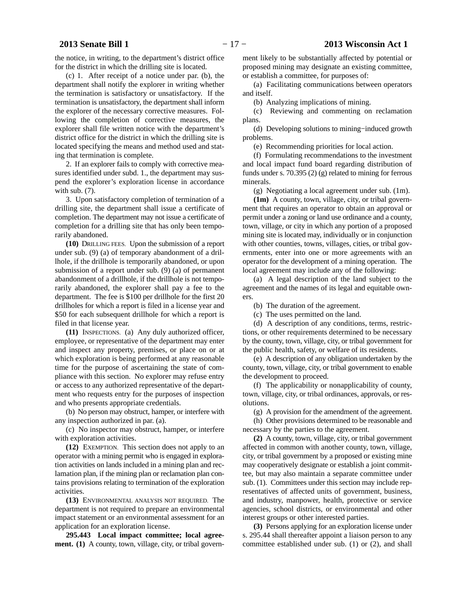the notice, in writing, to the department's district office for the district in which the drilling site is located.

(c) 1. After receipt of a notice under par. (b), the department shall notify the explorer in writing whether the termination is satisfactory or unsatisfactory. If the termination is unsatisfactory, the department shall inform the explorer of the necessary corrective measures. Following the completion of corrective measures, the explorer shall file written notice with the department's district office for the district in which the drilling site is located specifying the means and method used and stating that termination is complete.

2. If an explorer fails to comply with corrective measures identified under subd. 1., the department may suspend the explorer's exploration license in accordance with sub. (7).

3. Upon satisfactory completion of termination of a drilling site, the department shall issue a certificate of completion. The department may not issue a certificate of completion for a drilling site that has only been temporarily abandoned.

**(10)** DRILLING FEES. Upon the submission of a report under sub. (9) (a) of temporary abandonment of a drillhole, if the drillhole is temporarily abandoned, or upon submission of a report under sub. (9) (a) of permanent abandonment of a drillhole, if the drillhole is not temporarily abandoned, the explorer shall pay a fee to the department. The fee is \$100 per drillhole for the first 20 drillholes for which a report is filed in a license year and \$50 for each subsequent drillhole for which a report is filed in that license year.

**(11)** INSPECTIONS. (a) Any duly authorized officer, employee, or representative of the department may enter and inspect any property, premises, or place on or at which exploration is being performed at any reasonable time for the purpose of ascertaining the state of compliance with this section. No explorer may refuse entry or access to any authorized representative of the department who requests entry for the purposes of inspection and who presents appropriate credentials.

(b) No person may obstruct, hamper, or interfere with any inspection authorized in par. (a).

(c) No inspector may obstruct, hamper, or interfere with exploration activities.

**(12)** EXEMPTION. This section does not apply to an operator with a mining permit who is engaged in exploration activities on lands included in a mining plan and reclamation plan, if the mining plan or reclamation plan contains provisions relating to termination of the exploration activities.

**(13)** ENVIRONMENTAL ANALYSIS NOT REQUIRED. The department is not required to prepare an environmental impact statement or an environmental assessment for an application for an exploration license.

**295.443 Local impact committee; local agreement. (1)** A county, town, village, city, or tribal govern-

ment likely to be substantially affected by potential or proposed mining may designate an existing committee, or establish a committee, for purposes of:

(a) Facilitating communications between operators and itself.

(b) Analyzing implications of mining.

(c) Reviewing and commenting on reclamation plans.

(d) Developing solutions to mining−induced growth problems.

(e) Recommending priorities for local action.

(f) Formulating recommendations to the investment and local impact fund board regarding distribution of funds under s. 70.395 (2) (g) related to mining for ferrous minerals.

(g) Negotiating a local agreement under sub. (1m).

**(1m)** A county, town, village, city, or tribal government that requires an operator to obtain an approval or permit under a zoning or land use ordinance and a county, town, village, or city in which any portion of a proposed mining site is located may, individually or in conjunction with other counties, towns, villages, cities, or tribal governments, enter into one or more agreements with an operator for the development of a mining operation. The local agreement may include any of the following:

(a) A legal description of the land subject to the agreement and the names of its legal and equitable owners.

(b) The duration of the agreement.

(c) The uses permitted on the land.

(d) A description of any conditions, terms, restrictions, or other requirements determined to be necessary by the county, town, village, city, or tribal government for the public health, safety, or welfare of its residents.

(e) A description of any obligation undertaken by the county, town, village, city, or tribal government to enable the development to proceed.

(f) The applicability or nonapplicability of county, town, village, city, or tribal ordinances, approvals, or resolutions.

(g) A provision for the amendment of the agreement.

(h) Other provisions determined to be reasonable and necessary by the parties to the agreement.

**(2)** A county, town, village, city, or tribal government affected in common with another county, town, village, city, or tribal government by a proposed or existing mine may cooperatively designate or establish a joint committee, but may also maintain a separate committee under sub. (1). Committees under this section may include representatives of affected units of government, business, and industry, manpower, health, protective or service agencies, school districts, or environmental and other interest groups or other interested parties.

**(3)** Persons applying for an exploration license under s. 295.44 shall thereafter appoint a liaison person to any committee established under sub. (1) or (2), and shall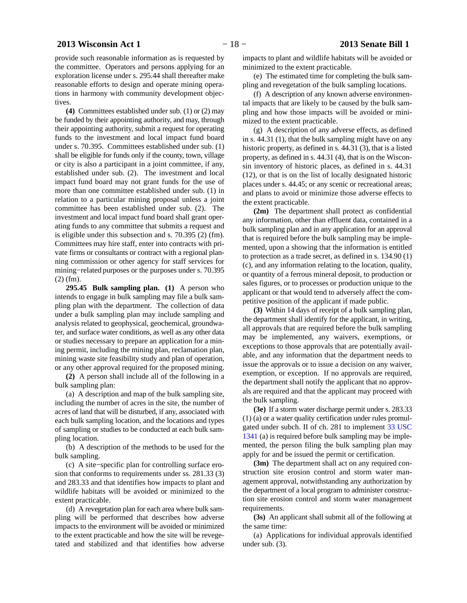provide such reasonable information as is requested by the committee. Operators and persons applying for an exploration license under s. 295.44 shall thereafter make reasonable efforts to design and operate mining operations in harmony with community development objectives.

**(4)** Committees established under sub. (1) or (2) may be funded by their appointing authority, and may, through their appointing authority, submit a request for operating funds to the investment and local impact fund board under s. 70.395. Committees established under sub. (1) shall be eligible for funds only if the county, town, village or city is also a participant in a joint committee, if any, established under sub. (2). The investment and local impact fund board may not grant funds for the use of more than one committee established under sub. (1) in relation to a particular mining proposal unless a joint committee has been established under sub. (2). The investment and local impact fund board shall grant operating funds to any committee that submits a request and is eligible under this subsection and s. 70.395 (2) (fm). Committees may hire staff, enter into contracts with private firms or consultants or contract with a regional planning commission or other agency for staff services for mining−related purposes or the purposes under s. 70.395 (2) (fm).

**295.45 Bulk sampling plan. (1)** A person who intends to engage in bulk sampling may file a bulk sampling plan with the department. The collection of data under a bulk sampling plan may include sampling and analysis related to geophysical, geochemical, groundwater, and surface water conditions, as well as any other data or studies necessary to prepare an application for a mining permit, including the mining plan, reclamation plan, mining waste site feasibility study and plan of operation, or any other approval required for the proposed mining.

**(2)** A person shall include all of the following in a bulk sampling plan:

(a) A description and map of the bulk sampling site, including the number of acres in the site, the number of acres of land that will be disturbed, if any, associated with each bulk sampling location, and the locations and types of sampling or studies to be conducted at each bulk sampling location.

(b) A description of the methods to be used for the bulk sampling.

(c) A site−specific plan for controlling surface erosion that conforms to requirements under ss. 281.33 (3) and 283.33 and that identifies how impacts to plant and wildlife habitats will be avoided or minimized to the extent practicable.

(d) A revegetation plan for each area where bulk sampling will be performed that describes how adverse impacts to the environment will be avoided or minimized to the extent practicable and how the site will be revegetated and stabilized and that identifies how adverse

impacts to plant and wildlife habitats will be avoided or minimized to the extent practicable.

(e) The estimated time for completing the bulk sampling and revegetation of the bulk sampling locations.

(f) A description of any known adverse environmental impacts that are likely to be caused by the bulk sampling and how those impacts will be avoided or minimized to the extent practicable.

(g) A description of any adverse effects, as defined in s. 44.31 (1), that the bulk sampling might have on any historic property, as defined in s. 44.31 (3), that is a listed property, as defined in s. 44.31 (4), that is on the Wisconsin inventory of historic places, as defined in s. 44.31 (12), or that is on the list of locally designated historic places under s. 44.45; or any scenic or recreational areas; and plans to avoid or minimize those adverse effects to the extent practicable.

**(2m)** The department shall protect as confidential any information, other than effluent data, contained in a bulk sampling plan and in any application for an approval that is required before the bulk sampling may be implemented, upon a showing that the information is entitled to protection as a trade secret, as defined in s. 134.90 (1) (c), and any information relating to the location, quality, or quantity of a ferrous mineral deposit, to production or sales figures, or to processes or production unique to the applicant or that would tend to adversely affect the competitive position of the applicant if made public.

**(3)** Within 14 days of receipt of a bulk sampling plan, the department shall identify for the applicant, in writing, all approvals that are required before the bulk sampling may be implemented, any waivers, exemptions, or exceptions to those approvals that are potentially available, and any information that the department needs to issue the approvals or to issue a decision on any waiver, exemption, or exception. If no approvals are required, the department shall notify the applicant that no approvals are required and that the applicant may proceed with the bulk sampling.

**(3e)** If a storm water discharge permit under s. 283.33 (1) (a) or a water quality certification under rules promulgated under subch. II of ch. 281 to implement [33 USC](http://docs.legis.wisconsin.gov/document/usc/33%20USC%201341) [1341](http://docs.legis.wisconsin.gov/document/usc/33%20USC%201341) (a) is required before bulk sampling may be implemented, the person filing the bulk sampling plan may apply for and be issued the permit or certification.

**(3m)** The department shall act on any required construction site erosion control and storm water management approval, notwithstanding any authorization by the department of a local program to administer construction site erosion control and storm water management requirements.

**(3s)** An applicant shall submit all of the following at the same time:

(a) Applications for individual approvals identified under sub. (3).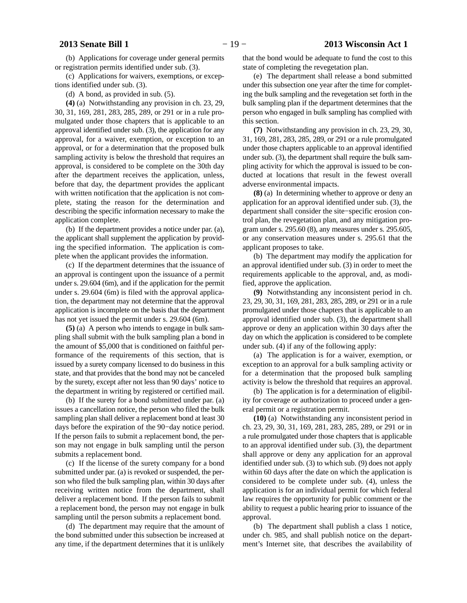(b) Applications for coverage under general permits or registration permits identified under sub. (3).

(c) Applications for waivers, exemptions, or exceptions identified under sub. (3).

(d) A bond, as provided in sub. (5).

**(4)** (a) Notwithstanding any provision in ch. 23, 29, 30, 31, 169, 281, 283, 285, 289, or 291 or in a rule promulgated under those chapters that is applicable to an approval identified under sub. (3), the application for any approval, for a waiver, exemption, or exception to an approval, or for a determination that the proposed bulk sampling activity is below the threshold that requires an approval, is considered to be complete on the 30th day after the department receives the application, unless, before that day, the department provides the applicant with written notification that the application is not complete, stating the reason for the determination and describing the specific information necessary to make the application complete.

(b) If the department provides a notice under par. (a), the applicant shall supplement the application by providing the specified information. The application is complete when the applicant provides the information.

(c) If the department determines that the issuance of an approval is contingent upon the issuance of a permit under s. 29.604 (6m), and if the application for the permit under s. 29.604 (6m) is filed with the approval application, the department may not determine that the approval application is incomplete on the basis that the department has not yet issued the permit under s. 29.604 (6m).

**(5)** (a) A person who intends to engage in bulk sampling shall submit with the bulk sampling plan a bond in the amount of \$5,000 that is conditioned on faithful performance of the requirements of this section, that is issued by a surety company licensed to do business in this state, and that provides that the bond may not be canceled by the surety, except after not less than 90 days' notice to the department in writing by registered or certified mail.

(b) If the surety for a bond submitted under par. (a) issues a cancellation notice, the person who filed the bulk sampling plan shall deliver a replacement bond at least 30 days before the expiration of the 90−day notice period. If the person fails to submit a replacement bond, the person may not engage in bulk sampling until the person submits a replacement bond.

(c) If the license of the surety company for a bond submitted under par. (a) is revoked or suspended, the person who filed the bulk sampling plan, within 30 days after receiving written notice from the department, shall deliver a replacement bond. If the person fails to submit a replacement bond, the person may not engage in bulk sampling until the person submits a replacement bond.

(d) The department may require that the amount of the bond submitted under this subsection be increased at any time, if the department determines that it is unlikely that the bond would be adequate to fund the cost to this state of completing the revegetation plan.

(e) The department shall release a bond submitted under this subsection one year after the time for completing the bulk sampling and the revegetation set forth in the bulk sampling plan if the department determines that the person who engaged in bulk sampling has complied with this section.

**(7)** Notwithstanding any provision in ch. 23, 29, 30, 31, 169, 281, 283, 285, 289, or 291 or a rule promulgated under those chapters applicable to an approval identified under sub. (3), the department shall require the bulk sampling activity for which the approval is issued to be conducted at locations that result in the fewest overall adverse environmental impacts.

**(8)** (a) In determining whether to approve or deny an application for an approval identified under sub. (3), the department shall consider the site−specific erosion control plan, the revegetation plan, and any mitigation program under s. 295.60 (8), any measures under s. 295.605, or any conservation measures under s. 295.61 that the applicant proposes to take.

(b) The department may modify the application for an approval identified under sub. (3) in order to meet the requirements applicable to the approval, and, as modified, approve the application.

**(9)** Notwithstanding any inconsistent period in ch. 23, 29, 30, 31, 169, 281, 283, 285, 289, or 291 or in a rule promulgated under those chapters that is applicable to an approval identified under sub. (3), the department shall approve or deny an application within 30 days after the day on which the application is considered to be complete under sub. (4) if any of the following apply:

(a) The application is for a waiver, exemption, or exception to an approval for a bulk sampling activity or for a determination that the proposed bulk sampling activity is below the threshold that requires an approval.

(b) The application is for a determination of eligibility for coverage or authorization to proceed under a general permit or a registration permit.

**(10)** (a) Notwithstanding any inconsistent period in ch. 23, 29, 30, 31, 169, 281, 283, 285, 289, or 291 or in a rule promulgated under those chapters that is applicable to an approval identified under sub. (3), the department shall approve or deny any application for an approval identified under sub. (3) to which sub. (9) does not apply within 60 days after the date on which the application is considered to be complete under sub. (4), unless the application is for an individual permit for which federal law requires the opportunity for public comment or the ability to request a public hearing prior to issuance of the approval.

(b) The department shall publish a class 1 notice, under ch. 985, and shall publish notice on the department's Internet site, that describes the availability of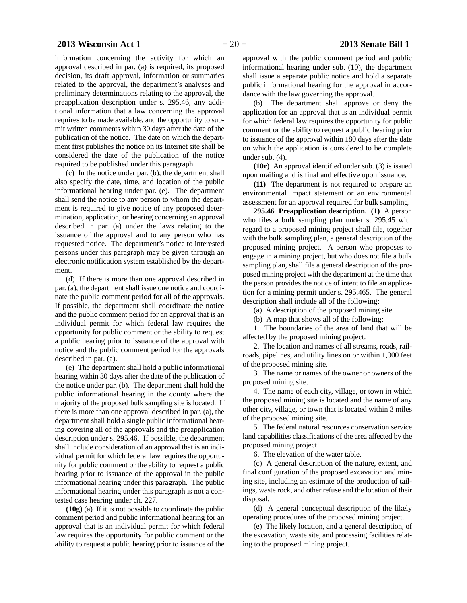# **2013 Wisconsin Act 1** − 20 − **2013 Senate Bill 1**

information concerning the activity for which an approval described in par. (a) is required, its proposed decision, its draft approval, information or summaries related to the approval, the department's analyses and preliminary determinations relating to the approval, the preapplication description under s. 295.46, any additional information that a law concerning the approval requires to be made available, and the opportunity to submit written comments within 30 days after the date of the publication of the notice. The date on which the department first publishes the notice on its Internet site shall be considered the date of the publication of the notice required to be published under this paragraph.

(c) In the notice under par. (b), the department shall also specify the date, time, and location of the public informational hearing under par. (e). The department shall send the notice to any person to whom the department is required to give notice of any proposed determination, application, or hearing concerning an approval described in par. (a) under the laws relating to the issuance of the approval and to any person who has requested notice. The department's notice to interested persons under this paragraph may be given through an electronic notification system established by the department.

(d) If there is more than one approval described in par. (a), the department shall issue one notice and coordinate the public comment period for all of the approvals. If possible, the department shall coordinate the notice and the public comment period for an approval that is an individual permit for which federal law requires the opportunity for public comment or the ability to request a public hearing prior to issuance of the approval with notice and the public comment period for the approvals described in par. (a).

(e) The department shall hold a public informational hearing within 30 days after the date of the publication of the notice under par. (b). The department shall hold the public informational hearing in the county where the majority of the proposed bulk sampling site is located. If there is more than one approval described in par. (a), the department shall hold a single public informational hearing covering all of the approvals and the preapplication description under s. 295.46. If possible, the department shall include consideration of an approval that is an individual permit for which federal law requires the opportunity for public comment or the ability to request a public hearing prior to issuance of the approval in the public informational hearing under this paragraph. The public informational hearing under this paragraph is not a contested case hearing under ch. 227.

**(10g)** (a) If it is not possible to coordinate the public comment period and public informational hearing for an approval that is an individual permit for which federal law requires the opportunity for public comment or the ability to request a public hearing prior to issuance of the

approval with the public comment period and public informational hearing under sub. (10), the department shall issue a separate public notice and hold a separate public informational hearing for the approval in accordance with the law governing the approval.

(b) The department shall approve or deny the application for an approval that is an individual permit for which federal law requires the opportunity for public comment or the ability to request a public hearing prior to issuance of the approval within 180 days after the date on which the application is considered to be complete under sub. (4).

**(10r)** An approval identified under sub. (3) is issued upon mailing and is final and effective upon issuance.

**(11)** The department is not required to prepare an environmental impact statement or an environmental assessment for an approval required for bulk sampling.

**295.46 Preapplication description. (1)** A person who files a bulk sampling plan under s. 295.45 with regard to a proposed mining project shall file, together with the bulk sampling plan, a general description of the proposed mining project. A person who proposes to engage in a mining project, but who does not file a bulk sampling plan, shall file a general description of the proposed mining project with the department at the time that the person provides the notice of intent to file an application for a mining permit under s. 295.465. The general description shall include all of the following:

(a) A description of the proposed mining site.

(b) A map that shows all of the following:

1. The boundaries of the area of land that will be affected by the proposed mining project.

2. The location and names of all streams, roads, railroads, pipelines, and utility lines on or within 1,000 feet of the proposed mining site.

3. The name or names of the owner or owners of the proposed mining site.

4. The name of each city, village, or town in which the proposed mining site is located and the name of any other city, village, or town that is located within 3 miles of the proposed mining site.

5. The federal natural resources conservation service land capabilities classifications of the area affected by the proposed mining project.

6. The elevation of the water table.

(c) A general description of the nature, extent, and final configuration of the proposed excavation and mining site, including an estimate of the production of tailings, waste rock, and other refuse and the location of their disposal.

(d) A general conceptual description of the likely operating procedures of the proposed mining project.

(e) The likely location, and a general description, of the excavation, waste site, and processing facilities relating to the proposed mining project.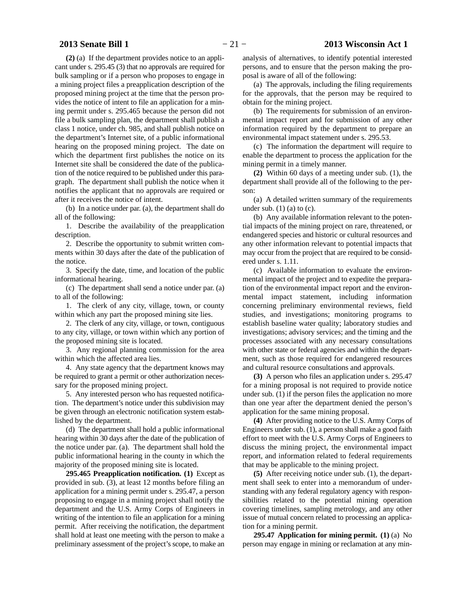**(2)** (a) If the department provides notice to an applicant under s. 295.45 (3) that no approvals are required for bulk sampling or if a person who proposes to engage in a mining project files a preapplication description of the proposed mining project at the time that the person provides the notice of intent to file an application for a mining permit under s. 295.465 because the person did not file a bulk sampling plan, the department shall publish a class 1 notice, under ch. 985, and shall publish notice on the department's Internet site, of a public informational hearing on the proposed mining project. The date on which the department first publishes the notice on its Internet site shall be considered the date of the publication of the notice required to be published under this paragraph. The department shall publish the notice when it notifies the applicant that no approvals are required or after it receives the notice of intent.

(b) In a notice under par. (a), the department shall do all of the following:

1. Describe the availability of the preapplication description.

2. Describe the opportunity to submit written comments within 30 days after the date of the publication of the notice.

3. Specify the date, time, and location of the public informational hearing.

(c) The department shall send a notice under par. (a) to all of the following:

1. The clerk of any city, village, town, or county within which any part the proposed mining site lies.

2. The clerk of any city, village, or town, contiguous to any city, village, or town within which any portion of the proposed mining site is located.

3. Any regional planning commission for the area within which the affected area lies.

4. Any state agency that the department knows may be required to grant a permit or other authorization necessary for the proposed mining project.

5. Any interested person who has requested notification. The department's notice under this subdivision may be given through an electronic notification system established by the department.

(d) The department shall hold a public informational hearing within 30 days after the date of the publication of the notice under par. (a). The department shall hold the public informational hearing in the county in which the majority of the proposed mining site is located.

**295.465 Preapplication notification. (1)** Except as provided in sub. (3), at least 12 months before filing an application for a mining permit under s. 295.47, a person proposing to engage in a mining project shall notify the department and the U.S. Army Corps of Engineers in writing of the intention to file an application for a mining permit. After receiving the notification, the department shall hold at least one meeting with the person to make a preliminary assessment of the project's scope, to make an

analysis of alternatives, to identify potential interested persons, and to ensure that the person making the proposal is aware of all of the following:

(a) The approvals, including the filing requirements for the approvals, that the person may be required to obtain for the mining project.

(b) The requirements for submission of an environmental impact report and for submission of any other information required by the department to prepare an environmental impact statement under s. 295.53.

(c) The information the department will require to enable the department to process the application for the mining permit in a timely manner.

**(2)** Within 60 days of a meeting under sub. (1), the department shall provide all of the following to the person:

(a) A detailed written summary of the requirements under sub.  $(1)$  (a) to (c).

(b) Any available information relevant to the potential impacts of the mining project on rare, threatened, or endangered species and historic or cultural resources and any other information relevant to potential impacts that may occur from the project that are required to be considered under s. 1.11.

(c) Available information to evaluate the environmental impact of the project and to expedite the preparation of the environmental impact report and the environmental impact statement, including information concerning preliminary environmental reviews, field studies, and investigations; monitoring programs to establish baseline water quality; laboratory studies and investigations; advisory services; and the timing and the processes associated with any necessary consultations with other state or federal agencies and within the department, such as those required for endangered resources and cultural resource consultations and approvals.

**(3)** A person who files an application under s. 295.47 for a mining proposal is not required to provide notice under sub. (1) if the person files the application no more than one year after the department denied the person's application for the same mining proposal.

**(4)** After providing notice to the U.S. Army Corps of Engineers under sub. (1), a person shall make a good faith effort to meet with the U.S. Army Corps of Engineers to discuss the mining project, the environmental impact report, and information related to federal requirements that may be applicable to the mining project.

**(5)** After receiving notice under sub. (1), the department shall seek to enter into a memorandum of understanding with any federal regulatory agency with responsibilities related to the potential mining operation covering timelines, sampling metrology, and any other issue of mutual concern related to processing an application for a mining permit.

**295.47 Application for mining permit. (1)** (a) No person may engage in mining or reclamation at any min-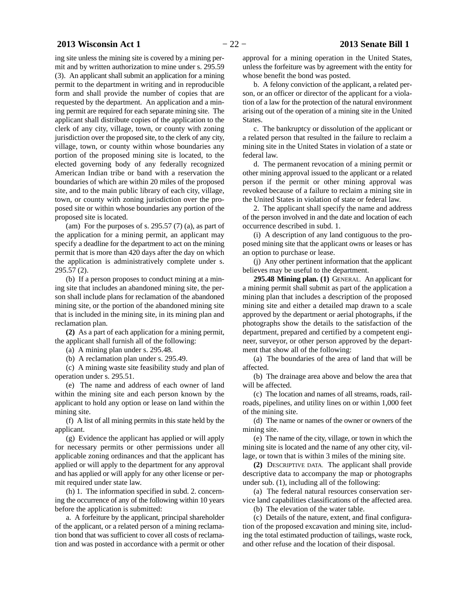# **2013 Wisconsin Act 1** − 22 − **2013 Senate Bill 1**

ing site unless the mining site is covered by a mining permit and by written authorization to mine under s. 295.59 (3). An applicant shall submit an application for a mining permit to the department in writing and in reproducible form and shall provide the number of copies that are requested by the department. An application and a mining permit are required for each separate mining site. The applicant shall distribute copies of the application to the clerk of any city, village, town, or county with zoning jurisdiction over the proposed site, to the clerk of any city, village, town, or county within whose boundaries any portion of the proposed mining site is located, to the elected governing body of any federally recognized American Indian tribe or band with a reservation the boundaries of which are within 20 miles of the proposed site, and to the main public library of each city, village, town, or county with zoning jurisdiction over the proposed site or within whose boundaries any portion of the proposed site is located.

(am) For the purposes of s. 295.57  $(7)$  (a), as part of the application for a mining permit, an applicant may specify a deadline for the department to act on the mining permit that is more than 420 days after the day on which the application is administratively complete under s. 295.57 (2).

(b) If a person proposes to conduct mining at a mining site that includes an abandoned mining site, the person shall include plans for reclamation of the abandoned mining site, or the portion of the abandoned mining site that is included in the mining site, in its mining plan and reclamation plan.

**(2)** As a part of each application for a mining permit, the applicant shall furnish all of the following:

(a) A mining plan under s. 295.48.

(b) A reclamation plan under s. 295.49.

(c) A mining waste site feasibility study and plan of operation under s. 295.51.

(e) The name and address of each owner of land within the mining site and each person known by the applicant to hold any option or lease on land within the mining site.

(f) A list of all mining permits in this state held by the applicant.

(g) Evidence the applicant has applied or will apply for necessary permits or other permissions under all applicable zoning ordinances and that the applicant has applied or will apply to the department for any approval and has applied or will apply for any other license or permit required under state law.

(h) 1. The information specified in subd. 2. concerning the occurrence of any of the following within 10 years before the application is submitted:

a. A forfeiture by the applicant, principal shareholder of the applicant, or a related person of a mining reclamation bond that was sufficient to cover all costs of reclamation and was posted in accordance with a permit or other approval for a mining operation in the United States, unless the forfeiture was by agreement with the entity for whose benefit the bond was posted.

b. A felony conviction of the applicant, a related person, or an officer or director of the applicant for a violation of a law for the protection of the natural environment arising out of the operation of a mining site in the United States.

c. The bankruptcy or dissolution of the applicant or a related person that resulted in the failure to reclaim a mining site in the United States in violation of a state or federal law.

d. The permanent revocation of a mining permit or other mining approval issued to the applicant or a related person if the permit or other mining approval was revoked because of a failure to reclaim a mining site in the United States in violation of state or federal law.

2. The applicant shall specify the name and address of the person involved in and the date and location of each occurrence described in subd. 1.

(i) A description of any land contiguous to the proposed mining site that the applicant owns or leases or has an option to purchase or lease.

(j) Any other pertinent information that the applicant believes may be useful to the department.

**295.48 Mining plan. (1)** GENERAL. An applicant for a mining permit shall submit as part of the application a mining plan that includes a description of the proposed mining site and either a detailed map drawn to a scale approved by the department or aerial photographs, if the photographs show the details to the satisfaction of the department, prepared and certified by a competent engineer, surveyor, or other person approved by the department that show all of the following:

(a) The boundaries of the area of land that will be affected.

(b) The drainage area above and below the area that will be affected.

(c) The location and names of all streams, roads, railroads, pipelines, and utility lines on or within 1,000 feet of the mining site.

(d) The name or names of the owner or owners of the mining site.

(e) The name of the city, village, or town in which the mining site is located and the name of any other city, village, or town that is within 3 miles of the mining site.

**(2)** DESCRIPTIVE DATA. The applicant shall provide descriptive data to accompany the map or photographs under sub. (1), including all of the following:

(a) The federal natural resources conservation service land capabilities classifications of the affected area.

(b) The elevation of the water table.

(c) Details of the nature, extent, and final configuration of the proposed excavation and mining site, including the total estimated production of tailings, waste rock, and other refuse and the location of their disposal.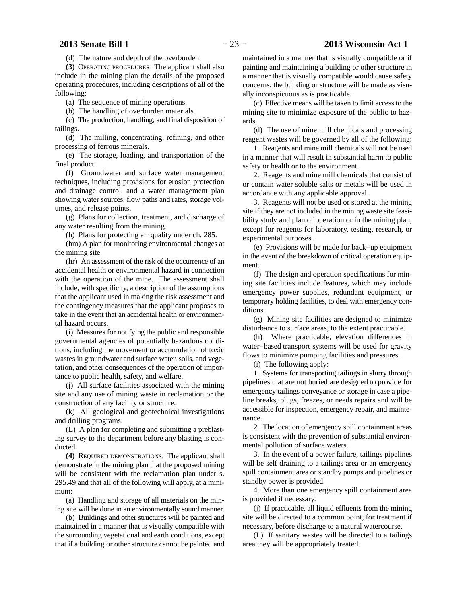# **2013 Senate Bill 1** − 23 − **2013 Wisconsin Act 1**

(d) The nature and depth of the overburden.

**(3)** OPERATING PROCEDURES. The applicant shall also include in the mining plan the details of the proposed operating procedures, including descriptions of all of the following:

(a) The sequence of mining operations.

(b) The handling of overburden materials.

(c) The production, handling, and final disposition of tailings.

(d) The milling, concentrating, refining, and other processing of ferrous minerals.

(e) The storage, loading, and transportation of the final product.

(f) Groundwater and surface water management techniques, including provisions for erosion protection and drainage control, and a water management plan showing water sources, flow paths and rates, storage volumes, and release points.

(g) Plans for collection, treatment, and discharge of any water resulting from the mining.

(h) Plans for protecting air quality under ch. 285.

(hm) A plan for monitoring environmental changes at the mining site.

(hr) An assessment of the risk of the occurrence of an accidental health or environmental hazard in connection with the operation of the mine. The assessment shall include, with specificity, a description of the assumptions that the applicant used in making the risk assessment and the contingency measures that the applicant proposes to take in the event that an accidental health or environmental hazard occurs.

(i) Measures for notifying the public and responsible governmental agencies of potentially hazardous conditions, including the movement or accumulation of toxic wastes in groundwater and surface water, soils, and vegetation, and other consequences of the operation of importance to public health, safety, and welfare.

(j) All surface facilities associated with the mining site and any use of mining waste in reclamation or the construction of any facility or structure.

(k) All geological and geotechnical investigations and drilling programs.

(L) A plan for completing and submitting a preblasting survey to the department before any blasting is conducted.

**(4)** REQUIRED DEMONSTRATIONS. The applicant shall demonstrate in the mining plan that the proposed mining will be consistent with the reclamation plan under s. 295.49 and that all of the following will apply, at a minimum:

(a) Handling and storage of all materials on the mining site will be done in an environmentally sound manner.

(b) Buildings and other structures will be painted and maintained in a manner that is visually compatible with the surrounding vegetational and earth conditions, except that if a building or other structure cannot be painted and maintained in a manner that is visually compatible or if painting and maintaining a building or other structure in a manner that is visually compatible would cause safety concerns, the building or structure will be made as visually inconspicuous as is practicable.

(c) Effective means will be taken to limit access to the mining site to minimize exposure of the public to hazards.

(d) The use of mine mill chemicals and processing reagent wastes will be governed by all of the following:

1. Reagents and mine mill chemicals will not be used in a manner that will result in substantial harm to public safety or health or to the environment.

2. Reagents and mine mill chemicals that consist of or contain water soluble salts or metals will be used in accordance with any applicable approval.

3. Reagents will not be used or stored at the mining site if they are not included in the mining waste site feasibility study and plan of operation or in the mining plan, except for reagents for laboratory, testing, research, or experimental purposes.

(e) Provisions will be made for back−up equipment in the event of the breakdown of critical operation equipment.

(f) The design and operation specifications for mining site facilities include features, which may include emergency power supplies, redundant equipment, or temporary holding facilities, to deal with emergency conditions.

(g) Mining site facilities are designed to minimize disturbance to surface areas, to the extent practicable.

(h) Where practicable, elevation differences in water−based transport systems will be used for gravity flows to minimize pumping facilities and pressures.

(i) The following apply:

1. Systems for transporting tailings in slurry through pipelines that are not buried are designed to provide for emergency tailings conveyance or storage in case a pipeline breaks, plugs, freezes, or needs repairs and will be accessible for inspection, emergency repair, and maintenance.

2. The location of emergency spill containment areas is consistent with the prevention of substantial environmental pollution of surface waters.

3. In the event of a power failure, tailings pipelines will be self draining to a tailings area or an emergency spill containment area or standby pumps and pipelines or standby power is provided.

4. More than one emergency spill containment area is provided if necessary.

(j) If practicable, all liquid effluents from the mining site will be directed to a common point, for treatment if necessary, before discharge to a natural watercourse.

(L) If sanitary wastes will be directed to a tailings area they will be appropriately treated.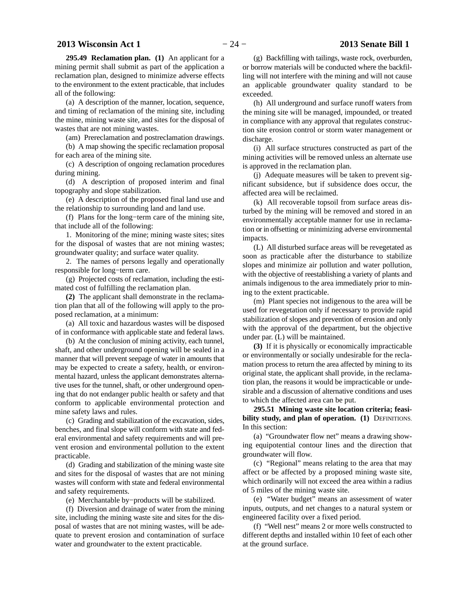**295.49 Reclamation plan. (1)** An applicant for a mining permit shall submit as part of the application a reclamation plan, designed to minimize adverse effects to the environment to the extent practicable, that includes all of the following:

(a) A description of the manner, location, sequence, and timing of reclamation of the mining site, including the mine, mining waste site, and sites for the disposal of wastes that are not mining wastes.

(am) Prereclamation and postreclamation drawings.

(b) A map showing the specific reclamation proposal for each area of the mining site.

(c) A description of ongoing reclamation procedures during mining.

(d) A description of proposed interim and final topography and slope stabilization.

(e) A description of the proposed final land use and the relationship to surrounding land and land use.

(f) Plans for the long−term care of the mining site, that include all of the following:

1. Monitoring of the mine; mining waste sites; sites for the disposal of wastes that are not mining wastes; groundwater quality; and surface water quality.

2. The names of persons legally and operationally responsible for long−term care.

(g) Projected costs of reclamation, including the estimated cost of fulfilling the reclamation plan.

**(2)** The applicant shall demonstrate in the reclamation plan that all of the following will apply to the proposed reclamation, at a minimum:

(a) All toxic and hazardous wastes will be disposed of in conformance with applicable state and federal laws.

(b) At the conclusion of mining activity, each tunnel, shaft, and other underground opening will be sealed in a manner that will prevent seepage of water in amounts that may be expected to create a safety, health, or environmental hazard, unless the applicant demonstrates alternative uses for the tunnel, shaft, or other underground opening that do not endanger public health or safety and that conform to applicable environmental protection and mine safety laws and rules.

(c) Grading and stabilization of the excavation, sides, benches, and final slope will conform with state and federal environmental and safety requirements and will prevent erosion and environmental pollution to the extent practicable.

(d) Grading and stabilization of the mining waste site and sites for the disposal of wastes that are not mining wastes will conform with state and federal environmental and safety requirements.

(e) Merchantable by−products will be stabilized.

(f) Diversion and drainage of water from the mining site, including the mining waste site and sites for the disposal of wastes that are not mining wastes, will be adequate to prevent erosion and contamination of surface water and groundwater to the extent practicable.

(g) Backfilling with tailings, waste rock, overburden, or borrow materials will be conducted where the backfilling will not interfere with the mining and will not cause an applicable groundwater quality standard to be exceeded.

(h) All underground and surface runoff waters from the mining site will be managed, impounded, or treated in compliance with any approval that regulates construction site erosion control or storm water management or discharge.

(i) All surface structures constructed as part of the mining activities will be removed unless an alternate use is approved in the reclamation plan.

(j) Adequate measures will be taken to prevent significant subsidence, but if subsidence does occur, the affected area will be reclaimed.

(k) All recoverable topsoil from surface areas disturbed by the mining will be removed and stored in an environmentally acceptable manner for use in reclamation or in offsetting or minimizing adverse environmental impacts.

(L) All disturbed surface areas will be revegetated as soon as practicable after the disturbance to stabilize slopes and minimize air pollution and water pollution, with the objective of reestablishing a variety of plants and animals indigenous to the area immediately prior to mining to the extent practicable.

(m) Plant species not indigenous to the area will be used for revegetation only if necessary to provide rapid stabilization of slopes and prevention of erosion and only with the approval of the department, but the objective under par. (L) will be maintained.

**(3)** If it is physically or economically impracticable or environmentally or socially undesirable for the reclamation process to return the area affected by mining to its original state, the applicant shall provide, in the reclamation plan, the reasons it would be impracticable or undesirable and a discussion of alternative conditions and uses to which the affected area can be put.

**295.51 Mining waste site location criteria; feasibility study, and plan of operation. (1)** DEFINITIONS. In this section:

(a) "Groundwater flow net" means a drawing showing equipotential contour lines and the direction that groundwater will flow.

(c) "Regional" means relating to the area that may affect or be affected by a proposed mining waste site, which ordinarily will not exceed the area within a radius of 5 miles of the mining waste site.

(e) "Water budget" means an assessment of water inputs, outputs, and net changes to a natural system or engineered facility over a fixed period.

(f) "Well nest" means 2 or more wells constructed to different depths and installed within 10 feet of each other at the ground surface.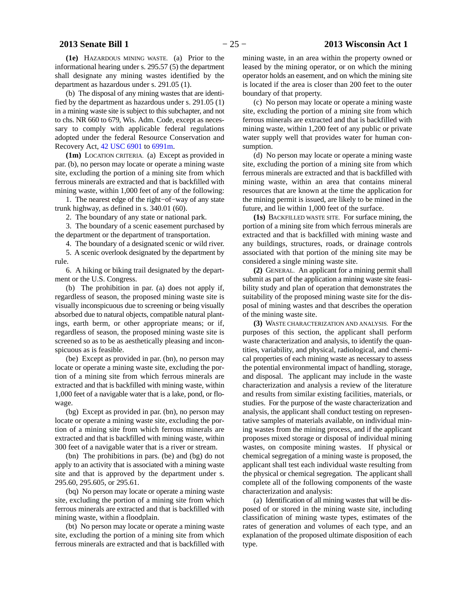**(1e)** HAZARDOUS MINING WASTE. (a) Prior to the informational hearing under s. 295.57 (5) the department shall designate any mining wastes identified by the department as hazardous under s. 291.05 (1).

(b) The disposal of any mining wastes that are identified by the department as hazardous under s. 291.05 (1) in a mining waste site is subject to this subchapter, and not to chs. NR 660 to 679, Wis. Adm. Code, except as necessary to comply with applicable federal regulations adopted under the federal Resource Conservation and Recovery Act, [42 USC 6901](http://docs.legis.wisconsin.gov/document/usc/42%20USC%206901) to [6991m.](http://docs.legis.wisconsin.gov/document/usc/42%20USC%206991m)

**(1m)** LOCATION CRITERIA. (a) Except as provided in par. (b), no person may locate or operate a mining waste site, excluding the portion of a mining site from which ferrous minerals are extracted and that is backfilled with mining waste, within 1,000 feet of any of the following:

1. The nearest edge of the right−of−way of any state trunk highway, as defined in s. 340.01 (60).

2. The boundary of any state or national park.

3. The boundary of a scenic easement purchased by the department or the department of transportation.

4. The boundary of a designated scenic or wild river.

5. A scenic overlook designated by the department by rule.

6. A hiking or biking trail designated by the department or the U.S. Congress.

(b) The prohibition in par. (a) does not apply if, regardless of season, the proposed mining waste site is visually inconspicuous due to screening or being visually absorbed due to natural objects, compatible natural plantings, earth berm, or other appropriate means; or if, regardless of season, the proposed mining waste site is screened so as to be as aesthetically pleasing and inconspicuous as is feasible.

(be) Except as provided in par. (bn), no person may locate or operate a mining waste site, excluding the portion of a mining site from which ferrous minerals are extracted and that is backfilled with mining waste, within 1,000 feet of a navigable water that is a lake, pond, or flowage.

(bg) Except as provided in par. (bn), no person may locate or operate a mining waste site, excluding the portion of a mining site from which ferrous minerals are extracted and that is backfilled with mining waste, within 300 feet of a navigable water that is a river or stream.

(bn) The prohibitions in pars. (be) and (bg) do not apply to an activity that is associated with a mining waste site and that is approved by the department under s. 295.60, 295.605, or 295.61.

(bq) No person may locate or operate a mining waste site, excluding the portion of a mining site from which ferrous minerals are extracted and that is backfilled with mining waste, within a floodplain.

(bt) No person may locate or operate a mining waste site, excluding the portion of a mining site from which ferrous minerals are extracted and that is backfilled with

(c) No person may locate or operate a mining waste site, excluding the portion of a mining site from which ferrous minerals are extracted and that is backfilled with mining waste, within 1,200 feet of any public or private water supply well that provides water for human consumption.

(d) No person may locate or operate a mining waste site, excluding the portion of a mining site from which ferrous minerals are extracted and that is backfilled with mining waste, within an area that contains mineral resources that are known at the time the application for the mining permit is issued, are likely to be mined in the future, and lie within 1,000 feet of the surface.

**(1s)** BACKFILLED WASTE SITE. For surface mining, the portion of a mining site from which ferrous minerals are extracted and that is backfilled with mining waste and any buildings, structures, roads, or drainage controls associated with that portion of the mining site may be considered a single mining waste site.

**(2)** GENERAL. An applicant for a mining permit shall submit as part of the application a mining waste site feasibility study and plan of operation that demonstrates the suitability of the proposed mining waste site for the disposal of mining wastes and that describes the operation of the mining waste site.

**(3)** WASTE CHARACTERIZATION AND ANALYSIS. For the purposes of this section, the applicant shall perform waste characterization and analysis, to identify the quantities, variability, and physical, radiological, and chemical properties of each mining waste as necessary to assess the potential environmental impact of handling, storage, and disposal. The applicant may include in the waste characterization and analysis a review of the literature and results from similar existing facilities, materials, or studies. For the purpose of the waste characterization and analysis, the applicant shall conduct testing on representative samples of materials available, on individual mining wastes from the mining process, and if the applicant proposes mixed storage or disposal of individual mining wastes, on composite mining wastes. If physical or chemical segregation of a mining waste is proposed, the applicant shall test each individual waste resulting from the physical or chemical segregation. The applicant shall complete all of the following components of the waste characterization and analysis:

(a) Identification of all mining wastes that will be disposed of or stored in the mining waste site, including classification of mining waste types, estimates of the rates of generation and volumes of each type, and an explanation of the proposed ultimate disposition of each type.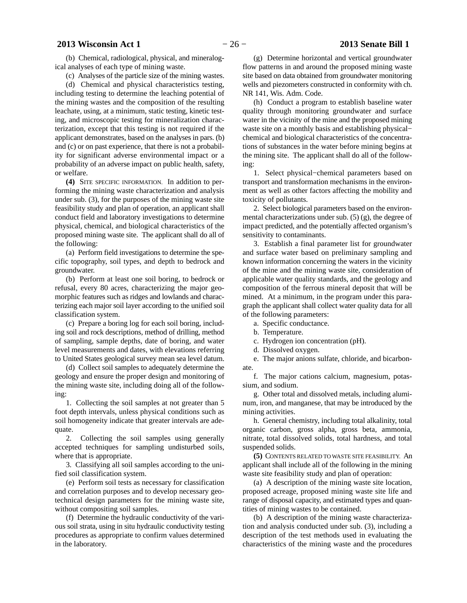# **2013 Wisconsin Act 1** − 26 − **2013 Senate Bill 1**

(b) Chemical, radiological, physical, and mineralogical analyses of each type of mining waste.

(c) Analyses of the particle size of the mining wastes.

(d) Chemical and physical characteristics testing, including testing to determine the leaching potential of the mining wastes and the composition of the resulting leachate, using, at a minimum, static testing, kinetic testing, and microscopic testing for mineralization characterization, except that this testing is not required if the applicant demonstrates, based on the analyses in pars. (b) and (c) or on past experience, that there is not a probability for significant adverse environmental impact or a probability of an adverse impact on public health, safety, or welfare.

**(4)** SITE SPECIFIC INFORMATION. In addition to performing the mining waste characterization and analysis under sub. (3), for the purposes of the mining waste site feasibility study and plan of operation, an applicant shall conduct field and laboratory investigations to determine physical, chemical, and biological characteristics of the proposed mining waste site. The applicant shall do all of the following:

(a) Perform field investigations to determine the specific topography, soil types, and depth to bedrock and groundwater.

(b) Perform at least one soil boring, to bedrock or refusal, every 80 acres, characterizing the major geomorphic features such as ridges and lowlands and characterizing each major soil layer according to the unified soil classification system.

(c) Prepare a boring log for each soil boring, including soil and rock descriptions, method of drilling, method of sampling, sample depths, date of boring, and water level measurements and dates, with elevations referring to United States geological survey mean sea level datum.

(d) Collect soil samples to adequately determine the geology and ensure the proper design and monitoring of the mining waste site, including doing all of the following:

1. Collecting the soil samples at not greater than 5 foot depth intervals, unless physical conditions such as soil homogeneity indicate that greater intervals are adequate.

2. Collecting the soil samples using generally accepted techniques for sampling undisturbed soils, where that is appropriate.

3. Classifying all soil samples according to the unified soil classification system.

(e) Perform soil tests as necessary for classification and correlation purposes and to develop necessary geotechnical design parameters for the mining waste site, without compositing soil samples.

(f) Determine the hydraulic conductivity of the various soil strata, using in situ hydraulic conductivity testing procedures as appropriate to confirm values determined in the laboratory.

(g) Determine horizontal and vertical groundwater flow patterns in and around the proposed mining waste site based on data obtained from groundwater monitoring wells and piezometers constructed in conformity with ch. NR 141, Wis. Adm. Code.

(h) Conduct a program to establish baseline water quality through monitoring groundwater and surface water in the vicinity of the mine and the proposed mining waste site on a monthly basis and establishing physical− chemical and biological characteristics of the concentrations of substances in the water before mining begins at the mining site. The applicant shall do all of the following:

1. Select physical−chemical parameters based on transport and transformation mechanisms in the environment as well as other factors affecting the mobility and toxicity of pollutants.

2. Select biological parameters based on the environmental characterizations under sub.  $(5)$  (g), the degree of impact predicted, and the potentially affected organism's sensitivity to contaminants.

3. Establish a final parameter list for groundwater and surface water based on preliminary sampling and known information concerning the waters in the vicinity of the mine and the mining waste site, consideration of applicable water quality standards, and the geology and composition of the ferrous mineral deposit that will be mined. At a minimum, in the program under this paragraph the applicant shall collect water quality data for all of the following parameters:

a. Specific conductance.

b. Temperature.

c. Hydrogen ion concentration (pH).

d. Dissolved oxygen.

e. The major anions sulfate, chloride, and bicarbonate.

f. The major cations calcium, magnesium, potassium, and sodium.

g. Other total and dissolved metals, including aluminum, iron, and manganese, that may be introduced by the mining activities.

h. General chemistry, including total alkalinity, total organic carbon, gross alpha, gross beta, ammonia, nitrate, total dissolved solids, total hardness, and total suspended solids.

**(5)** CONTENTS RELATED TO WASTE SITE FEASIBILITY. An applicant shall include all of the following in the mining waste site feasibility study and plan of operation:

(a) A description of the mining waste site location, proposed acreage, proposed mining waste site life and range of disposal capacity, and estimated types and quantities of mining wastes to be contained.

(b) A description of the mining waste characterization and analysis conducted under sub. (3), including a description of the test methods used in evaluating the characteristics of the mining waste and the procedures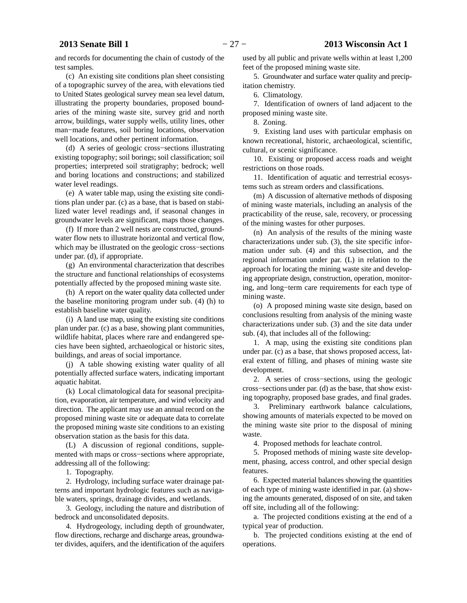and records for documenting the chain of custody of the test samples.

(c) An existing site conditions plan sheet consisting of a topographic survey of the area, with elevations tied to United States geological survey mean sea level datum, illustrating the property boundaries, proposed boundaries of the mining waste site, survey grid and north arrow, buildings, water supply wells, utility lines, other man−made features, soil boring locations, observation well locations, and other pertinent information.

(d) A series of geologic cross−sections illustrating existing topography; soil borings; soil classification; soil properties; interpreted soil stratigraphy; bedrock; well and boring locations and constructions; and stabilized water level readings.

(e) A water table map, using the existing site conditions plan under par. (c) as a base, that is based on stabilized water level readings and, if seasonal changes in groundwater levels are significant, maps those changes.

(f) If more than 2 well nests are constructed, groundwater flow nets to illustrate horizontal and vertical flow, which may be illustrated on the geologic cross−sections under par. (d), if appropriate.

(g) An environmental characterization that describes the structure and functional relationships of ecosystems potentially affected by the proposed mining waste site.

(h) A report on the water quality data collected under the baseline monitoring program under sub. (4) (h) to establish baseline water quality.

(i) A land use map, using the existing site conditions plan under par. (c) as a base, showing plant communities, wildlife habitat, places where rare and endangered species have been sighted, archaeological or historic sites, buildings, and areas of social importance.

(j) A table showing existing water quality of all potentially affected surface waters, indicating important aquatic habitat.

(k) Local climatological data for seasonal precipitation, evaporation, air temperature, and wind velocity and direction. The applicant may use an annual record on the proposed mining waste site or adequate data to correlate the proposed mining waste site conditions to an existing observation station as the basis for this data.

(L) A discussion of regional conditions, supplemented with maps or cross−sections where appropriate, addressing all of the following:

1. Topography.

2. Hydrology, including surface water drainage patterns and important hydrologic features such as navigable waters, springs, drainage divides, and wetlands.

3. Geology, including the nature and distribution of bedrock and unconsolidated deposits.

4. Hydrogeology, including depth of groundwater, flow directions, recharge and discharge areas, groundwater divides, aquifers, and the identification of the aquifers

used by all public and private wells within at least 1,200 feet of the proposed mining waste site.

5. Groundwater and surface water quality and precipitation chemistry.

6. Climatology.

7. Identification of owners of land adjacent to the proposed mining waste site.

8. Zoning.

9. Existing land uses with particular emphasis on known recreational, historic, archaeological, scientific, cultural, or scenic significance.

10. Existing or proposed access roads and weight restrictions on those roads.

11. Identification of aquatic and terrestrial ecosystems such as stream orders and classifications.

(m) A discussion of alternative methods of disposing of mining waste materials, including an analysis of the practicability of the reuse, sale, recovery, or processing of the mining wastes for other purposes.

(n) An analysis of the results of the mining waste characterizations under sub. (3), the site specific information under sub. (4) and this subsection, and the regional information under par. (L) in relation to the approach for locating the mining waste site and developing appropriate design, construction, operation, monitoring, and long−term care requirements for each type of mining waste.

(o) A proposed mining waste site design, based on conclusions resulting from analysis of the mining waste characterizations under sub. (3) and the site data under sub. (4), that includes all of the following:

1. A map, using the existing site conditions plan under par. (c) as a base, that shows proposed access, lateral extent of filling, and phases of mining waste site development.

2. A series of cross−sections, using the geologic cross−sections under par. (d) as the base, that show existing topography, proposed base grades, and final grades.

3. Preliminary earthwork balance calculations, showing amounts of materials expected to be moved on the mining waste site prior to the disposal of mining waste.

4. Proposed methods for leachate control.

5. Proposed methods of mining waste site development, phasing, access control, and other special design features.

6. Expected material balances showing the quantities of each type of mining waste identified in par. (a) showing the amounts generated, disposed of on site, and taken off site, including all of the following:

a. The projected conditions existing at the end of a typical year of production.

b. The projected conditions existing at the end of operations.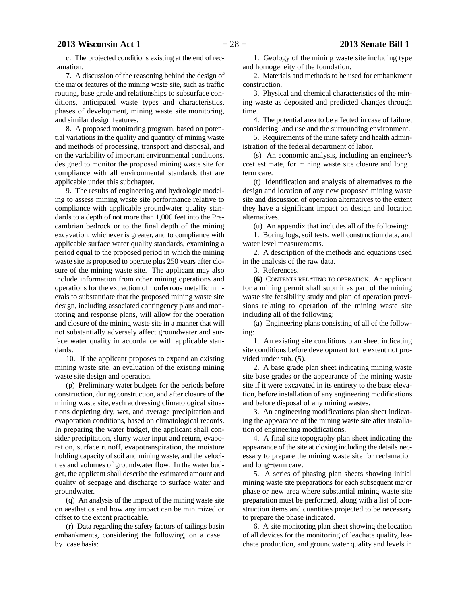c. The projected conditions existing at the end of reclamation.

7. A discussion of the reasoning behind the design of the major features of the mining waste site, such as traffic routing, base grade and relationships to subsurface conditions, anticipated waste types and characteristics, phases of development, mining waste site monitoring, and similar design features.

8. A proposed monitoring program, based on potential variations in the quality and quantity of mining waste and methods of processing, transport and disposal, and on the variability of important environmental conditions, designed to monitor the proposed mining waste site for compliance with all environmental standards that are applicable under this subchapter.

9. The results of engineering and hydrologic modeling to assess mining waste site performance relative to compliance with applicable groundwater quality standards to a depth of not more than 1,000 feet into the Precambrian bedrock or to the final depth of the mining excavation, whichever is greater, and to compliance with applicable surface water quality standards, examining a period equal to the proposed period in which the mining waste site is proposed to operate plus 250 years after closure of the mining waste site. The applicant may also include information from other mining operations and operations for the extraction of nonferrous metallic minerals to substantiate that the proposed mining waste site design, including associated contingency plans and monitoring and response plans, will allow for the operation and closure of the mining waste site in a manner that will not substantially adversely affect groundwater and surface water quality in accordance with applicable standards.

10. If the applicant proposes to expand an existing mining waste site, an evaluation of the existing mining waste site design and operation.

(p) Preliminary water budgets for the periods before construction, during construction, and after closure of the mining waste site, each addressing climatological situations depicting dry, wet, and average precipitation and evaporation conditions, based on climatological records. In preparing the water budget, the applicant shall consider precipitation, slurry water input and return, evaporation, surface runoff, evapotranspiration, the moisture holding capacity of soil and mining waste, and the velocities and volumes of groundwater flow. In the water budget, the applicant shall describe the estimated amount and quality of seepage and discharge to surface water and groundwater.

(q) An analysis of the impact of the mining waste site on aesthetics and how any impact can be minimized or offset to the extent practicable.

(r) Data regarding the safety factors of tailings basin embankments, considering the following, on a case− by−case basis:

1. Geology of the mining waste site including type and homogeneity of the foundation.

2. Materials and methods to be used for embankment construction.

3. Physical and chemical characteristics of the mining waste as deposited and predicted changes through time.

4. The potential area to be affected in case of failure, considering land use and the surrounding environment.

5. Requirements of the mine safety and health administration of the federal department of labor.

(s) An economic analysis, including an engineer's cost estimate, for mining waste site closure and long− term care.

(t) Identification and analysis of alternatives to the design and location of any new proposed mining waste site and discussion of operation alternatives to the extent they have a significant impact on design and location alternatives.

(u) An appendix that includes all of the following:

1. Boring logs, soil tests, well construction data, and water level measurements.

2. A description of the methods and equations used in the analysis of the raw data.

3. References.

**(6)** CONTENTS RELATING TO OPERATION. An applicant for a mining permit shall submit as part of the mining waste site feasibility study and plan of operation provisions relating to operation of the mining waste site including all of the following:

(a) Engineering plans consisting of all of the following:

1. An existing site conditions plan sheet indicating site conditions before development to the extent not provided under sub. (5).

2. A base grade plan sheet indicating mining waste site base grades or the appearance of the mining waste site if it were excavated in its entirety to the base elevation, before installation of any engineering modifications and before disposal of any mining wastes.

3. An engineering modifications plan sheet indicating the appearance of the mining waste site after installation of engineering modifications.

4. A final site topography plan sheet indicating the appearance of the site at closing including the details necessary to prepare the mining waste site for reclamation and long−term care.

5. A series of phasing plan sheets showing initial mining waste site preparations for each subsequent major phase or new area where substantial mining waste site preparation must be performed, along with a list of construction items and quantities projected to be necessary to prepare the phase indicated.

6. A site monitoring plan sheet showing the location of all devices for the monitoring of leachate quality, leachate production, and groundwater quality and levels in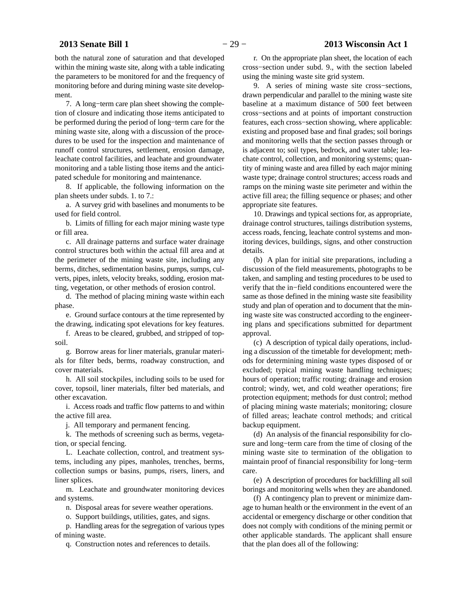both the natural zone of saturation and that developed within the mining waste site, along with a table indicating the parameters to be monitored for and the frequency of monitoring before and during mining waste site development.

7. A long−term care plan sheet showing the completion of closure and indicating those items anticipated to be performed during the period of long−term care for the mining waste site, along with a discussion of the procedures to be used for the inspection and maintenance of runoff control structures, settlement, erosion damage, leachate control facilities, and leachate and groundwater monitoring and a table listing those items and the anticipated schedule for monitoring and maintenance.

8. If applicable, the following information on the plan sheets under subds. 1. to 7.:

a. A survey grid with baselines and monuments to be used for field control.

b. Limits of filling for each major mining waste type or fill area.

c. All drainage patterns and surface water drainage control structures both within the actual fill area and at the perimeter of the mining waste site, including any berms, ditches, sedimentation basins, pumps, sumps, culverts, pipes, inlets, velocity breaks, sodding, erosion matting, vegetation, or other methods of erosion control.

d. The method of placing mining waste within each phase.

e. Ground surface contours at the time represented by the drawing, indicating spot elevations for key features.

f. Areas to be cleared, grubbed, and stripped of topsoil.

g. Borrow areas for liner materials, granular materials for filter beds, berms, roadway construction, and cover materials.

h. All soil stockpiles, including soils to be used for cover, topsoil, liner materials, filter bed materials, and other excavation.

i. Access roads and traffic flow patterns to and within the active fill area.

j. All temporary and permanent fencing.

k. The methods of screening such as berms, vegetation, or special fencing.

L. Leachate collection, control, and treatment systems, including any pipes, manholes, trenches, berms, collection sumps or basins, pumps, risers, liners, and liner splices.

m. Leachate and groundwater monitoring devices and systems.

n. Disposal areas for severe weather operations.

o. Support buildings, utilities, gates, and signs.

p. Handling areas for the segregation of various types of mining waste.

q. Construction notes and references to details.

r. On the appropriate plan sheet, the location of each cross−section under subd. 9., with the section labeled using the mining waste site grid system.

9. A series of mining waste site cross−sections, drawn perpendicular and parallel to the mining waste site baseline at a maximum distance of 500 feet between cross−sections and at points of important construction features, each cross−section showing, where applicable: existing and proposed base and final grades; soil borings and monitoring wells that the section passes through or is adjacent to; soil types, bedrock, and water table; leachate control, collection, and monitoring systems; quantity of mining waste and area filled by each major mining waste type; drainage control structures; access roads and ramps on the mining waste site perimeter and within the active fill area; the filling sequence or phases; and other appropriate site features.

10. Drawings and typical sections for, as appropriate, drainage control structures, tailings distribution systems, access roads, fencing, leachate control systems and monitoring devices, buildings, signs, and other construction details.

(b) A plan for initial site preparations, including a discussion of the field measurements, photographs to be taken, and sampling and testing procedures to be used to verify that the in−field conditions encountered were the same as those defined in the mining waste site feasibility study and plan of operation and to document that the mining waste site was constructed according to the engineering plans and specifications submitted for department approval.

(c) A description of typical daily operations, including a discussion of the timetable for development; methods for determining mining waste types disposed of or excluded; typical mining waste handling techniques; hours of operation; traffic routing; drainage and erosion control; windy, wet, and cold weather operations; fire protection equipment; methods for dust control; method of placing mining waste materials; monitoring; closure of filled areas; leachate control methods; and critical backup equipment.

(d) An analysis of the financial responsibility for closure and long−term care from the time of closing of the mining waste site to termination of the obligation to maintain proof of financial responsibility for long−term care.

(e) A description of procedures for backfilling all soil borings and monitoring wells when they are abandoned.

(f) A contingency plan to prevent or minimize damage to human health or the environment in the event of an accidental or emergency discharge or other condition that does not comply with conditions of the mining permit or other applicable standards. The applicant shall ensure that the plan does all of the following: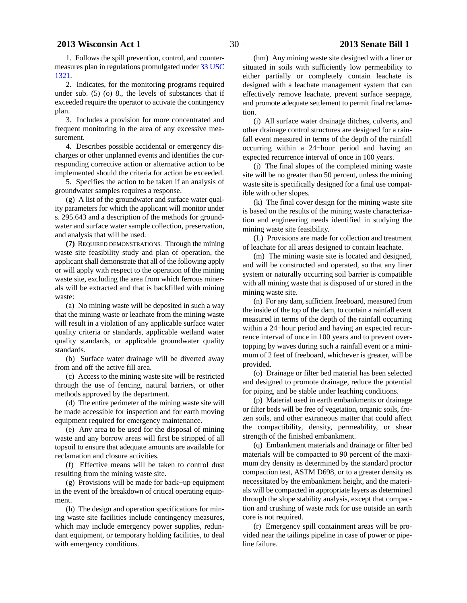1. Follows the spill prevention, control, and countermeasures plan in regulations promulgated under [33 USC](http://docs.legis.wisconsin.gov/document/usc/33%20USC%201321) [1321](http://docs.legis.wisconsin.gov/document/usc/33%20USC%201321).

2. Indicates, for the monitoring programs required under sub. (5) (o) 8., the levels of substances that if exceeded require the operator to activate the contingency plan.

3. Includes a provision for more concentrated and frequent monitoring in the area of any excessive measurement.

4. Describes possible accidental or emergency discharges or other unplanned events and identifies the corresponding corrective action or alternative action to be implemented should the criteria for action be exceeded.

5. Specifies the action to be taken if an analysis of groundwater samples requires a response.

(g) A list of the groundwater and surface water quality parameters for which the applicant will monitor under s. 295.643 and a description of the methods for groundwater and surface water sample collection, preservation, and analysis that will be used.

**(7)** REQUIRED DEMONSTRATIONS. Through the mining waste site feasibility study and plan of operation, the applicant shall demonstrate that all of the following apply or will apply with respect to the operation of the mining waste site, excluding the area from which ferrous minerals will be extracted and that is backfilled with mining waste:

(a) No mining waste will be deposited in such a way that the mining waste or leachate from the mining waste will result in a violation of any applicable surface water quality criteria or standards, applicable wetland water quality standards, or applicable groundwater quality standards.

(b) Surface water drainage will be diverted away from and off the active fill area.

(c) Access to the mining waste site will be restricted through the use of fencing, natural barriers, or other methods approved by the department.

(d) The entire perimeter of the mining waste site will be made accessible for inspection and for earth moving equipment required for emergency maintenance.

(e) Any area to be used for the disposal of mining waste and any borrow areas will first be stripped of all topsoil to ensure that adequate amounts are available for reclamation and closure activities.

(f) Effective means will be taken to control dust resulting from the mining waste site.

(g) Provisions will be made for back−up equipment in the event of the breakdown of critical operating equipment.

(h) The design and operation specifications for mining waste site facilities include contingency measures, which may include emergency power supplies, redundant equipment, or temporary holding facilities, to deal with emergency conditions.

(hm) Any mining waste site designed with a liner or situated in soils with sufficiently low permeability to either partially or completely contain leachate is designed with a leachate management system that can effectively remove leachate, prevent surface seepage, and promote adequate settlement to permit final reclamation.

(i) All surface water drainage ditches, culverts, and other drainage control structures are designed for a rainfall event measured in terms of the depth of the rainfall occurring within a 24−hour period and having an expected recurrence interval of once in 100 years.

(j) The final slopes of the completed mining waste site will be no greater than 50 percent, unless the mining waste site is specifically designed for a final use compatible with other slopes.

(k) The final cover design for the mining waste site is based on the results of the mining waste characterization and engineering needs identified in studying the mining waste site feasibility.

(L) Provisions are made for collection and treatment of leachate for all areas designed to contain leachate.

(m) The mining waste site is located and designed, and will be constructed and operated, so that any liner system or naturally occurring soil barrier is compatible with all mining waste that is disposed of or stored in the mining waste site.

(n) For any dam, sufficient freeboard, measured from the inside of the top of the dam, to contain a rainfall event measured in terms of the depth of the rainfall occurring within a 24−hour period and having an expected recurrence interval of once in 100 years and to prevent overtopping by waves during such a rainfall event or a minimum of 2 feet of freeboard, whichever is greater, will be provided.

(o) Drainage or filter bed material has been selected and designed to promote drainage, reduce the potential for piping, and be stable under leaching conditions.

(p) Material used in earth embankments or drainage or filter beds will be free of vegetation, organic soils, frozen soils, and other extraneous matter that could affect the compactibility, density, permeability, or shear strength of the finished embankment.

(q) Embankment materials and drainage or filter bed materials will be compacted to 90 percent of the maximum dry density as determined by the standard proctor compaction test, ASTM D698, or to a greater density as necessitated by the embankment height, and the materials will be compacted in appropriate layers as determined through the slope stability analysis, except that compaction and crushing of waste rock for use outside an earth core is not required.

(r) Emergency spill containment areas will be provided near the tailings pipeline in case of power or pipeline failure.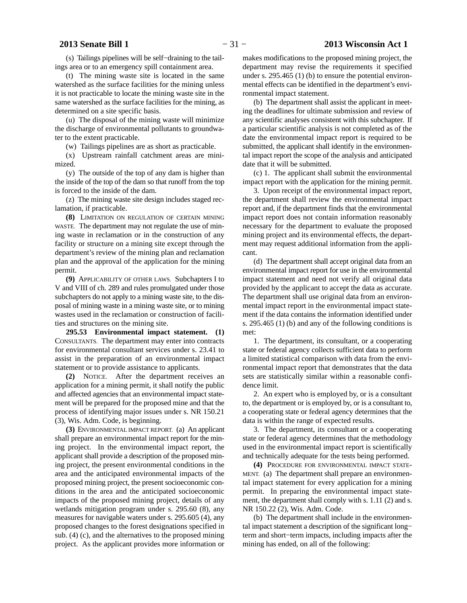(s) Tailings pipelines will be self−draining to the tailings area or to an emergency spill containment area.

(t) The mining waste site is located in the same watershed as the surface facilities for the mining unless it is not practicable to locate the mining waste site in the same watershed as the surface facilities for the mining, as determined on a site specific basis.

(u) The disposal of the mining waste will minimize the discharge of environmental pollutants to groundwater to the extent practicable.

(w) Tailings pipelines are as short as practicable.

(x) Upstream rainfall catchment areas are minimized.

(y) The outside of the top of any dam is higher than the inside of the top of the dam so that runoff from the top is forced to the inside of the dam.

(z) The mining waste site design includes staged reclamation, if practicable.

**(8)** LIMITATION ON REGULATION OF CERTAIN MINING WASTE. The department may not regulate the use of mining waste in reclamation or in the construction of any facility or structure on a mining site except through the department's review of the mining plan and reclamation plan and the approval of the application for the mining permit.

**(9)** APPLICABILITY OF OTHER LAWS. Subchapters I to V and VIII of ch. 289 and rules promulgated under those subchapters do not apply to a mining waste site, to the disposal of mining waste in a mining waste site, or to mining wastes used in the reclamation or construction of facilities and structures on the mining site.

**295.53 Environmental impact statement. (1)** CONSULTANTS. The department may enter into contracts for environmental consultant services under s. 23.41 to assist in the preparation of an environmental impact statement or to provide assistance to applicants.

**(2)** NOTICE. After the department receives an application for a mining permit, it shall notify the public and affected agencies that an environmental impact statement will be prepared for the proposed mine and that the process of identifying major issues under s. NR 150.21 (3), Wis. Adm. Code, is beginning.

**(3)** ENVIRONMENTAL IMPACT REPORT. (a) An applicant shall prepare an environmental impact report for the mining project. In the environmental impact report, the applicant shall provide a description of the proposed mining project, the present environmental conditions in the area and the anticipated environmental impacts of the proposed mining project, the present socioeconomic conditions in the area and the anticipated socioeconomic impacts of the proposed mining project, details of any wetlands mitigation program under s. 295.60 (8), any measures for navigable waters under s. 295.605 (4), any proposed changes to the forest designations specified in sub. (4) (c), and the alternatives to the proposed mining project. As the applicant provides more information or

makes modifications to the proposed mining project, the department may revise the requirements it specified under s. 295.465 (1) (b) to ensure the potential environmental effects can be identified in the department's environmental impact statement.

(b) The department shall assist the applicant in meeting the deadlines for ultimate submission and review of any scientific analyses consistent with this subchapter. If a particular scientific analysis is not completed as of the date the environmental impact report is required to be submitted, the applicant shall identify in the environmental impact report the scope of the analysis and anticipated date that it will be submitted.

(c) 1. The applicant shall submit the environmental impact report with the application for the mining permit.

3. Upon receipt of the environmental impact report, the department shall review the environmental impact report and, if the department finds that the environmental impact report does not contain information reasonably necessary for the department to evaluate the proposed mining project and its environmental effects, the department may request additional information from the applicant.

(d) The department shall accept original data from an environmental impact report for use in the environmental impact statement and need not verify all original data provided by the applicant to accept the data as accurate. The department shall use original data from an environmental impact report in the environmental impact statement if the data contains the information identified under s. 295.465 (1) (b) and any of the following conditions is met:

1. The department, its consultant, or a cooperating state or federal agency collects sufficient data to perform a limited statistical comparison with data from the environmental impact report that demonstrates that the data sets are statistically similar within a reasonable confidence limit.

2. An expert who is employed by, or is a consultant to, the department or is employed by, or is a consultant to, a cooperating state or federal agency determines that the data is within the range of expected results.

3. The department, its consultant or a cooperating state or federal agency determines that the methodology used in the environmental impact report is scientifically and technically adequate for the tests being performed.

**(4)** PROCEDURE FOR ENVIRONMENTAL IMPACT STATE-MENT. (a) The department shall prepare an environmental impact statement for every application for a mining permit. In preparing the environmental impact statement, the department shall comply with s. 1.11 (2) and s. NR 150.22 (2), Wis. Adm. Code.

(b) The department shall include in the environmental impact statement a description of the significant long− term and short−term impacts, including impacts after the mining has ended, on all of the following: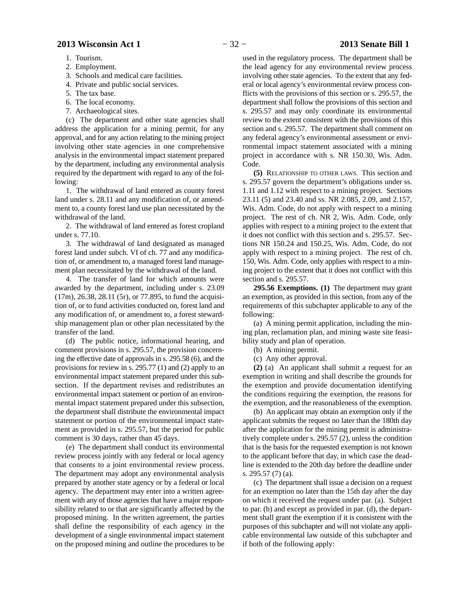- 1. Tourism.
- 2. Employment.
- 3. Schools and medical care facilities.
- 4. Private and public social services.
- 5. The tax base.
- 6. The local economy.
- 7. Archaeological sites.

(c) The department and other state agencies shall address the application for a mining permit, for any approval, and for any action relating to the mining project involving other state agencies in one comprehensive analysis in the environmental impact statement prepared by the department, including any environmental analysis required by the department with regard to any of the following:

1. The withdrawal of land entered as county forest land under s. 28.11 and any modification of, or amendment to, a county forest land use plan necessitated by the withdrawal of the land.

2. The withdrawal of land entered as forest cropland under s. 77.10.

3. The withdrawal of land designated as managed forest land under subch. VI of ch. 77 and any modification of, or amendment to, a managed forest land management plan necessitated by the withdrawal of the land.

4. The transfer of land for which amounts were awarded by the department, including under s. 23.09 (17m), 26.38, 28.11 (5r), or 77.895, to fund the acquisition of, or to fund activities conducted on, forest land and any modification of, or amendment to, a forest stewardship management plan or other plan necessitated by the transfer of the land.

(d) The public notice, informational hearing, and comment provisions in s. 295.57, the provision concerning the effective date of approvals in s. 295.58 (6), and the provisions for review in s. 295.77 (1) and (2) apply to an environmental impact statement prepared under this subsection. If the department revises and redistributes an environmental impact statement or portion of an environmental impact statement prepared under this subsection, the department shall distribute the environmental impact statement or portion of the environmental impact statement as provided in s. 295.57, but the period for public comment is 30 days, rather than 45 days.

(e) The department shall conduct its environmental review process jointly with any federal or local agency that consents to a joint environmental review process. The department may adopt any environmental analysis prepared by another state agency or by a federal or local agency. The department may enter into a written agreement with any of those agencies that have a major responsibility related to or that are significantly affected by the proposed mining. In the written agreement, the parties shall define the responsibility of each agency in the development of a single environmental impact statement on the proposed mining and outline the procedures to be

used in the regulatory process. The department shall be the lead agency for any environmental review process involving other state agencies. To the extent that any federal or local agency's environmental review process conflicts with the provisions of this section or s. 295.57, the department shall follow the provisions of this section and s. 295.57 and may only coordinate its environmental review to the extent consistent with the provisions of this section and s. 295.57. The department shall comment on any federal agency's environmental assessment or environmental impact statement associated with a mining project in accordance with s. NR 150.30, Wis. Adm. Code.

**(5)** RELATIONSHIP TO OTHER LAWS. This section and s. 295.57 govern the department's obligations under ss. 1.11 and 1.12 with respect to a mining project. Sections 23.11 (5) and 23.40 and ss. NR 2.085, 2.09, and 2.157, Wis. Adm. Code, do not apply with respect to a mining project. The rest of ch. NR 2, Wis. Adm. Code, only applies with respect to a mining project to the extent that it does not conflict with this section and s. 295.57. Sections NR 150.24 and 150.25, Wis. Adm. Code, do not apply with respect to a mining project. The rest of ch. 150, Wis. Adm. Code, only applies with respect to a mining project to the extent that it does not conflict with this section and s. 295.57.

**295.56 Exemptions. (1)** The department may grant an exemption, as provided in this section, from any of the requirements of this subchapter applicable to any of the following:

(a) A mining permit application, including the mining plan, reclamation plan, and mining waste site feasibility study and plan of operation.

- (b) A mining permit.
- (c) Any other approval.

**(2)** (a) An applicant shall submit a request for an exemption in writing and shall describe the grounds for the exemption and provide documentation identifying the conditions requiring the exemption, the reasons for the exemption, and the reasonableness of the exemption.

(b) An applicant may obtain an exemption only if the applicant submits the request no later than the 180th day after the application for the mining permit is administratively complete under s. 295.57 (2), unless the condition that is the basis for the requested exemption is not known to the applicant before that day, in which case the deadline is extended to the 20th day before the deadline under s. 295.57 (7) (a).

(c) The department shall issue a decision on a request for an exemption no later than the 15th day after the day on which it received the request under par. (a). Subject to par. (b) and except as provided in par. (d), the department shall grant the exemption if it is consistent with the purposes of this subchapter and will not violate any applicable environmental law outside of this subchapter and if both of the following apply: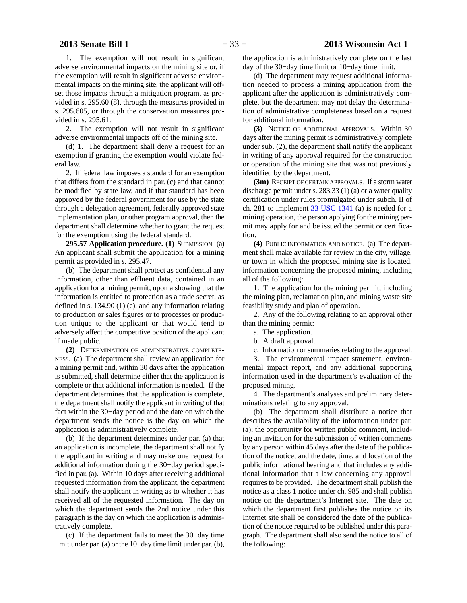1. The exemption will not result in significant adverse environmental impacts on the mining site or, if the exemption will result in significant adverse environmental impacts on the mining site, the applicant will offset those impacts through a mitigation program, as provided in s. 295.60 (8), through the measures provided in s. 295.605, or through the conservation measures provided in s. 295.61.

2. The exemption will not result in significant adverse environmental impacts off of the mining site.

(d) 1. The department shall deny a request for an exemption if granting the exemption would violate federal law.

2. If federal law imposes a standard for an exemption that differs from the standard in par. (c) and that cannot be modified by state law, and if that standard has been approved by the federal government for use by the state through a delegation agreement, federally approved state implementation plan, or other program approval, then the department shall determine whether to grant the request for the exemption using the federal standard.

**295.57 Application procedure. (1)** SUBMISSION. (a) An applicant shall submit the application for a mining permit as provided in s. 295.47.

(b) The department shall protect as confidential any information, other than effluent data, contained in an application for a mining permit, upon a showing that the information is entitled to protection as a trade secret, as defined in s. 134.90 (1) (c), and any information relating to production or sales figures or to processes or production unique to the applicant or that would tend to adversely affect the competitive position of the applicant if made public.

**(2)** DETERMINATION OF ADMINISTRATIVE COMPLETE-NESS. (a) The department shall review an application for a mining permit and, within 30 days after the application is submitted, shall determine either that the application is complete or that additional information is needed. If the department determines that the application is complete, the department shall notify the applicant in writing of that fact within the 30−day period and the date on which the department sends the notice is the day on which the application is administratively complete.

(b) If the department determines under par. (a) that an application is incomplete, the department shall notify the applicant in writing and may make one request for additional information during the 30−day period specified in par. (a). Within 10 days after receiving additional requested information from the applicant, the department shall notify the applicant in writing as to whether it has received all of the requested information. The day on which the department sends the 2nd notice under this paragraph is the day on which the application is administratively complete.

(c) If the department fails to meet the 30−day time limit under par. (a) or the 10−day time limit under par. (b),

the application is administratively complete on the last day of the 30−day time limit or 10−day time limit.

(d) The department may request additional information needed to process a mining application from the applicant after the application is administratively complete, but the department may not delay the determination of administrative completeness based on a request for additional information.

**(3)** NOTICE OF ADDITIONAL APPROVALS. Within 30 days after the mining permit is administratively complete under sub. (2), the department shall notify the applicant in writing of any approval required for the construction or operation of the mining site that was not previously identified by the department.

**(3m)** RECEIPT OF CERTAIN APPROVALS. If a storm water discharge permit under s. 283.33 (1) (a) or a water quality certification under rules promulgated under subch. II of ch. 281 to implement [33 USC 1341](http://docs.legis.wisconsin.gov/document/usc/33%20USC%201341) (a) is needed for a mining operation, the person applying for the mining permit may apply for and be issued the permit or certification.

**(4)** PUBLIC INFORMATION AND NOTICE. (a) The department shall make available for review in the city, village, or town in which the proposed mining site is located, information concerning the proposed mining, including all of the following:

1. The application for the mining permit, including the mining plan, reclamation plan, and mining waste site feasibility study and plan of operation.

2. Any of the following relating to an approval other than the mining permit:

- a. The application.
- b. A draft approval.
- c. Information or summaries relating to the approval.

3. The environmental impact statement, environmental impact report, and any additional supporting information used in the department's evaluation of the proposed mining.

4. The department's analyses and preliminary determinations relating to any approval.

(b) The department shall distribute a notice that describes the availability of the information under par. (a); the opportunity for written public comment, including an invitation for the submission of written comments by any person within 45 days after the date of the publication of the notice; and the date, time, and location of the public informational hearing and that includes any additional information that a law concerning any approval requires to be provided. The department shall publish the notice as a class 1 notice under ch. 985 and shall publish notice on the department's Internet site. The date on which the department first publishes the notice on its Internet site shall be considered the date of the publication of the notice required to be published under this paragraph. The department shall also send the notice to all of the following: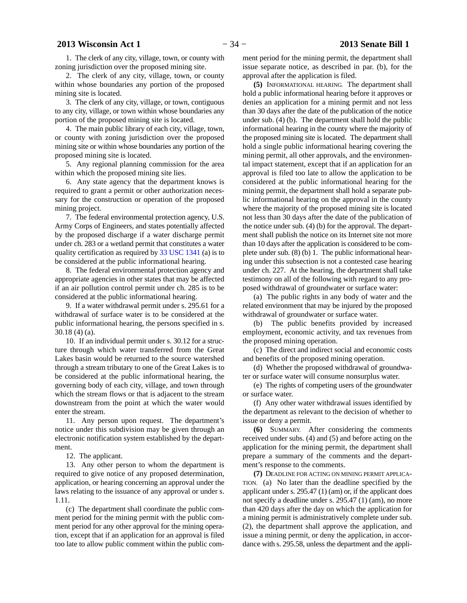1. The clerk of any city, village, town, or county with zoning jurisdiction over the proposed mining site.

2. The clerk of any city, village, town, or county within whose boundaries any portion of the proposed mining site is located.

3. The clerk of any city, village, or town, contiguous to any city, village, or town within whose boundaries any portion of the proposed mining site is located.

4. The main public library of each city, village, town, or county with zoning jurisdiction over the proposed mining site or within whose boundaries any portion of the proposed mining site is located.

5. Any regional planning commission for the area within which the proposed mining site lies.

6. Any state agency that the department knows is required to grant a permit or other authorization necessary for the construction or operation of the proposed mining project.

7. The federal environmental protection agency, U.S. Army Corps of Engineers, and states potentially affected by the proposed discharge if a water discharge permit under ch. 283 or a wetland permit that constitutes a water quality certification as required by [33 USC 1341](http://docs.legis.wisconsin.gov/document/usc/33%20USC%201341) (a) is to be considered at the public informational hearing.

8. The federal environmental protection agency and appropriate agencies in other states that may be affected if an air pollution control permit under ch. 285 is to be considered at the public informational hearing.

9. If a water withdrawal permit under s. 295.61 for a withdrawal of surface water is to be considered at the public informational hearing, the persons specified in s. 30.18 (4) (a).

10. If an individual permit under s. 30.12 for a structure through which water transferred from the Great Lakes basin would be returned to the source watershed through a stream tributary to one of the Great Lakes is to be considered at the public informational hearing, the governing body of each city, village, and town through which the stream flows or that is adjacent to the stream downstream from the point at which the water would enter the stream.

11. Any person upon request. The department's notice under this subdivision may be given through an electronic notification system established by the department.

12. The applicant.

13. Any other person to whom the department is required to give notice of any proposed determination, application, or hearing concerning an approval under the laws relating to the issuance of any approval or under s. 1.11.

(c) The department shall coordinate the public comment period for the mining permit with the public comment period for any other approval for the mining operation, except that if an application for an approval is filed too late to allow public comment within the public comment period for the mining permit, the department shall issue separate notice, as described in par. (b), for the approval after the application is filed.

**(5)** INFORMATIONAL HEARING. The department shall hold a public informational hearing before it approves or denies an application for a mining permit and not less than 30 days after the date of the publication of the notice under sub. (4) (b). The department shall hold the public informational hearing in the county where the majority of the proposed mining site is located. The department shall hold a single public informational hearing covering the mining permit, all other approvals, and the environmental impact statement, except that if an application for an approval is filed too late to allow the application to be considered at the public informational hearing for the mining permit, the department shall hold a separate public informational hearing on the approval in the county where the majority of the proposed mining site is located not less than 30 days after the date of the publication of the notice under sub. (4) (b) for the approval. The department shall publish the notice on its Internet site not more than 10 days after the application is considered to be complete under sub. (8) (b) 1. The public informational hearing under this subsection is not a contested case hearing under ch. 227. At the hearing, the department shall take testimony on all of the following with regard to any proposed withdrawal of groundwater or surface water:

(a) The public rights in any body of water and the related environment that may be injured by the proposed withdrawal of groundwater or surface water.

(b) The public benefits provided by increased employment, economic activity, and tax revenues from the proposed mining operation.

(c) The direct and indirect social and economic costs and benefits of the proposed mining operation.

(d) Whether the proposed withdrawal of groundwater or surface water will consume nonsurplus water.

(e) The rights of competing users of the groundwater or surface water.

(f) Any other water withdrawal issues identified by the department as relevant to the decision of whether to issue or deny a permit.

**(6)** SUMMARY. After considering the comments received under subs. (4) and (5) and before acting on the application for the mining permit, the department shall prepare a summary of the comments and the department's response to the comments.

**(7)** DEADLINE FOR ACTING ON MINING PERMIT APPLICA-TION. (a) No later than the deadline specified by the applicant under s. 295.47 (1) (am) or, if the applicant does not specify a deadline under s. 295.47 (1) (am), no more than 420 days after the day on which the application for a mining permit is administratively complete under sub. (2), the department shall approve the application, and issue a mining permit, or deny the application, in accordance with s. 295.58, unless the department and the appli-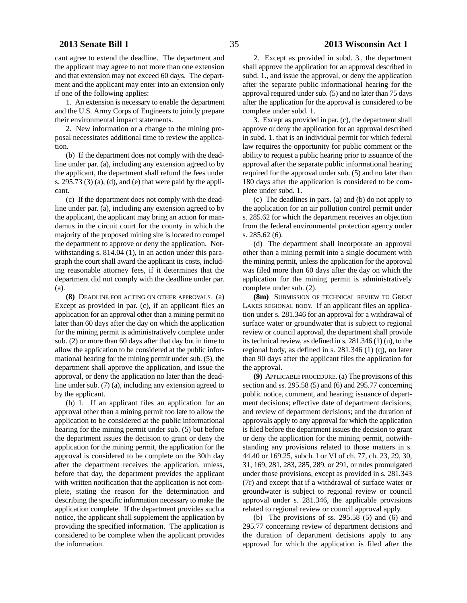# **2013 Senate Bill 1** − 35 − **2013 Wisconsin Act 1**

cant agree to extend the deadline. The department and the applicant may agree to not more than one extension and that extension may not exceed 60 days. The department and the applicant may enter into an extension only if one of the following applies:

1. An extension is necessary to enable the department and the U.S. Army Corps of Engineers to jointly prepare their environmental impact statements.

2. New information or a change to the mining proposal necessitates additional time to review the application.

(b) If the department does not comply with the deadline under par. (a), including any extension agreed to by the applicant, the department shall refund the fees under s.  $295.73$  (3) (a), (d), and (e) that were paid by the applicant.

(c) If the department does not comply with the deadline under par. (a), including any extension agreed to by the applicant, the applicant may bring an action for mandamus in the circuit court for the county in which the majority of the proposed mining site is located to compel the department to approve or deny the application. Notwithstanding s. 814.04 (1), in an action under this paragraph the court shall award the applicant its costs, including reasonable attorney fees, if it determines that the department did not comply with the deadline under par. (a).

**(8)** DEADLINE FOR ACTING ON OTHER APPROVALS. (a) Except as provided in par. (c), if an applicant files an application for an approval other than a mining permit no later than 60 days after the day on which the application for the mining permit is administratively complete under sub. (2) or more than 60 days after that day but in time to allow the application to be considered at the public informational hearing for the mining permit under sub. (5), the department shall approve the application, and issue the approval, or deny the application no later than the deadline under sub. (7) (a), including any extension agreed to by the applicant.

(b) 1. If an applicant files an application for an approval other than a mining permit too late to allow the application to be considered at the public informational hearing for the mining permit under sub. (5) but before the department issues the decision to grant or deny the application for the mining permit, the application for the approval is considered to be complete on the 30th day after the department receives the application, unless, before that day, the department provides the applicant with written notification that the application is not complete, stating the reason for the determination and describing the specific information necessary to make the application complete. If the department provides such a notice, the applicant shall supplement the application by providing the specified information. The application is considered to be complete when the applicant provides the information.

2. Except as provided in subd. 3., the department shall approve the application for an approval described in subd. 1., and issue the approval, or deny the application after the separate public informational hearing for the approval required under sub. (5) and no later than 75 days after the application for the approval is considered to be complete under subd. 1.

3. Except as provided in par. (c), the department shall approve or deny the application for an approval described in subd. 1. that is an individual permit for which federal law requires the opportunity for public comment or the ability to request a public hearing prior to issuance of the approval after the separate public informational hearing required for the approval under sub. (5) and no later than 180 days after the application is considered to be complete under subd. 1.

(c) The deadlines in pars. (a) and (b) do not apply to the application for an air pollution control permit under s. 285.62 for which the department receives an objection from the federal environmental protection agency under s. 285.62 (6).

(d) The department shall incorporate an approval other than a mining permit into a single document with the mining permit, unless the application for the approval was filed more than 60 days after the day on which the application for the mining permit is administratively complete under sub. (2).

**(8m)** SUBMISSION OF TECHNICAL REVIEW TO GREAT LAKES REGIONAL BODY. If an applicant files an application under s. 281.346 for an approval for a withdrawal of surface water or groundwater that is subject to regional review or council approval, the department shall provide its technical review, as defined in s. 281.346 (1) (u), to the regional body, as defined in s. 281.346 (1) (q), no later than 90 days after the applicant files the application for the approval.

**(9)** APPLICABLE PROCEDURE. (a) The provisions of this section and ss. 295.58 (5) and (6) and 295.77 concerning public notice, comment, and hearing; issuance of department decisions; effective date of department decisions; and review of department decisions; and the duration of approvals apply to any approval for which the application is filed before the department issues the decision to grant or deny the application for the mining permit, notwithstanding any provisions related to those matters in s. 44.40 or 169.25, subch. I or VI of ch. 77, ch. 23, 29, 30, 31, 169, 281, 283, 285, 289, or 291, or rules promulgated under those provisions, except as provided in s. 281.343 (7r) and except that if a withdrawal of surface water or groundwater is subject to regional review or council approval under s. 281.346, the applicable provisions related to regional review or council approval apply.

(b) The provisions of ss.  $295.58$  (5) and (6) and 295.77 concerning review of department decisions and the duration of department decisions apply to any approval for which the application is filed after the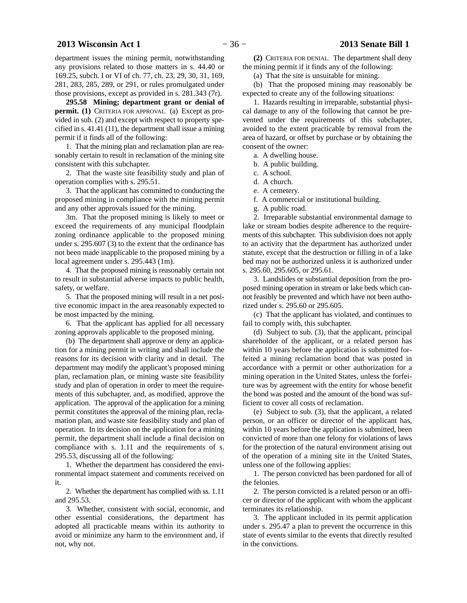department issues the mining permit, notwithstanding any provisions related to those matters in s. 44.40 or 169.25, subch. I or VI of ch. 77, ch. 23, 29, 30, 31, 169, 281, 283, 285, 289, or 291, or rules promulgated under those provisions, except as provided in s. 281.343 (7r).

**295.58 Mining; department grant or denial of permit. (1)** CRITERIA FOR APPROVAL. (a) Except as provided in sub. (2) and except with respect to property specified in s. 41.41 (11), the department shall issue a mining permit if it finds all of the following:

1. That the mining plan and reclamation plan are reasonably certain to result in reclamation of the mining site consistent with this subchapter.

2. That the waste site feasibility study and plan of operation complies with s. 295.51.

3. That the applicant has committed to conducting the proposed mining in compliance with the mining permit and any other approvals issued for the mining.

3m. That the proposed mining is likely to meet or exceed the requirements of any municipal floodplain zoning ordinance applicable to the proposed mining under s. 295.607 (3) to the extent that the ordinance has not been made inapplicable to the proposed mining by a local agreement under s. 295.443 (1m).

4. That the proposed mining is reasonably certain not to result in substantial adverse impacts to public health, safety, or welfare.

5. That the proposed mining will result in a net positive economic impact in the area reasonably expected to be most impacted by the mining.

6. That the applicant has applied for all necessary zoning approvals applicable to the proposed mining.

(b) The department shall approve or deny an application for a mining permit in writing and shall include the reasons for its decision with clarity and in detail. The department may modify the applicant's proposed mining plan, reclamation plan, or mining waste site feasibility study and plan of operation in order to meet the requirements of this subchapter, and, as modified, approve the application. The approval of the application for a mining permit constitutes the approval of the mining plan, reclamation plan, and waste site feasibility study and plan of operation. In its decision on the application for a mining permit, the department shall include a final decision on compliance with s. 1.11 and the requirements of s. 295.53, discussing all of the following:

1. Whether the department has considered the environmental impact statement and comments received on it.

2. Whether the department has complied with ss. 1.11 and 295.53.

3. Whether, consistent with social, economic, and other essential considerations, the department has adopted all practicable means within its authority to avoid or minimize any harm to the environment and, if not, why not.

**(2)** CRITERIA FOR DENIAL. The department shall deny the mining permit if it finds any of the following:

(a) That the site is unsuitable for mining.

(b) That the proposed mining may reasonably be expected to create any of the following situations:

1. Hazards resulting in irreparable, substantial physical damage to any of the following that cannot be prevented under the requirements of this subchapter, avoided to the extent practicable by removal from the area of hazard, or offset by purchase or by obtaining the consent of the owner:

a. A dwelling house.

b. A public building.

c. A school.

d. A church.

e. A cemetery.

f. A commercial or institutional building.

g. A public road.

2. Irreparable substantial environmental damage to lake or stream bodies despite adherence to the requirements of this subchapter. This subdivision does not apply to an activity that the department has authorized under statute, except that the destruction or filling in of a lake bed may not be authorized unless it is authorized under s. 295.60, 295.605, or 295.61.

3. Landslides or substantial deposition from the proposed mining operation in stream or lake beds which cannot feasibly be prevented and which have not been authorized under s. 295.60 or 295.605.

(c) That the applicant has violated, and continues to fail to comply with, this subchapter.

(d) Subject to sub. (3), that the applicant, principal shareholder of the applicant, or a related person has within 10 years before the application is submitted forfeited a mining reclamation bond that was posted in accordance with a permit or other authorization for a mining operation in the United States, unless the forfeiture was by agreement with the entity for whose benefit the bond was posted and the amount of the bond was sufficient to cover all costs of reclamation.

(e) Subject to sub. (3), that the applicant, a related person, or an officer or director of the applicant has, within 10 years before the application is submitted, been convicted of more than one felony for violations of laws for the protection of the natural environment arising out of the operation of a mining site in the United States, unless one of the following applies:

1. The person convicted has been pardoned for all of the felonies.

2. The person convicted is a related person or an officer or director of the applicant with whom the applicant terminates its relationship.

3. The applicant included in its permit application under s. 295.47 a plan to prevent the occurrence in this state of events similar to the events that directly resulted in the convictions.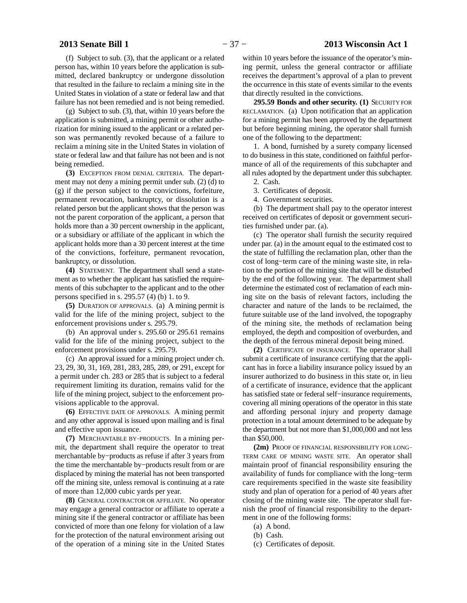(f) Subject to sub. (3), that the applicant or a related person has, within 10 years before the application is submitted, declared bankruptcy or undergone dissolution that resulted in the failure to reclaim a mining site in the United States in violation of a state or federal law and that failure has not been remedied and is not being remedied.

(g) Subject to sub. (3), that, within 10 years before the application is submitted, a mining permit or other authorization for mining issued to the applicant or a related person was permanently revoked because of a failure to reclaim a mining site in the United States in violation of state or federal law and that failure has not been and is not being remedied.

**(3)** EXCEPTION FROM DENIAL CRITERIA. The department may not deny a mining permit under sub. (2) (d) to (g) if the person subject to the convictions, forfeiture, permanent revocation, bankruptcy, or dissolution is a related person but the applicant shows that the person was not the parent corporation of the applicant, a person that holds more than a 30 percent ownership in the applicant, or a subsidiary or affiliate of the applicant in which the applicant holds more than a 30 percent interest at the time of the convictions, forfeiture, permanent revocation, bankruptcy, or dissolution.

**(4)** STATEMENT. The department shall send a statement as to whether the applicant has satisfied the requirements of this subchapter to the applicant and to the other persons specified in s. 295.57 (4) (b) 1. to 9.

**(5)** DURATION OF APPROVALS. (a) A mining permit is valid for the life of the mining project, subject to the enforcement provisions under s. 295.79.

(b) An approval under s. 295.60 or 295.61 remains valid for the life of the mining project, subject to the enforcement provisions under s. 295.79.

(c) An approval issued for a mining project under ch. 23, 29, 30, 31, 169, 281, 283, 285, 289, or 291, except for a permit under ch. 283 or 285 that is subject to a federal requirement limiting its duration, remains valid for the life of the mining project, subject to the enforcement provisions applicable to the approval.

**(6)** EFFECTIVE DATE OF APPROVALS. A mining permit and any other approval is issued upon mailing and is final and effective upon issuance.

**(7)** MERCHANTABLE BY−PRODUCTS. In a mining permit, the department shall require the operator to treat merchantable by−products as refuse if after 3 years from the time the merchantable by−products result from or are displaced by mining the material has not been transported off the mining site, unless removal is continuing at a rate of more than 12,000 cubic yards per year.

**(8)** GENERAL CONTRACTOR OR AFFILIATE. No operator may engage a general contractor or affiliate to operate a mining site if the general contractor or affiliate has been convicted of more than one felony for violation of a law for the protection of the natural environment arising out of the operation of a mining site in the United States

within 10 years before the issuance of the operator's mining permit, unless the general contractor or affiliate receives the department's approval of a plan to prevent the occurrence in this state of events similar to the events that directly resulted in the convictions.

**295.59 Bonds and other security. (1)** SECURITY FOR RECLAMATION. (a) Upon notification that an application for a mining permit has been approved by the department but before beginning mining, the operator shall furnish one of the following to the department:

1. A bond, furnished by a surety company licensed to do business in this state, conditioned on faithful performance of all of the requirements of this subchapter and all rules adopted by the department under this subchapter.

- 2. Cash.
- 3. Certificates of deposit.
- 4. Government securities.

(b) The department shall pay to the operator interest received on certificates of deposit or government securities furnished under par. (a).

(c) The operator shall furnish the security required under par. (a) in the amount equal to the estimated cost to the state of fulfilling the reclamation plan, other than the cost of long−term care of the mining waste site, in relation to the portion of the mining site that will be disturbed by the end of the following year. The department shall determine the estimated cost of reclamation of each mining site on the basis of relevant factors, including the character and nature of the lands to be reclaimed, the future suitable use of the land involved, the topography of the mining site, the methods of reclamation being employed, the depth and composition of overburden, and the depth of the ferrous mineral deposit being mined.

**(2)** CERTIFICATE OF INSURANCE. The operator shall submit a certificate of insurance certifying that the applicant has in force a liability insurance policy issued by an insurer authorized to do business in this state or, in lieu of a certificate of insurance, evidence that the applicant has satisfied state or federal self−insurance requirements, covering all mining operations of the operator in this state and affording personal injury and property damage protection in a total amount determined to be adequate by the department but not more than \$1,000,000 and not less than \$50,000.

**(2m)** PROOF OF FINANCIAL RESPONSIBILITY FOR LONG− TERM CARE OF MINING WASTE SITE. An operator shall maintain proof of financial responsibility ensuring the availability of funds for compliance with the long−term care requirements specified in the waste site feasibility study and plan of operation for a period of 40 years after closing of the mining waste site. The operator shall furnish the proof of financial responsibility to the department in one of the following forms:

- (a) A bond.
- (b) Cash.
- (c) Certificates of deposit.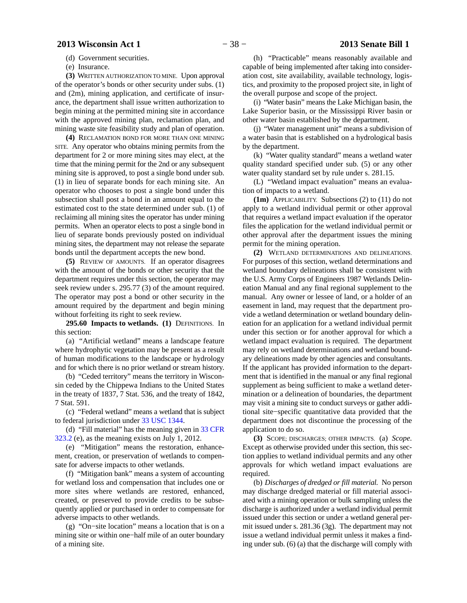(d) Government securities.

(e) Insurance.

**(3)** WRITTEN AUTHORIZATION TO MINE. Upon approval of the operator's bonds or other security under subs. (1) and (2m), mining application, and certificate of insurance, the department shall issue written authorization to begin mining at the permitted mining site in accordance with the approved mining plan, reclamation plan, and mining waste site feasibility study and plan of operation.

**(4)** RECLAMATION BOND FOR MORE THAN ONE MINING SITE. Any operator who obtains mining permits from the department for 2 or more mining sites may elect, at the time that the mining permit for the 2nd or any subsequent mining site is approved, to post a single bond under sub. (1) in lieu of separate bonds for each mining site. An operator who chooses to post a single bond under this subsection shall post a bond in an amount equal to the estimated cost to the state determined under sub. (1) of reclaiming all mining sites the operator has under mining permits. When an operator elects to post a single bond in lieu of separate bonds previously posted on individual mining sites, the department may not release the separate bonds until the department accepts the new bond.

**(5)** REVIEW OF AMOUNTS. If an operator disagrees with the amount of the bonds or other security that the department requires under this section, the operator may seek review under s. 295.77 (3) of the amount required. The operator may post a bond or other security in the amount required by the department and begin mining without forfeiting its right to seek review.

**295.60 Impacts to wetlands. (1)** DEFINITIONS. In this section:

(a) "Artificial wetland" means a landscape feature where hydrophytic vegetation may be present as a result of human modifications to the landscape or hydrology and for which there is no prior wetland or stream history.

(b) "Ceded territory" means the territory in Wisconsin ceded by the Chippewa Indians to the United States in the treaty of 1837, 7 Stat. 536, and the treaty of 1842, 7 Stat. 591.

(c) "Federal wetland" means a wetland that is subject to federal jurisdiction under [33 USC 1344](http://docs.legis.wisconsin.gov/document/usc/33%20USC%201344).

(d) "Fill material" has the meaning given in [33 CFR](http://docs.legis.wisconsin.gov/document/cfr/33%20CFR%20323.2) [323.2](http://docs.legis.wisconsin.gov/document/cfr/33%20CFR%20323.2) (e), as the meaning exists on July 1, 2012.

(e) "Mitigation" means the restoration, enhancement, creation, or preservation of wetlands to compensate for adverse impacts to other wetlands.

(f) "Mitigation bank" means a system of accounting for wetland loss and compensation that includes one or more sites where wetlands are restored, enhanced, created, or preserved to provide credits to be subsequently applied or purchased in order to compensate for adverse impacts to other wetlands.

(g) "On−site location" means a location that is on a mining site or within one−half mile of an outer boundary of a mining site.

(h) "Practicable" means reasonably available and capable of being implemented after taking into consideration cost, site availability, available technology, logistics, and proximity to the proposed project site, in light of the overall purpose and scope of the project.

(i) "Water basin" means the Lake Michigan basin, the Lake Superior basin, or the Mississippi River basin or other water basin established by the department.

(j) "Water management unit" means a subdivision of a water basin that is established on a hydrological basis by the department.

(k) "Water quality standard" means a wetland water quality standard specified under sub. (5) or any other water quality standard set by rule under s. 281.15.

(L) "Wetland impact evaluation" means an evaluation of impacts to a wetland.

**(1m)** APPLICABILITY. Subsections (2) to (11) do not apply to a wetland individual permit or other approval that requires a wetland impact evaluation if the operator files the application for the wetland individual permit or other approval after the department issues the mining permit for the mining operation.

**(2)** WETLAND DETERMINATIONS AND DELINEATIONS. For purposes of this section, wetland determinations and wetland boundary delineations shall be consistent with the U.S. Army Corps of Engineers 1987 Wetlands Delineation Manual and any final regional supplement to the manual. Any owner or lessee of land, or a holder of an easement in land, may request that the department provide a wetland determination or wetland boundary delineation for an application for a wetland individual permit under this section or for another approval for which a wetland impact evaluation is required. The department may rely on wetland determinations and wetland boundary delineations made by other agencies and consultants. If the applicant has provided information to the department that is identified in the manual or any final regional supplement as being sufficient to make a wetland determination or a delineation of boundaries, the department may visit a mining site to conduct surveys or gather additional site−specific quantitative data provided that the department does not discontinue the processing of the application to do so.

**(3)** SCOPE; DISCHARGES; OTHER IMPACTS. (a) *Scope.* Except as otherwise provided under this section, this section applies to wetland individual permits and any other approvals for which wetland impact evaluations are required.

(b) *Discharges of dredged or fill material.* No person may discharge dredged material or fill material associated with a mining operation or bulk sampling unless the discharge is authorized under a wetland individual permit issued under this section or under a wetland general permit issued under s. 281.36 (3g). The department may not issue a wetland individual permit unless it makes a finding under sub. (6) (a) that the discharge will comply with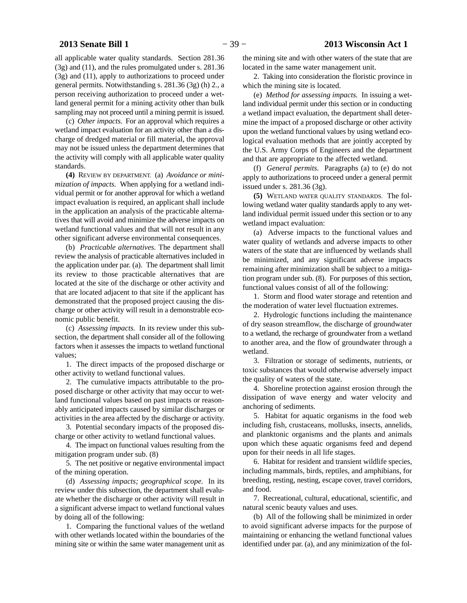all applicable water quality standards. Section 281.36 (3g) and (11), and the rules promulgated under s. 281.36 (3g) and (11), apply to authorizations to proceed under general permits. Notwithstanding s. 281.36 (3g) (h) 2., a person receiving authorization to proceed under a wetland general permit for a mining activity other than bulk sampling may not proceed until a mining permit is issued.

(c) *Other impacts.* For an approval which requires a wetland impact evaluation for an activity other than a discharge of dredged material or fill material, the approval may not be issued unless the department determines that the activity will comply with all applicable water quality standards.

**(4)** REVIEW BY DEPARTMENT. (a) *Avoidance or minimization of impacts.* When applying for a wetland individual permit or for another approval for which a wetland impact evaluation is required, an applicant shall include in the application an analysis of the practicable alternatives that will avoid and minimize the adverse impacts on wetland functional values and that will not result in any other significant adverse environmental consequences.

(b) *Practicable alternatives.* The department shall review the analysis of practicable alternatives included in the application under par. (a). The department shall limit its review to those practicable alternatives that are located at the site of the discharge or other activity and that are located adjacent to that site if the applicant has demonstrated that the proposed project causing the discharge or other activity will result in a demonstrable economic public benefit.

(c) *Assessing impacts.* In its review under this subsection, the department shall consider all of the following factors when it assesses the impacts to wetland functional values;

1. The direct impacts of the proposed discharge or other activity to wetland functional values.

2. The cumulative impacts attributable to the proposed discharge or other activity that may occur to wetland functional values based on past impacts or reasonably anticipated impacts caused by similar discharges or activities in the area affected by the discharge or activity.

3. Potential secondary impacts of the proposed discharge or other activity to wetland functional values.

4. The impact on functional values resulting from the mitigation program under sub. (8)

5. The net positive or negative environmental impact of the mining operation.

(d) *Assessing impacts; geographical scope.* In its review under this subsection, the department shall evaluate whether the discharge or other activity will result in a significant adverse impact to wetland functional values by doing all of the following:

1. Comparing the functional values of the wetland with other wetlands located within the boundaries of the mining site or within the same water management unit as

the mining site and with other waters of the state that are located in the same water management unit.

2. Taking into consideration the floristic province in which the mining site is located.

(e) *Method for assessing impacts.* In issuing a wetland individual permit under this section or in conducting a wetland impact evaluation, the department shall determine the impact of a proposed discharge or other activity upon the wetland functional values by using wetland ecological evaluation methods that are jointly accepted by the U.S. Army Corps of Engineers and the department and that are appropriate to the affected wetland.

(f) *General permits.* Paragraphs (a) to (e) do not apply to authorizations to proceed under a general permit issued under s. 281.36 (3g).

**(5)** WETLAND WATER QUALITY STANDARDS. The following wetland water quality standards apply to any wetland individual permit issued under this section or to any wetland impact evaluation:

(a) Adverse impacts to the functional values and water quality of wetlands and adverse impacts to other waters of the state that are influenced by wetlands shall be minimized, and any significant adverse impacts remaining after minimization shall be subject to a mitigation program under sub. (8). For purposes of this section, functional values consist of all of the following:

1. Storm and flood water storage and retention and the moderation of water level fluctuation extremes.

2. Hydrologic functions including the maintenance of dry season streamflow, the discharge of groundwater to a wetland, the recharge of groundwater from a wetland to another area, and the flow of groundwater through a wetland.

3. Filtration or storage of sediments, nutrients, or toxic substances that would otherwise adversely impact the quality of waters of the state.

4. Shoreline protection against erosion through the dissipation of wave energy and water velocity and anchoring of sediments.

5. Habitat for aquatic organisms in the food web including fish, crustaceans, mollusks, insects, annelids, and planktonic organisms and the plants and animals upon which these aquatic organisms feed and depend upon for their needs in all life stages.

6. Habitat for resident and transient wildlife species, including mammals, birds, reptiles, and amphibians, for breeding, resting, nesting, escape cover, travel corridors, and food.

7. Recreational, cultural, educational, scientific, and natural scenic beauty values and uses.

(b) All of the following shall be minimized in order to avoid significant adverse impacts for the purpose of maintaining or enhancing the wetland functional values identified under par. (a), and any minimization of the fol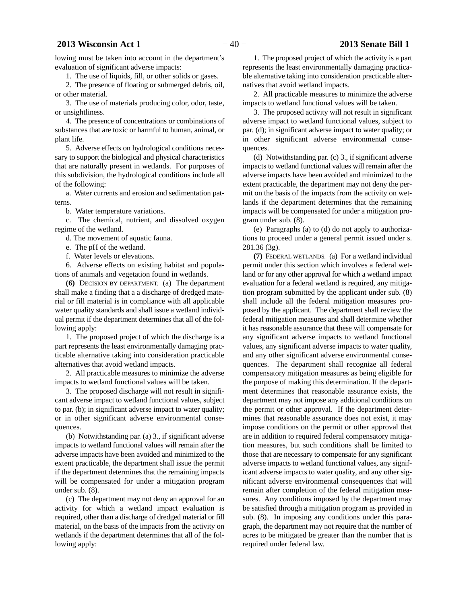lowing must be taken into account in the department's evaluation of significant adverse impacts:

1. The use of liquids, fill, or other solids or gases.

2. The presence of floating or submerged debris, oil, or other material.

3. The use of materials producing color, odor, taste, or unsightliness.

4. The presence of concentrations or combinations of substances that are toxic or harmful to human, animal, or plant life.

5. Adverse effects on hydrological conditions necessary to support the biological and physical characteristics that are naturally present in wetlands. For purposes of this subdivision, the hydrological conditions include all of the following:

a. Water currents and erosion and sedimentation patterns.

b. Water temperature variations.

c. The chemical, nutrient, and dissolved oxygen regime of the wetland.

d. The movement of aquatic fauna.

e. The pH of the wetland.

f. Water levels or elevations.

6. Adverse effects on existing habitat and populations of animals and vegetation found in wetlands.

**(6)** DECISION BY DEPARTMENT. (a) The department shall make a finding that a a discharge of dredged material or fill material is in compliance with all applicable water quality standards and shall issue a wetland individual permit if the department determines that all of the following apply:

1. The proposed project of which the discharge is a part represents the least environmentally damaging practicable alternative taking into consideration practicable alternatives that avoid wetland impacts.

2. All practicable measures to minimize the adverse impacts to wetland functional values will be taken.

3. The proposed discharge will not result in significant adverse impact to wetland functional values, subject to par. (b); in significant adverse impact to water quality; or in other significant adverse environmental consequences.

(b) Notwithstanding par. (a) 3., if significant adverse impacts to wetland functional values will remain after the adverse impacts have been avoided and minimized to the extent practicable, the department shall issue the permit if the department determines that the remaining impacts will be compensated for under a mitigation program under sub. (8).

(c) The department may not deny an approval for an activity for which a wetland impact evaluation is required, other than a discharge of dredged material or fill material, on the basis of the impacts from the activity on wetlands if the department determines that all of the following apply:

1. The proposed project of which the activity is a part represents the least environmentally damaging practicable alternative taking into consideration practicable alternatives that avoid wetland impacts.

2. All practicable measures to minimize the adverse impacts to wetland functional values will be taken.

3. The proposed activity will not result in significant adverse impact to wetland functional values, subject to par. (d); in significant adverse impact to water quality; or in other significant adverse environmental consequences.

(d) Notwithstanding par. (c) 3., if significant adverse impacts to wetland functional values will remain after the adverse impacts have been avoided and minimized to the extent practicable, the department may not deny the permit on the basis of the impacts from the activity on wetlands if the department determines that the remaining impacts will be compensated for under a mitigation program under sub. (8).

(e) Paragraphs (a) to (d) do not apply to authorizations to proceed under a general permit issued under s. 281.36 (3g).

**(7)** FEDERAL WETLANDS. (a) For a wetland individual permit under this section which involves a federal wetland or for any other approval for which a wetland impact evaluation for a federal wetland is required, any mitigation program submitted by the applicant under sub. (8) shall include all the federal mitigation measures proposed by the applicant. The department shall review the federal mitigation measures and shall determine whether it has reasonable assurance that these will compensate for any significant adverse impacts to wetland functional values, any significant adverse impacts to water quality, and any other significant adverse environmental consequences. The department shall recognize all federal compensatory mitigation measures as being eligible for the purpose of making this determination. If the department determines that reasonable assurance exists, the department may not impose any additional conditions on the permit or other approval. If the department determines that reasonable assurance does not exist, it may impose conditions on the permit or other approval that are in addition to required federal compensatory mitigation measures, but such conditions shall be limited to those that are necessary to compensate for any significant adverse impacts to wetland functional values, any significant adverse impacts to water quality, and any other significant adverse environmental consequences that will remain after completion of the federal mitigation measures. Any conditions imposed by the department may be satisfied through a mitigation program as provided in sub. (8). In imposing any conditions under this paragraph, the department may not require that the number of acres to be mitigated be greater than the number that is required under federal law.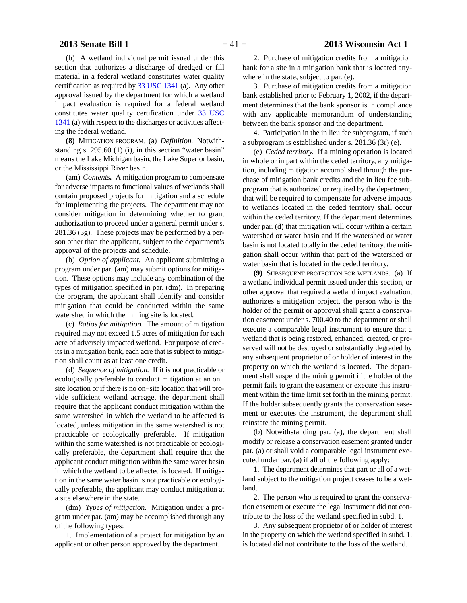(b) A wetland individual permit issued under this section that authorizes a discharge of dredged or fill material in a federal wetland constitutes water quality certification as required by [33 USC 1341](http://docs.legis.wisconsin.gov/document/usc/33%20USC%201341) (a). Any other approval issued by the department for which a wetland impact evaluation is required for a federal wetland constitutes water quality certification under [33 USC](http://docs.legis.wisconsin.gov/document/usc/33%20USC%201341) [1341](http://docs.legis.wisconsin.gov/document/usc/33%20USC%201341) (a) with respect to the discharges or activities affecting the federal wetland.

**(8)** MITIGATION PROGRAM. (a) *Definition.* Notwithstanding s. 295.60 (1) (i), in this section "water basin" means the Lake Michigan basin, the Lake Superior basin, or the Mississippi River basin.

(am) *Contents.* A mitigation program to compensate for adverse impacts to functional values of wetlands shall contain proposed projects for mitigation and a schedule for implementing the projects. The department may not consider mitigation in determining whether to grant authorization to proceed under a general permit under s. 281.36 (3g). These projects may be performed by a person other than the applicant, subject to the department's approval of the projects and schedule.

(b) *Option of applicant.* An applicant submitting a program under par. (am) may submit options for mitigation. These options may include any combination of the types of mitigation specified in par. (dm). In preparing the program, the applicant shall identify and consider mitigation that could be conducted within the same watershed in which the mining site is located.

(c) *Ratios for mitigation.* The amount of mitigation required may not exceed 1.5 acres of mitigation for each acre of adversely impacted wetland. For purpose of credits in a mitigation bank, each acre that is subject to mitigation shall count as at least one credit.

(d) *Sequence of mitigation.* If it is not practicable or ecologically preferable to conduct mitigation at an on− site location or if there is no on−site location that will provide sufficient wetland acreage, the department shall require that the applicant conduct mitigation within the same watershed in which the wetland to be affected is located, unless mitigation in the same watershed is not practicable or ecologically preferable. If mitigation within the same watershed is not practicable or ecologically preferable, the department shall require that the applicant conduct mitigation within the same water basin in which the wetland to be affected is located. If mitigation in the same water basin is not practicable or ecologically preferable, the applicant may conduct mitigation at a site elsewhere in the state.

(dm) *Types of mitigation.* Mitigation under a program under par. (am) may be accomplished through any of the following types:

1. Implementation of a project for mitigation by an applicant or other person approved by the department.

2. Purchase of mitigation credits from a mitigation bank for a site in a mitigation bank that is located anywhere in the state, subject to par. (e).

3. Purchase of mitigation credits from a mitigation bank established prior to February 1, 2002, if the department determines that the bank sponsor is in compliance with any applicable memorandum of understanding between the bank sponsor and the department.

4. Participation in the in lieu fee subprogram, if such a subprogram is established under s. 281.36 (3r) (e).

(e) *Ceded territory.* If a mining operation is located in whole or in part within the ceded territory, any mitigation, including mitigation accomplished through the purchase of mitigation bank credits and the in lieu fee subprogram that is authorized or required by the department, that will be required to compensate for adverse impacts to wetlands located in the ceded territory shall occur within the ceded territory. If the department determines under par. (d) that mitigation will occur within a certain watershed or water basin and if the watershed or water basin is not located totally in the ceded territory, the mitigation shall occur within that part of the watershed or water basin that is located in the ceded territory.

**(9)** SUBSEQUENT PROTECTION FOR WETLANDS. (a) If a wetland individual permit issued under this section, or other approval that required a wetland impact evaluation, authorizes a mitigation project, the person who is the holder of the permit or approval shall grant a conservation easement under s. 700.40 to the department or shall execute a comparable legal instrument to ensure that a wetland that is being restored, enhanced, created, or preserved will not be destroyed or substantially degraded by any subsequent proprietor of or holder of interest in the property on which the wetland is located. The department shall suspend the mining permit if the holder of the permit fails to grant the easement or execute this instrument within the time limit set forth in the mining permit. If the holder subsequently grants the conservation easement or executes the instrument, the department shall reinstate the mining permit.

(b) Notwithstanding par. (a), the department shall modify or release a conservation easement granted under par. (a) or shall void a comparable legal instrument executed under par. (a) if all of the following apply:

1. The department determines that part or all of a wetland subject to the mitigation project ceases to be a wetland.

2. The person who is required to grant the conservation easement or execute the legal instrument did not contribute to the loss of the wetland specified in subd. 1.

3. Any subsequent proprietor of or holder of interest in the property on which the wetland specified in subd. 1. is located did not contribute to the loss of the wetland.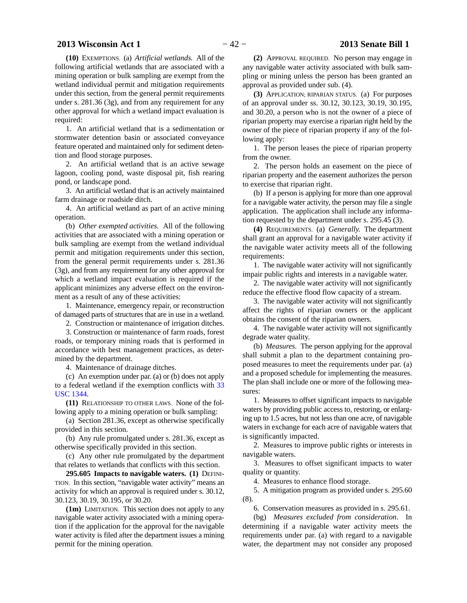# **2013 Wisconsin Act 1** − 42 − **2013 Senate Bill 1**

**(10)** EXEMPTIONS. (a) *Artificial wetlands.* All of the following artificial wetlands that are associated with a mining operation or bulk sampling are exempt from the wetland individual permit and mitigation requirements under this section, from the general permit requirements under s. 281.36 (3g), and from any requirement for any other approval for which a wetland impact evaluation is required:

1. An artificial wetland that is a sedimentation or stormwater detention basin or associated conveyance feature operated and maintained only for sediment detention and flood storage purposes.

2. An artificial wetland that is an active sewage lagoon, cooling pond, waste disposal pit, fish rearing pond, or landscape pond.

3. An artificial wetland that is an actively maintained farm drainage or roadside ditch.

4. An artificial wetland as part of an active mining operation.

(b) *Other exempted activities.* All of the following activities that are associated with a mining operation or bulk sampling are exempt from the wetland individual permit and mitigation requirements under this section, from the general permit requirements under s. 281.36 (3g), and from any requirement for any other approval for which a wetland impact evaluation is required if the applicant minimizes any adverse effect on the environment as a result of any of these activities:

1. Maintenance, emergency repair, or reconstruction of damaged parts of structures that are in use in a wetland.

2. Construction or maintenance of irrigation ditches.

3. Construction or maintenance of farm roads, forest roads, or temporary mining roads that is performed in accordance with best management practices, as determined by the department.

4. Maintenance of drainage ditches.

(c) An exemption under par. (a) or (b) does not apply to a federal wetland if the exemption conflicts with [33](http://docs.legis.wisconsin.gov/document/usc/33%20USC%201344) [USC 1344.](http://docs.legis.wisconsin.gov/document/usc/33%20USC%201344)

**(11)** RELATIONSHIP TO OTHER LAWS. None of the following apply to a mining operation or bulk sampling:

(a) Section 281.36, except as otherwise specifically provided in this section.

(b) Any rule promulgated under s. 281.36, except as otherwise specifically provided in this section.

(c) Any other rule promulgated by the department that relates to wetlands that conflicts with this section.

**295.605 Impacts to navigable waters. (1)** DEFINI-TION. In this section, "navigable water activity" means an activity for which an approval is required under s. 30.12, 30.123, 30.19, 30.195, or 30.20.

**(1m)** LIMITATION. This section does not apply to any navigable water activity associated with a mining operation if the application for the approval for the navigable water activity is filed after the department issues a mining permit for the mining operation.

**(2)** APPROVAL REQUIRED. No person may engage in any navigable water activity associated with bulk sampling or mining unless the person has been granted an approval as provided under sub. (4).

**(3)** APPLICATION; RIPARIAN STATUS. (a) For purposes of an approval under ss. 30.12, 30.123, 30.19, 30.195, and 30.20, a person who is not the owner of a piece of riparian property may exercise a riparian right held by the owner of the piece of riparian property if any of the following apply:

1. The person leases the piece of riparian property from the owner.

2. The person holds an easement on the piece of riparian property and the easement authorizes the person to exercise that riparian right.

(b) If a person is applying for more than one approval for a navigable water activity, the person may file a single application. The application shall include any information requested by the department under s. 295.45 (3).

**(4)** REQUIREMENTS. (a) *Generally.* The department shall grant an approval for a navigable water activity if the navigable water activity meets all of the following requirements:

1. The navigable water activity will not significantly impair public rights and interests in a navigable water.

2. The navigable water activity will not significantly reduce the effective flood flow capacity of a stream.

3. The navigable water activity will not significantly affect the rights of riparian owners or the applicant obtains the consent of the riparian owners.

4. The navigable water activity will not significantly degrade water quality.

(b) *Measures.* The person applying for the approval shall submit a plan to the department containing proposed measures to meet the requirements under par. (a) and a proposed schedule for implementing the measures. The plan shall include one or more of the following measures:

1. Measures to offset significant impacts to navigable waters by providing public access to, restoring, or enlarging up to 1.5 acres, but not less than one acre, of navigable waters in exchange for each acre of navigable waters that is significantly impacted.

2. Measures to improve public rights or interests in navigable waters.

3. Measures to offset significant impacts to water quality or quantity.

4. Measures to enhance flood storage.

5. A mitigation program as provided under s. 295.60 (8).

6. Conservation measures as provided in s. 295.61.

(bg) *Measures excluded from consideration*. In determining if a navigable water activity meets the requirements under par. (a) with regard to a navigable water, the department may not consider any proposed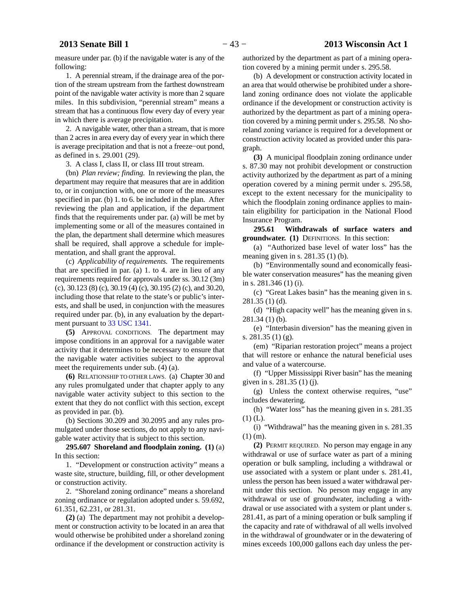measure under par. (b) if the navigable water is any of the following:

1. A perennial stream, if the drainage area of the portion of the stream upstream from the farthest downstream point of the navigable water activity is more than 2 square miles. In this subdivision, "perennial stream" means a stream that has a continuous flow every day of every year in which there is average precipitation.

2. A navigable water, other than a stream, that is more than 2 acres in area every day of every year in which there is average precipitation and that is not a freeze−out pond, as defined in s. 29.001 (29).

3. A class I, class II, or class III trout stream.

(bn) *Plan review; finding.* In reviewing the plan, the department may require that measures that are in addition to, or in conjunction with, one or more of the measures specified in par. (b) 1. to 6. be included in the plan. After reviewing the plan and application, if the department finds that the requirements under par. (a) will be met by implementing some or all of the measures contained in the plan, the department shall determine which measures shall be required, shall approve a schedule for implementation, and shall grant the approval.

(c) *Applicability of requirements.* The requirements that are specified in par. (a) 1. to 4. are in lieu of any requirements required for approvals under ss. 30.12 (3m) (c), 30.123 (8) (c), 30.19 (4) (c), 30.195 (2) (c), and 30.20, including those that relate to the state's or public's interests, and shall be used, in conjunction with the measures required under par. (b), in any evaluation by the department pursuant to [33 USC 1341.](http://docs.legis.wisconsin.gov/document/usc/33%20USC%201341)

**(5)** APPROVAL CONDITIONS. The department may impose conditions in an approval for a navigable water activity that it determines to be necessary to ensure that the navigable water activities subject to the approval meet the requirements under sub. (4) (a).

**(6)** RELATIONSHIP TO OTHER LAWS. (a) Chapter 30 and any rules promulgated under that chapter apply to any navigable water activity subject to this section to the extent that they do not conflict with this section, except as provided in par. (b).

(b) Sections 30.209 and 30.2095 and any rules promulgated under those sections, do not apply to any navigable water activity that is subject to this section.

**295.607 Shoreland and floodplain zoning. (1)** (a) In this section:

1. "Development or construction activity" means a waste site, structure, building, fill, or other development or construction activity.

2. "Shoreland zoning ordinance" means a shoreland zoning ordinance or regulation adopted under s. 59.692, 61.351, 62.231, or 281.31.

**(2)** (a) The department may not prohibit a development or construction activity to be located in an area that would otherwise be prohibited under a shoreland zoning ordinance if the development or construction activity is authorized by the department as part of a mining operation covered by a mining permit under s. 295.58.

(b) A development or construction activity located in an area that would otherwise be prohibited under a shoreland zoning ordinance does not violate the applicable ordinance if the development or construction activity is authorized by the department as part of a mining operation covered by a mining permit under s. 295.58. No shoreland zoning variance is required for a development or construction activity located as provided under this paragraph.

**(3)** A municipal floodplain zoning ordinance under s. 87.30 may not prohibit development or construction activity authorized by the department as part of a mining operation covered by a mining permit under s. 295.58, except to the extent necessary for the municipality to which the floodplain zoning ordinance applies to maintain eligibility for participation in the National Flood Insurance Program.

**295.61 Withdrawals of surface waters and groundwater. (1)** DEFINITIONS. In this section:

(a) "Authorized base level of water loss" has the meaning given in s. 281.35 (1) (b).

(b) "Environmentally sound and economically feasible water conservation measures" has the meaning given in s. 281.346 (1) (i).

(c) "Great Lakes basin" has the meaning given in s. 281.35 (1) (d).

(d) "High capacity well" has the meaning given in s. 281.34 (1) (b).

(e) "Interbasin diversion" has the meaning given in s. 281.35 (1) (g).

(em) "Riparian restoration project" means a project that will restore or enhance the natural beneficial uses and value of a watercourse.

(f) "Upper Mississippi River basin" has the meaning given in s. 281.35 (1) (j).

(g) Unless the context otherwise requires, "use" includes dewatering.

(h) "Water loss" has the meaning given in s. 281.35  $(1)$  (L).

(i) "Withdrawal" has the meaning given in s. 281.35 (1) (m).

**(2)** PERMIT REQUIRED. No person may engage in any withdrawal or use of surface water as part of a mining operation or bulk sampling, including a withdrawal or use associated with a system or plant under s. 281.41, unless the person has been issued a water withdrawal permit under this section. No person may engage in any withdrawal or use of groundwater, including a withdrawal or use associated with a system or plant under s. 281.41, as part of a mining operation or bulk sampling if the capacity and rate of withdrawal of all wells involved in the withdrawal of groundwater or in the dewatering of mines exceeds 100,000 gallons each day unless the per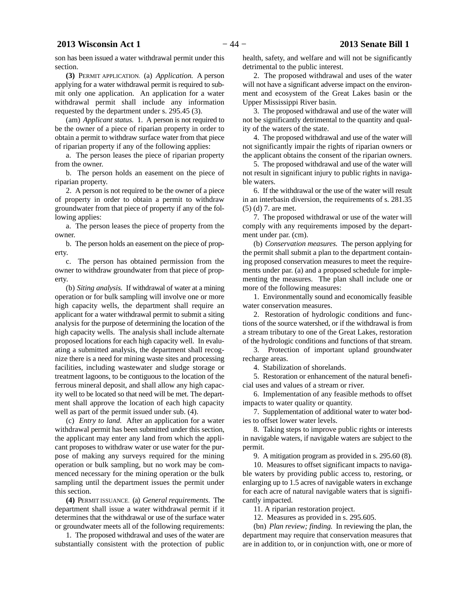son has been issued a water withdrawal permit under this section.

**(3)** PERMIT APPLICATION. (a) *Application.* A person applying for a water withdrawal permit is required to submit only one application. An application for a water withdrawal permit shall include any information requested by the department under s. 295.45 (3).

(am) *Applicant status.* 1. A person is not required to be the owner of a piece of riparian property in order to obtain a permit to withdraw surface water from that piece of riparian property if any of the following applies:

a. The person leases the piece of riparian property from the owner.

b. The person holds an easement on the piece of riparian property.

2. A person is not required to be the owner of a piece of property in order to obtain a permit to withdraw groundwater from that piece of property if any of the following applies:

a. The person leases the piece of property from the owner.

b. The person holds an easement on the piece of property.

c. The person has obtained permission from the owner to withdraw groundwater from that piece of property.

(b) *Siting analysis.* If withdrawal of water at a mining operation or for bulk sampling will involve one or more high capacity wells, the department shall require an applicant for a water withdrawal permit to submit a siting analysis for the purpose of determining the location of the high capacity wells. The analysis shall include alternate proposed locations for each high capacity well. In evaluating a submitted analysis, the department shall recognize there is a need for mining waste sites and processing facilities, including wastewater and sludge storage or treatment lagoons, to be contiguous to the location of the ferrous mineral deposit, and shall allow any high capacity well to be located so that need will be met. The department shall approve the location of each high capacity well as part of the permit issued under sub. (4).

(c) *Entry to land.* After an application for a water withdrawal permit has been submitted under this section, the applicant may enter any land from which the applicant proposes to withdraw water or use water for the purpose of making any surveys required for the mining operation or bulk sampling, but no work may be commenced necessary for the mining operation or the bulk sampling until the department issues the permit under this section.

**(4)** PERMIT ISSUANCE. (a) *General requirements.* The department shall issue a water withdrawal permit if it determines that the withdrawal or use of the surface water or groundwater meets all of the following requirements:

1. The proposed withdrawal and uses of the water are substantially consistent with the protection of public health, safety, and welfare and will not be significantly detrimental to the public interest.

2. The proposed withdrawal and uses of the water will not have a significant adverse impact on the environment and ecosystem of the Great Lakes basin or the Upper Mississippi River basin.

3. The proposed withdrawal and use of the water will not be significantly detrimental to the quantity and quality of the waters of the state.

4. The proposed withdrawal and use of the water will not significantly impair the rights of riparian owners or the applicant obtains the consent of the riparian owners.

5. The proposed withdrawal and use of the water will not result in significant injury to public rights in navigable waters.

6. If the withdrawal or the use of the water will result in an interbasin diversion, the requirements of s. 281.35 (5) (d) 7. are met.

7. The proposed withdrawal or use of the water will comply with any requirements imposed by the department under par. (cm).

(b) *Conservation measures.* The person applying for the permit shall submit a plan to the department containing proposed conservation measures to meet the requirements under par. (a) and a proposed schedule for implementing the measures. The plan shall include one or more of the following measures:

1. Environmentally sound and economically feasible water conservation measures.

2. Restoration of hydrologic conditions and functions of the source watershed, or if the withdrawal is from a stream tributary to one of the Great Lakes, restoration of the hydrologic conditions and functions of that stream.

3. Protection of important upland groundwater recharge areas.

4. Stabilization of shorelands.

5. Restoration or enhancement of the natural beneficial uses and values of a stream or river.

6. Implementation of any feasible methods to offset impacts to water quality or quantity.

7. Supplementation of additional water to water bodies to offset lower water levels.

8. Taking steps to improve public rights or interests in navigable waters, if navigable waters are subject to the permit.

9. A mitigation program as provided in s. 295.60 (8).

10. Measures to offset significant impacts to navigable waters by providing public access to, restoring, or enlarging up to 1.5 acres of navigable waters in exchange for each acre of natural navigable waters that is significantly impacted.

11. A riparian restoration project.

12. Measures as provided in s. 295.605.

(bn) *Plan review; finding.* In reviewing the plan, the department may require that conservation measures that are in addition to, or in conjunction with, one or more of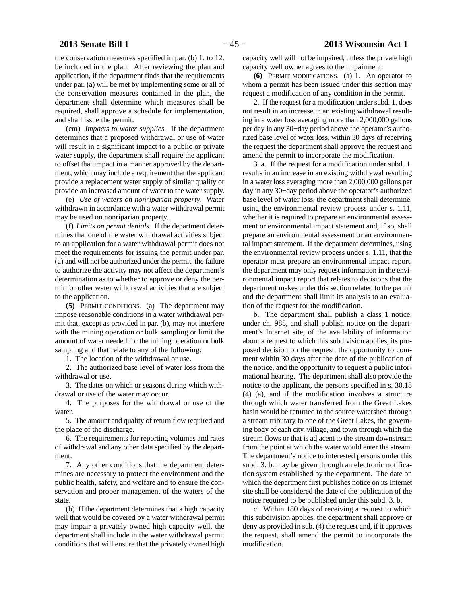the conservation measures specified in par. (b) 1. to 12. be included in the plan. After reviewing the plan and application, if the department finds that the requirements under par. (a) will be met by implementing some or all of the conservation measures contained in the plan, the department shall determine which measures shall be required, shall approve a schedule for implementation, and shall issue the permit.

(cm) *Impacts to water supplies.* If the department determines that a proposed withdrawal or use of water will result in a significant impact to a public or private water supply, the department shall require the applicant to offset that impact in a manner approved by the department, which may include a requirement that the applicant provide a replacement water supply of similar quality or provide an increased amount of water to the water supply.

(e) *Use of waters on nonriparian property.* Water withdrawn in accordance with a water withdrawal permit may be used on nonriparian property.

(f) *Limits on permit denials.* If the department determines that one of the water withdrawal activities subject to an application for a water withdrawal permit does not meet the requirements for issuing the permit under par. (a) and will not be authorized under the permit, the failure to authorize the activity may not affect the department's determination as to whether to approve or deny the permit for other water withdrawal activities that are subject to the application.

**(5)** PERMIT CONDITIONS. (a) The department may impose reasonable conditions in a water withdrawal permit that, except as provided in par. (b), may not interfere with the mining operation or bulk sampling or limit the amount of water needed for the mining operation or bulk sampling and that relate to any of the following:

1. The location of the withdrawal or use.

2. The authorized base level of water loss from the withdrawal or use.

3. The dates on which or seasons during which withdrawal or use of the water may occur.

4. The purposes for the withdrawal or use of the water.

5. The amount and quality of return flow required and the place of the discharge.

6. The requirements for reporting volumes and rates of withdrawal and any other data specified by the department.

7. Any other conditions that the department determines are necessary to protect the environment and the public health, safety, and welfare and to ensure the conservation and proper management of the waters of the state.

(b) If the department determines that a high capacity well that would be covered by a water withdrawal permit may impair a privately owned high capacity well, the department shall include in the water withdrawal permit conditions that will ensure that the privately owned high

capacity well will not be impaired, unless the private high capacity well owner agrees to the impairment.

**(6)** PERMIT MODIFICATIONS. (a) 1. An operator to whom a permit has been issued under this section may request a modification of any condition in the permit.

2. If the request for a modification under subd. 1. does not result in an increase in an existing withdrawal resulting in a water loss averaging more than 2,000,000 gallons per day in any 30−day period above the operator's authorized base level of water loss, within 30 days of receiving the request the department shall approve the request and amend the permit to incorporate the modification.

3. a. If the request for a modification under subd. 1. results in an increase in an existing withdrawal resulting in a water loss averaging more than 2,000,000 gallons per day in any 30−day period above the operator's authorized base level of water loss, the department shall determine, using the environmental review process under s. 1.11, whether it is required to prepare an environmental assessment or environmental impact statement and, if so, shall prepare an environmental assessment or an environmental impact statement. If the department determines, using the environmental review process under s. 1.11, that the operator must prepare an environmental impact report, the department may only request information in the environmental impact report that relates to decisions that the department makes under this section related to the permit and the department shall limit its analysis to an evaluation of the request for the modification.

b. The department shall publish a class 1 notice, under ch. 985, and shall publish notice on the department's Internet site, of the availability of information about a request to which this subdivision applies, its proposed decision on the request, the opportunity to comment within 30 days after the date of the publication of the notice, and the opportunity to request a public informational hearing. The department shall also provide the notice to the applicant, the persons specified in s. 30.18 (4) (a), and if the modification involves a structure through which water transferred from the Great Lakes basin would be returned to the source watershed through a stream tributary to one of the Great Lakes, the governing body of each city, village, and town through which the stream flows or that is adjacent to the stream downstream from the point at which the water would enter the stream. The department's notice to interested persons under this subd. 3. b. may be given through an electronic notification system established by the department. The date on which the department first publishes notice on its Internet site shall be considered the date of the publication of the notice required to be published under this subd. 3. b.

c. Within 180 days of receiving a request to which this subdivision applies, the department shall approve or deny as provided in sub. (4) the request and, if it approves the request, shall amend the permit to incorporate the modification.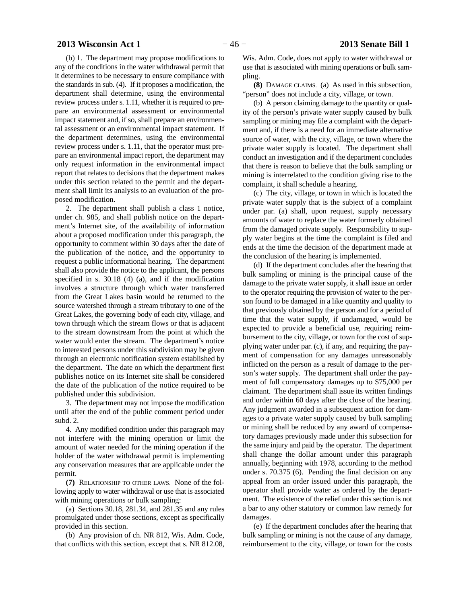(b) 1. The department may propose modifications to any of the conditions in the water withdrawal permit that it determines to be necessary to ensure compliance with the standards in sub. (4). If it proposes a modification, the department shall determine, using the environmental review process under s. 1.11, whether it is required to prepare an environmental assessment or environmental impact statement and, if so, shall prepare an environmental assessment or an environmental impact statement. If the department determines, using the environmental review process under s. 1.11, that the operator must prepare an environmental impact report, the department may only request information in the environmental impact report that relates to decisions that the department makes under this section related to the permit and the department shall limit its analysis to an evaluation of the proposed modification.

2. The department shall publish a class 1 notice, under ch. 985, and shall publish notice on the department's Internet site, of the availability of information about a proposed modification under this paragraph, the opportunity to comment within 30 days after the date of the publication of the notice, and the opportunity to request a public informational hearing. The department shall also provide the notice to the applicant, the persons specified in s. 30.18 (4) (a), and if the modification involves a structure through which water transferred from the Great Lakes basin would be returned to the source watershed through a stream tributary to one of the Great Lakes, the governing body of each city, village, and town through which the stream flows or that is adjacent to the stream downstream from the point at which the water would enter the stream. The department's notice to interested persons under this subdivision may be given through an electronic notification system established by the department. The date on which the department first publishes notice on its Internet site shall be considered the date of the publication of the notice required to be published under this subdivision.

3. The department may not impose the modification until after the end of the public comment period under subd. 2.

4. Any modified condition under this paragraph may not interfere with the mining operation or limit the amount of water needed for the mining operation if the holder of the water withdrawal permit is implementing any conservation measures that are applicable under the permit.

**(7)** RELATIONSHIP TO OTHER LAWS. None of the following apply to water withdrawal or use that is associated with mining operations or bulk sampling:

(a) Sections 30.18, 281.34, and 281.35 and any rules promulgated under those sections, except as specifically provided in this section.

(b) Any provision of ch. NR 812, Wis. Adm. Code, that conflicts with this section, except that s. NR 812.08, Wis. Adm. Code, does not apply to water withdrawal or use that is associated with mining operations or bulk sampling.

**(8)** DAMAGE CLAIMS. (a) As used in this subsection, "person" does not include a city, village, or town.

(b) A person claiming damage to the quantity or quality of the person's private water supply caused by bulk sampling or mining may file a complaint with the department and, if there is a need for an immediate alternative source of water, with the city, village, or town where the private water supply is located. The department shall conduct an investigation and if the department concludes that there is reason to believe that the bulk sampling or mining is interrelated to the condition giving rise to the complaint, it shall schedule a hearing.

(c) The city, village, or town in which is located the private water supply that is the subject of a complaint under par. (a) shall, upon request, supply necessary amounts of water to replace the water formerly obtained from the damaged private supply. Responsibility to supply water begins at the time the complaint is filed and ends at the time the decision of the department made at the conclusion of the hearing is implemented.

(d) If the department concludes after the hearing that bulk sampling or mining is the principal cause of the damage to the private water supply, it shall issue an order to the operator requiring the provision of water to the person found to be damaged in a like quantity and quality to that previously obtained by the person and for a period of time that the water supply, if undamaged, would be expected to provide a beneficial use, requiring reimbursement to the city, village, or town for the cost of supplying water under par. (c), if any, and requiring the payment of compensation for any damages unreasonably inflicted on the person as a result of damage to the person's water supply. The department shall order the payment of full compensatory damages up to \$75,000 per claimant. The department shall issue its written findings and order within 60 days after the close of the hearing. Any judgment awarded in a subsequent action for damages to a private water supply caused by bulk sampling or mining shall be reduced by any award of compensatory damages previously made under this subsection for the same injury and paid by the operator. The department shall change the dollar amount under this paragraph annually, beginning with 1978, according to the method under s. 70.375 (6). Pending the final decision on any appeal from an order issued under this paragraph, the operator shall provide water as ordered by the department. The existence of the relief under this section is not a bar to any other statutory or common law remedy for damages.

(e) If the department concludes after the hearing that bulk sampling or mining is not the cause of any damage, reimbursement to the city, village, or town for the costs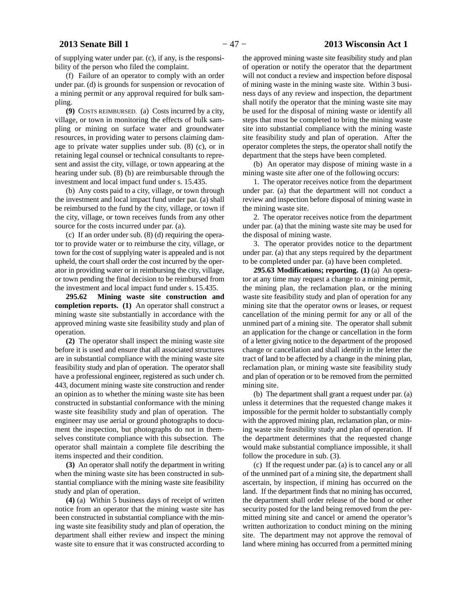of supplying water under par. (c), if any, is the responsibility of the person who filed the complaint.

(f) Failure of an operator to comply with an order under par. (d) is grounds for suspension or revocation of a mining permit or any approval required for bulk sampling.

**(9)** COSTS REIMBURSED. (a) Costs incurred by a city, village, or town in monitoring the effects of bulk sampling or mining on surface water and groundwater resources, in providing water to persons claiming damage to private water supplies under sub. (8) (c), or in retaining legal counsel or technical consultants to represent and assist the city, village, or town appearing at the hearing under sub. (8) (b) are reimbursable through the investment and local impact fund under s. 15.435.

(b) Any costs paid to a city, village, or town through the investment and local impact fund under par. (a) shall be reimbursed to the fund by the city, village, or town if the city, village, or town receives funds from any other source for the costs incurred under par. (a).

(c) If an order under sub. (8) (d) requiring the operator to provide water or to reimburse the city, village, or town for the cost of supplying water is appealed and is not upheld, the court shall order the cost incurred by the operator in providing water or in reimbursing the city, village, or town pending the final decision to be reimbursed from the investment and local impact fund under s. 15.435.

**295.62 Mining waste site construction and completion reports. (1)** An operator shall construct a mining waste site substantially in accordance with the approved mining waste site feasibility study and plan of operation.

**(2)** The operator shall inspect the mining waste site before it is used and ensure that all associated structures are in substantial compliance with the mining waste site feasibility study and plan of operation. The operator shall have a professional engineer, registered as such under ch. 443, document mining waste site construction and render an opinion as to whether the mining waste site has been constructed in substantial conformance with the mining waste site feasibility study and plan of operation. The engineer may use aerial or ground photographs to document the inspection, but photographs do not in themselves constitute compliance with this subsection. The operator shall maintain a complete file describing the items inspected and their condition.

**(3)** An operator shall notify the department in writing when the mining waste site has been constructed in substantial compliance with the mining waste site feasibility study and plan of operation.

**(4)** (a) Within 5 business days of receipt of written notice from an operator that the mining waste site has been constructed in substantial compliance with the mining waste site feasibility study and plan of operation, the department shall either review and inspect the mining waste site to ensure that it was constructed according to

the approved mining waste site feasibility study and plan of operation or notify the operator that the department will not conduct a review and inspection before disposal of mining waste in the mining waste site. Within 3 business days of any review and inspection, the department shall notify the operator that the mining waste site may be used for the disposal of mining waste or identify all steps that must be completed to bring the mining waste site into substantial compliance with the mining waste site feasibility study and plan of operation. After the operator completes the steps, the operator shall notify the department that the steps have been completed.

(b) An operator may dispose of mining waste in a mining waste site after one of the following occurs:

1. The operator receives notice from the department under par. (a) that the department will not conduct a review and inspection before disposal of mining waste in the mining waste site.

2. The operator receives notice from the department under par. (a) that the mining waste site may be used for the disposal of mining waste.

3. The operator provides notice to the department under par. (a) that any steps required by the department to be completed under par. (a) have been completed.

**295.63 Modifications; reporting. (1)** (a) An operator at any time may request a change to a mining permit, the mining plan, the reclamation plan, or the mining waste site feasibility study and plan of operation for any mining site that the operator owns or leases, or request cancellation of the mining permit for any or all of the unmined part of a mining site. The operator shall submit an application for the change or cancellation in the form of a letter giving notice to the department of the proposed change or cancellation and shall identify in the letter the tract of land to be affected by a change in the mining plan, reclamation plan, or mining waste site feasibility study and plan of operation or to be removed from the permitted mining site.

(b) The department shall grant a request under par. (a) unless it determines that the requested change makes it impossible for the permit holder to substantially comply with the approved mining plan, reclamation plan, or mining waste site feasibility study and plan of operation. If the department determines that the requested change would make substantial compliance impossible, it shall follow the procedure in sub. (3).

(c) If the request under par. (a) is to cancel any or all of the unmined part of a mining site, the department shall ascertain, by inspection, if mining has occurred on the land. If the department finds that no mining has occurred, the department shall order release of the bond or other security posted for the land being removed from the permitted mining site and cancel or amend the operator's written authorization to conduct mining on the mining site. The department may not approve the removal of land where mining has occurred from a permitted mining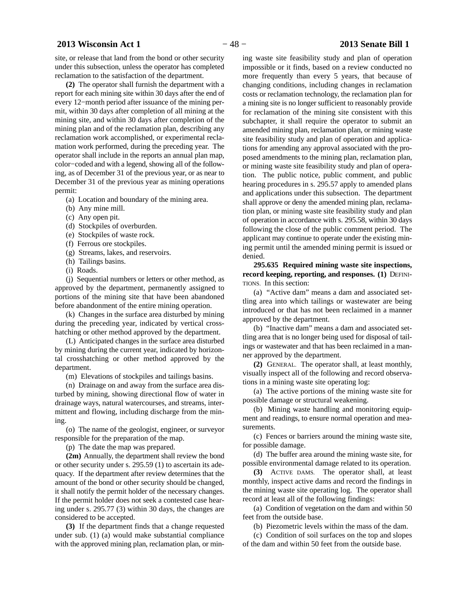site, or release that land from the bond or other security under this subsection, unless the operator has completed reclamation to the satisfaction of the department.

**(2)** The operator shall furnish the department with a report for each mining site within 30 days after the end of every 12−month period after issuance of the mining permit, within 30 days after completion of all mining at the mining site, and within 30 days after completion of the mining plan and of the reclamation plan, describing any reclamation work accomplished, or experimental reclamation work performed, during the preceding year. The operator shall include in the reports an annual plan map, color−coded and with a legend, showing all of the following, as of December 31 of the previous year, or as near to December 31 of the previous year as mining operations permit:

- (a) Location and boundary of the mining area.
- (b) Any mine mill.
- (c) Any open pit.
- (d) Stockpiles of overburden.
- (e) Stockpiles of waste rock.
- (f) Ferrous ore stockpiles.
- (g) Streams, lakes, and reservoirs.
- (h) Tailings basins.
- (i) Roads.

(j) Sequential numbers or letters or other method, as approved by the department, permanently assigned to portions of the mining site that have been abandoned before abandonment of the entire mining operation.

(k) Changes in the surface area disturbed by mining during the preceding year, indicated by vertical crosshatching or other method approved by the department.

(L) Anticipated changes in the surface area disturbed by mining during the current year, indicated by horizontal crosshatching or other method approved by the department.

(m) Elevations of stockpiles and tailings basins.

(n) Drainage on and away from the surface area disturbed by mining, showing directional flow of water in drainage ways, natural watercourses, and streams, intermittent and flowing, including discharge from the mining.

(o) The name of the geologist, engineer, or surveyor responsible for the preparation of the map.

(p) The date the map was prepared.

**(2m)** Annually, the department shall review the bond or other security under s. 295.59 (1) to ascertain its adequacy. If the department after review determines that the amount of the bond or other security should be changed, it shall notify the permit holder of the necessary changes. If the permit holder does not seek a contested case hearing under s. 295.77 (3) within 30 days, the changes are considered to be accepted.

**(3)** If the department finds that a change requested under sub. (1) (a) would make substantial compliance with the approved mining plan, reclamation plan, or min-

ing waste site feasibility study and plan of operation impossible or it finds, based on a review conducted no more frequently than every 5 years, that because of changing conditions, including changes in reclamation costs or reclamation technology, the reclamation plan for a mining site is no longer sufficient to reasonably provide for reclamation of the mining site consistent with this subchapter, it shall require the operator to submit an amended mining plan, reclamation plan, or mining waste site feasibility study and plan of operation and applications for amending any approval associated with the proposed amendments to the mining plan, reclamation plan, or mining waste site feasibility study and plan of operation. The public notice, public comment, and public hearing procedures in s. 295.57 apply to amended plans and applications under this subsection. The department shall approve or deny the amended mining plan, reclama-

tion plan, or mining waste site feasibility study and plan of operation in accordance with s. 295.58, within 30 days following the close of the public comment period. The applicant may continue to operate under the existing mining permit until the amended mining permit is issued or denied.

**295.635 Required mining waste site inspections, record keeping, reporting, and responses. (1)** DEFINI-TIONS. In this section:

(a) "Active dam" means a dam and associated settling area into which tailings or wastewater are being introduced or that has not been reclaimed in a manner approved by the department.

(b) "Inactive dam" means a dam and associated settling area that is no longer being used for disposal of tailings or wastewater and that has been reclaimed in a manner approved by the department.

**(2)** GENERAL. The operator shall, at least monthly, visually inspect all of the following and record observations in a mining waste site operating log:

(a) The active portions of the mining waste site for possible damage or structural weakening.

(b) Mining waste handling and monitoring equipment and readings, to ensure normal operation and measurements.

(c) Fences or barriers around the mining waste site, for possible damage.

(d) The buffer area around the mining waste site, for possible environmental damage related to its operation.

**(3)** ACTIVE DAMS. The operator shall, at least monthly, inspect active dams and record the findings in the mining waste site operating log. The operator shall record at least all of the following findings:

(a) Condition of vegetation on the dam and within 50 feet from the outside base.

(b) Piezometric levels within the mass of the dam.

(c) Condition of soil surfaces on the top and slopes of the dam and within 50 feet from the outside base.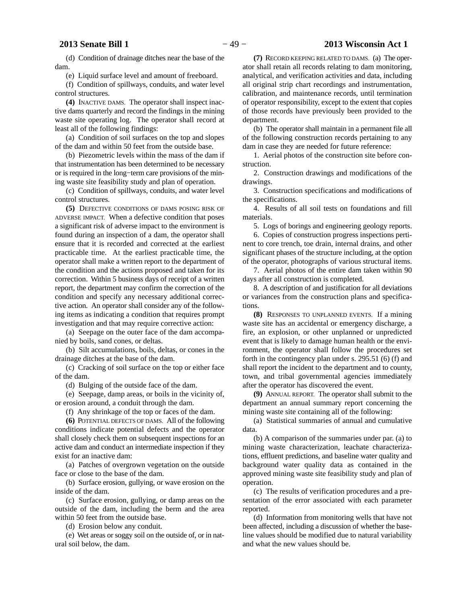# **2013 Senate Bill 1** − 49 − **2013 Wisconsin Act 1**

(d) Condition of drainage ditches near the base of the dam.

(e) Liquid surface level and amount of freeboard.

(f) Condition of spillways, conduits, and water level control structures.

**(4)** INACTIVE DAMS. The operator shall inspect inactive dams quarterly and record the findings in the mining waste site operating log. The operator shall record at least all of the following findings:

(a) Condition of soil surfaces on the top and slopes of the dam and within 50 feet from the outside base.

(b) Piezometric levels within the mass of the dam if that instrumentation has been determined to be necessary or is required in the long−term care provisions of the mining waste site feasibility study and plan of operation.

(c) Condition of spillways, conduits, and water level control structures.

**(5)** DEFECTIVE CONDITIONS OF DAMS POSING RISK OF ADVERSE IMPACT. When a defective condition that poses a significant risk of adverse impact to the environment is found during an inspection of a dam, the operator shall ensure that it is recorded and corrected at the earliest practicable time. At the earliest practicable time, the operator shall make a written report to the department of the condition and the actions proposed and taken for its correction. Within 5 business days of receipt of a written report, the department may confirm the correction of the condition and specify any necessary additional corrective action. An operator shall consider any of the following items as indicating a condition that requires prompt investigation and that may require corrective action:

(a) Seepage on the outer face of the dam accompanied by boils, sand cones, or deltas.

(b) Silt accumulations, boils, deltas, or cones in the drainage ditches at the base of the dam.

(c) Cracking of soil surface on the top or either face of the dam.

(d) Bulging of the outside face of the dam.

(e) Seepage, damp areas, or boils in the vicinity of, or erosion around, a conduit through the dam.

(f) Any shrinkage of the top or faces of the dam.

**(6)** POTENTIAL DEFECTS OF DAMS. All of the following conditions indicate potential defects and the operator shall closely check them on subsequent inspections for an active dam and conduct an intermediate inspection if they exist for an inactive dam:

(a) Patches of overgrown vegetation on the outside face or close to the base of the dam.

(b) Surface erosion, gullying, or wave erosion on the inside of the dam.

(c) Surface erosion, gullying, or damp areas on the outside of the dam, including the berm and the area within 50 feet from the outside base.

(d) Erosion below any conduit.

(e) Wet areas or soggy soil on the outside of, or in natural soil below, the dam.

**(7)** RECORD KEEPING RELATED TO DAMS. (a) The operator shall retain all records relating to dam monitoring, analytical, and verification activities and data, including all original strip chart recordings and instrumentation, calibration, and maintenance records, until termination of operator responsibility, except to the extent that copies of those records have previously been provided to the department.

(b) The operator shall maintain in a permanent file all of the following construction records pertaining to any dam in case they are needed for future reference:

1. Aerial photos of the construction site before construction.

2. Construction drawings and modifications of the drawings.

3. Construction specifications and modifications of the specifications.

4. Results of all soil tests on foundations and fill materials.

5. Logs of borings and engineering geology reports.

6. Copies of construction progress inspections pertinent to core trench, toe drain, internal drains, and other significant phases of the structure including, at the option of the operator, photographs of various structural items.

7. Aerial photos of the entire dam taken within 90 days after all construction is completed.

8. A description of and justification for all deviations or variances from the construction plans and specifications.

**(8)** RESPONSES TO UNPLANNED EVENTS. If a mining waste site has an accidental or emergency discharge, a fire, an explosion, or other unplanned or unpredicted event that is likely to damage human health or the environment, the operator shall follow the procedures set forth in the contingency plan under s. 295.51 (6) (f) and shall report the incident to the department and to county, town, and tribal governmental agencies immediately after the operator has discovered the event.

**(9)** ANNUAL REPORT. The operator shall submit to the department an annual summary report concerning the mining waste site containing all of the following:

(a) Statistical summaries of annual and cumulative data.

(b) A comparison of the summaries under par. (a) to mining waste characterization, leachate characterizations, effluent predictions, and baseline water quality and background water quality data as contained in the approved mining waste site feasibility study and plan of operation.

(c) The results of verification procedures and a presentation of the error associated with each parameter reported.

(d) Information from monitoring wells that have not been affected, including a discussion of whether the baseline values should be modified due to natural variability and what the new values should be.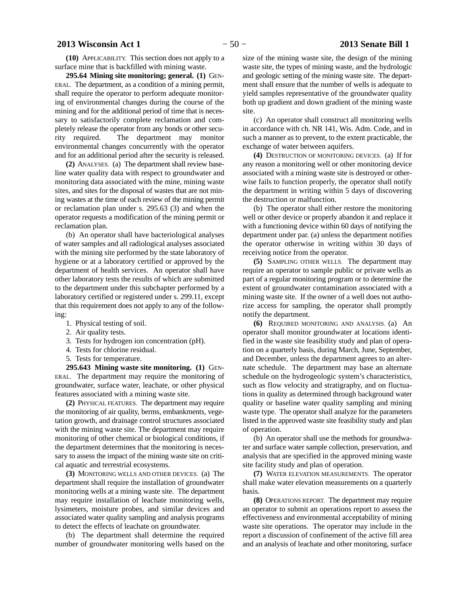**(10)** APPLICABILITY. This section does not apply to a surface mine that is backfilled with mining waste.

**295.64 Mining site monitoring; general. (1)** GEN-ERAL. The department, as a condition of a mining permit, shall require the operator to perform adequate monitoring of environmental changes during the course of the mining and for the additional period of time that is necessary to satisfactorily complete reclamation and completely release the operator from any bonds or other security required. The department may monitor environmental changes concurrently with the operator and for an additional period after the security is released.

**(2)** ANALYSES. (a) The department shall review baseline water quality data with respect to groundwater and monitoring data associated with the mine, mining waste sites, and sites for the disposal of wastes that are not mining wastes at the time of each review of the mining permit or reclamation plan under s. 295.63 (3) and when the operator requests a modification of the mining permit or reclamation plan.

(b) An operator shall have bacteriological analyses of water samples and all radiological analyses associated with the mining site performed by the state laboratory of hygiene or at a laboratory certified or approved by the department of health services. An operator shall have other laboratory tests the results of which are submitted to the department under this subchapter performed by a laboratory certified or registered under s. 299.11, except that this requirement does not apply to any of the following:

- 1. Physical testing of soil.
- 2. Air quality tests.
- 3. Tests for hydrogen ion concentration (pH).
- 4. Tests for chlorine residual.
- 5. Tests for temperature.

**295.643 Mining waste site monitoring. (1)** GEN-ERAL. The department may require the monitoring of groundwater, surface water, leachate, or other physical features associated with a mining waste site.

**(2)** PHYSICAL FEATURES. The department may require the monitoring of air quality, berms, embankments, vegetation growth, and drainage control structures associated with the mining waste site. The department may require monitoring of other chemical or biological conditions, if the department determines that the monitoring is necessary to assess the impact of the mining waste site on critical aquatic and terrestrial ecosystems.

**(3)** MONITORING WELLS AND OTHER DEVICES. (a) The department shall require the installation of groundwater monitoring wells at a mining waste site. The department may require installation of leachate monitoring wells, lysimeters, moisture probes, and similar devices and associated water quality sampling and analysis programs to detect the effects of leachate on groundwater.

(b) The department shall determine the required number of groundwater monitoring wells based on the

size of the mining waste site, the design of the mining waste site, the types of mining waste, and the hydrologic and geologic setting of the mining waste site. The department shall ensure that the number of wells is adequate to yield samples representative of the groundwater quality both up gradient and down gradient of the mining waste site.

(c) An operator shall construct all monitoring wells in accordance with ch. NR 141, Wis. Adm. Code, and in such a manner as to prevent, to the extent practicable, the exchange of water between aquifers.

**(4)** DESTRUCTION OF MONITORING DEVICES. (a) If for any reason a monitoring well or other monitoring device associated with a mining waste site is destroyed or otherwise fails to function properly, the operator shall notify the department in writing within 5 days of discovering the destruction or malfunction.

(b) The operator shall either restore the monitoring well or other device or properly abandon it and replace it with a functioning device within 60 days of notifying the department under par. (a) unless the department notifies the operator otherwise in writing within 30 days of receiving notice from the operator.

**(5)** SAMPLING OTHER WELLS. The department may require an operator to sample public or private wells as part of a regular monitoring program or to determine the extent of groundwater contamination associated with a mining waste site. If the owner of a well does not authorize access for sampling, the operator shall promptly notify the department.

**(6)** REQUIRED MONITORING AND ANALYSIS. (a) An operator shall monitor groundwater at locations identified in the waste site feasibility study and plan of operation on a quarterly basis, during March, June, September, and December, unless the department agrees to an alternate schedule. The department may base an alternate schedule on the hydrogeologic system's characteristics, such as flow velocity and stratigraphy, and on fluctuations in quality as determined through background water quality or baseline water quality sampling and mining waste type. The operator shall analyze for the parameters listed in the approved waste site feasibility study and plan of operation.

(b) An operator shall use the methods for groundwater and surface water sample collection, preservation, and analysis that are specified in the approved mining waste site facility study and plan of operation.

**(7)** WATER ELEVATION MEASUREMENTS. The operator shall make water elevation measurements on a quarterly basis.

**(8)** OPERATIONS REPORT. The department may require an operator to submit an operations report to assess the effectiveness and environmental acceptability of mining waste site operations. The operator may include in the report a discussion of confinement of the active fill area and an analysis of leachate and other monitoring, surface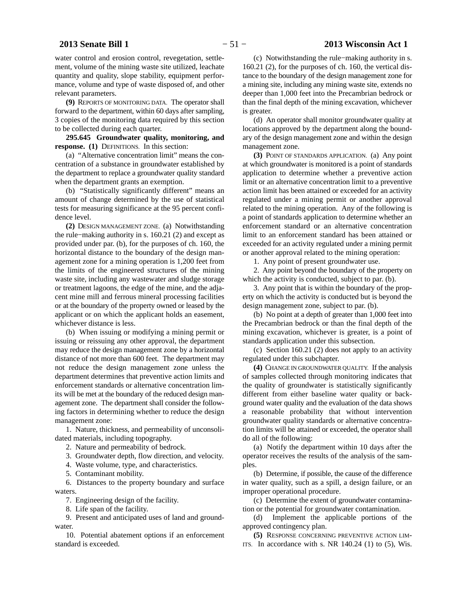# **2013 Senate Bill 1** − 51 − **2013 Wisconsin Act 1**

water control and erosion control, revegetation, settlement, volume of the mining waste site utilized, leachate quantity and quality, slope stability, equipment performance, volume and type of waste disposed of, and other relevant parameters.

**(9)** REPORTS OF MONITORING DATA. The operator shall forward to the department, within 60 days after sampling, 3 copies of the monitoring data required by this section to be collected during each quarter.

**295.645 Groundwater quality, monitoring, and response. (1)** DEFINITIONS. In this section:

(a) "Alternative concentration limit" means the concentration of a substance in groundwater established by the department to replace a groundwater quality standard when the department grants an exemption.

(b) "Statistically significantly different" means an amount of change determined by the use of statistical tests for measuring significance at the 95 percent confidence level.

**(2)** DESIGN MANAGEMENT ZONE. (a) Notwithstanding the rule−making authority in s. 160.21 (2) and except as provided under par. (b), for the purposes of ch. 160, the horizontal distance to the boundary of the design management zone for a mining operation is 1,200 feet from the limits of the engineered structures of the mining waste site, including any wastewater and sludge storage or treatment lagoons, the edge of the mine, and the adjacent mine mill and ferrous mineral processing facilities or at the boundary of the property owned or leased by the applicant or on which the applicant holds an easement, whichever distance is less.

(b) When issuing or modifying a mining permit or issuing or reissuing any other approval, the department may reduce the design management zone by a horizontal distance of not more than 600 feet. The department may not reduce the design management zone unless the department determines that preventive action limits and enforcement standards or alternative concentration limits will be met at the boundary of the reduced design management zone. The department shall consider the following factors in determining whether to reduce the design management zone:

1. Nature, thickness, and permeability of unconsolidated materials, including topography.

2. Nature and permeability of bedrock.

3. Groundwater depth, flow direction, and velocity.

4. Waste volume, type, and characteristics.

5. Contaminant mobility.

6. Distances to the property boundary and surface waters.

7. Engineering design of the facility.

8. Life span of the facility.

9. Present and anticipated uses of land and groundwater

10. Potential abatement options if an enforcement standard is exceeded.

(c) Notwithstanding the rule−making authority in s. 160.21 (2), for the purposes of ch. 160, the vertical distance to the boundary of the design management zone for a mining site, including any mining waste site, extends no deeper than 1,000 feet into the Precambrian bedrock or than the final depth of the mining excavation, whichever is greater.

(d) An operator shall monitor groundwater quality at locations approved by the department along the boundary of the design management zone and within the design management zone.

**(3)** POINT OF STANDARDS APPLICATION. (a) Any point at which groundwater is monitored is a point of standards application to determine whether a preventive action limit or an alternative concentration limit to a preventive action limit has been attained or exceeded for an activity regulated under a mining permit or another approval related to the mining operation. Any of the following is a point of standards application to determine whether an enforcement standard or an alternative concentration limit to an enforcement standard has been attained or exceeded for an activity regulated under a mining permit or another approval related to the mining operation:

1. Any point of present groundwater use.

2. Any point beyond the boundary of the property on which the activity is conducted, subject to par. (b).

3. Any point that is within the boundary of the property on which the activity is conducted but is beyond the design management zone, subject to par. (b).

(b) No point at a depth of greater than 1,000 feet into the Precambrian bedrock or than the final depth of the mining excavation, whichever is greater, is a point of standards application under this subsection.

(c) Section 160.21 (2) does not apply to an activity regulated under this subchapter.

**(4)** CHANGE IN GROUNDWATER QUALITY. If the analysis of samples collected through monitoring indicates that the quality of groundwater is statistically significantly different from either baseline water quality or background water quality and the evaluation of the data shows a reasonable probability that without intervention groundwater quality standards or alternative concentration limits will be attained or exceeded, the operator shall do all of the following:

(a) Notify the department within 10 days after the operator receives the results of the analysis of the samples.

(b) Determine, if possible, the cause of the difference in water quality, such as a spill, a design failure, or an improper operational procedure.

(c) Determine the extent of groundwater contamination or the potential for groundwater contamination.

(d) Implement the applicable portions of the approved contingency plan.

**(5)** RESPONSE CONCERNING PREVENTIVE ACTION LIM-ITS. In accordance with s. NR  $140.24$  (1) to (5), Wis.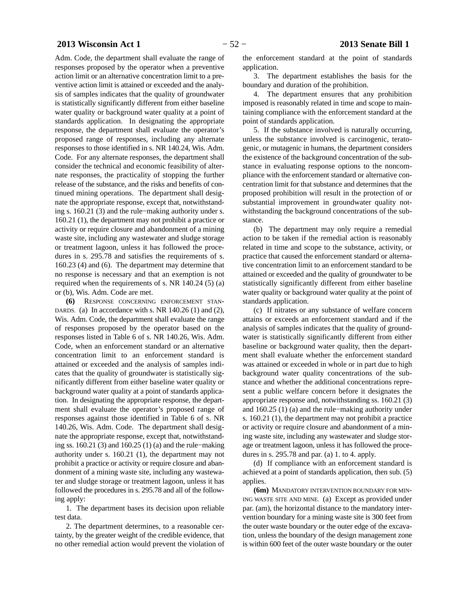# **2013 Wisconsin Act 1** − 52 − **2013 Senate Bill 1**

Adm. Code, the department shall evaluate the range of responses proposed by the operator when a preventive action limit or an alternative concentration limit to a preventive action limit is attained or exceeded and the analysis of samples indicates that the quality of groundwater is statistically significantly different from either baseline water quality or background water quality at a point of standards application. In designating the appropriate response, the department shall evaluate the operator's proposed range of responses, including any alternate responses to those identified in s. NR 140.24, Wis. Adm. Code. For any alternate responses, the department shall consider the technical and economic feasibility of alternate responses, the practicality of stopping the further release of the substance, and the risks and benefits of continued mining operations. The department shall designate the appropriate response, except that, notwithstanding s. 160.21 (3) and the rule−making authority under s. 160.21 (1), the department may not prohibit a practice or activity or require closure and abandonment of a mining waste site, including any wastewater and sludge storage or treatment lagoon, unless it has followed the procedures in s. 295.78 and satisfies the requirements of s. 160.23 (4) and (6). The department may determine that no response is necessary and that an exemption is not required when the requirements of s. NR 140.24 (5) (a) or (b), Wis. Adm. Code are met.

**(6)** RESPONSE CONCERNING ENFORCEMENT STAN-DARDS. (a) In accordance with s. NR 140.26 (1) and (2), Wis. Adm. Code, the department shall evaluate the range of responses proposed by the operator based on the responses listed in Table 6 of s. NR 140.26, Wis. Adm. Code, when an enforcement standard or an alternative concentration limit to an enforcement standard is attained or exceeded and the analysis of samples indicates that the quality of groundwater is statistically significantly different from either baseline water quality or background water quality at a point of standards application. In designating the appropriate response, the department shall evaluate the operator's proposed range of responses against those identified in Table 6 of s. NR 140.26, Wis. Adm. Code. The department shall designate the appropriate response, except that, notwithstanding ss. 160.21 (3) and 160.25 (1) (a) and the rule−making authority under s. 160.21 (1), the department may not prohibit a practice or activity or require closure and abandonment of a mining waste site, including any wastewater and sludge storage or treatment lagoon, unless it has followed the procedures in s. 295.78 and all of the following apply:

1. The department bases its decision upon reliable test data.

2. The department determines, to a reasonable certainty, by the greater weight of the credible evidence, that no other remedial action would prevent the violation of the enforcement standard at the point of standards application.

3. The department establishes the basis for the boundary and duration of the prohibition.

4. The department ensures that any prohibition imposed is reasonably related in time and scope to maintaining compliance with the enforcement standard at the point of standards application.

5. If the substance involved is naturally occurring, unless the substance involved is carcinogenic, teratogenic, or mutagenic in humans, the department considers the existence of the background concentration of the substance in evaluating response options to the noncompliance with the enforcement standard or alternative concentration limit for that substance and determines that the proposed prohibition will result in the protection of or substantial improvement in groundwater quality notwithstanding the background concentrations of the substance.

(b) The department may only require a remedial action to be taken if the remedial action is reasonably related in time and scope to the substance, activity, or practice that caused the enforcement standard or alternative concentration limit to an enforcement standard to be attained or exceeded and the quality of groundwater to be statistically significantly different from either baseline water quality or background water quality at the point of standards application.

(c) If nitrates or any substance of welfare concern attains or exceeds an enforcement standard and if the analysis of samples indicates that the quality of groundwater is statistically significantly different from either baseline or background water quality, then the department shall evaluate whether the enforcement standard was attained or exceeded in whole or in part due to high background water quality concentrations of the substance and whether the additional concentrations represent a public welfare concern before it designates the appropriate response and, notwithstanding ss. 160.21 (3) and 160.25 (1) (a) and the rule−making authority under s. 160.21 (1), the department may not prohibit a practice or activity or require closure and abandonment of a mining waste site, including any wastewater and sludge storage or treatment lagoon, unless it has followed the procedures in s. 295.78 and par. (a) 1. to 4. apply.

(d) If compliance with an enforcement standard is achieved at a point of standards application, then sub. (5) applies.

**(6m)** MANDATORY INTERVENTION BOUNDARY FOR MIN-ING WASTE SITE AND MINE. (a) Except as provided under par. (am), the horizontal distance to the mandatory intervention boundary for a mining waste site is 300 feet from the outer waste boundary or the outer edge of the excavation, unless the boundary of the design management zone is within 600 feet of the outer waste boundary or the outer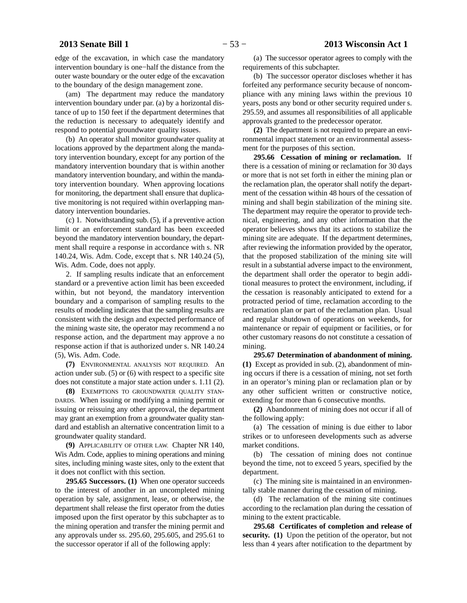edge of the excavation, in which case the mandatory intervention boundary is one−half the distance from the outer waste boundary or the outer edge of the excavation to the boundary of the design management zone.

(am) The department may reduce the mandatory intervention boundary under par. (a) by a horizontal distance of up to 150 feet if the department determines that the reduction is necessary to adequately identify and respond to potential groundwater quality issues.

(b) An operator shall monitor groundwater quality at locations approved by the department along the mandatory intervention boundary, except for any portion of the mandatory intervention boundary that is within another mandatory intervention boundary, and within the mandatory intervention boundary. When approving locations for monitoring, the department shall ensure that duplicative monitoring is not required within overlapping mandatory intervention boundaries.

(c) 1. Notwithstanding sub. (5), if a preventive action limit or an enforcement standard has been exceeded beyond the mandatory intervention boundary, the department shall require a response in accordance with s. NR 140.24, Wis. Adm. Code, except that s. NR 140.24 (5), Wis. Adm. Code, does not apply.

2. If sampling results indicate that an enforcement standard or a preventive action limit has been exceeded within, but not beyond, the mandatory intervention boundary and a comparison of sampling results to the results of modeling indicates that the sampling results are consistent with the design and expected performance of the mining waste site, the operator may recommend a no response action, and the department may approve a no response action if that is authorized under s. NR 140.24 (5), Wis. Adm. Code.

**(7)** ENVIRONMENTAL ANALYSIS NOT REQUIRED. An action under sub. (5) or (6) with respect to a specific site does not constitute a major state action under s. 1.11 (2).

**(8)** EXEMPTIONS TO GROUNDWATER QUALITY STAN-DARDS. When issuing or modifying a mining permit or issuing or reissuing any other approval, the department may grant an exemption from a groundwater quality standard and establish an alternative concentration limit to a groundwater quality standard.

**(9)** APPLICABILITY OF OTHER LAW. Chapter NR 140, Wis Adm. Code, applies to mining operations and mining sites, including mining waste sites, only to the extent that it does not conflict with this section.

**295.65 Successors. (1)** When one operator succeeds to the interest of another in an uncompleted mining operation by sale, assignment, lease, or otherwise, the department shall release the first operator from the duties imposed upon the first operator by this subchapter as to the mining operation and transfer the mining permit and any approvals under ss. 295.60, 295.605, and 295.61 to the successor operator if all of the following apply:

(a) The successor operator agrees to comply with the requirements of this subchapter.

(b) The successor operator discloses whether it has forfeited any performance security because of noncompliance with any mining laws within the previous 10 years, posts any bond or other security required under s. 295.59, and assumes all responsibilities of all applicable approvals granted to the predecessor operator.

**(2)** The department is not required to prepare an environmental impact statement or an environmental assessment for the purposes of this section.

**295.66 Cessation of mining or reclamation.** If there is a cessation of mining or reclamation for 30 days or more that is not set forth in either the mining plan or the reclamation plan, the operator shall notify the department of the cessation within 48 hours of the cessation of mining and shall begin stabilization of the mining site. The department may require the operator to provide technical, engineering, and any other information that the operator believes shows that its actions to stabilize the mining site are adequate. If the department determines, after reviewing the information provided by the operator, that the proposed stabilization of the mining site will result in a substantial adverse impact to the environment, the department shall order the operator to begin additional measures to protect the environment, including, if the cessation is reasonably anticipated to extend for a protracted period of time, reclamation according to the reclamation plan or part of the reclamation plan. Usual and regular shutdown of operations on weekends, for maintenance or repair of equipment or facilities, or for other customary reasons do not constitute a cessation of mining.

**295.67 Determination of abandonment of mining. (1)** Except as provided in sub. (2), abandonment of mining occurs if there is a cessation of mining, not set forth in an operator's mining plan or reclamation plan or by any other sufficient written or constructive notice, extending for more than 6 consecutive months.

**(2)** Abandonment of mining does not occur if all of the following apply:

(a) The cessation of mining is due either to labor strikes or to unforeseen developments such as adverse market conditions.

(b) The cessation of mining does not continue beyond the time, not to exceed 5 years, specified by the department.

(c) The mining site is maintained in an environmentally stable manner during the cessation of mining.

(d) The reclamation of the mining site continues according to the reclamation plan during the cessation of mining to the extent practicable.

**295.68 Certificates of completion and release of security. (1)** Upon the petition of the operator, but not less than 4 years after notification to the department by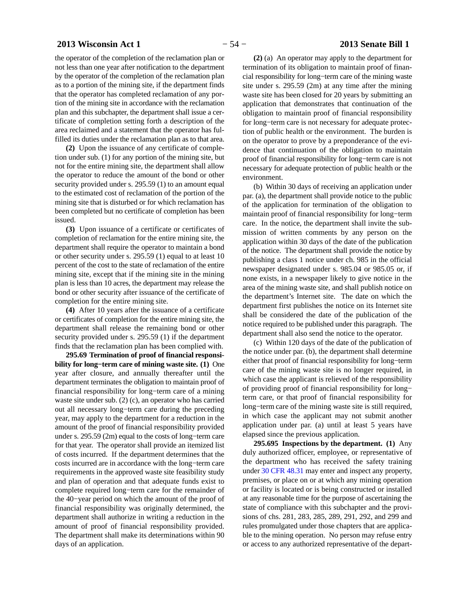# **2013 Wisconsin Act 1** − 54 − **2013 Senate Bill 1**

the operator of the completion of the reclamation plan or not less than one year after notification to the department by the operator of the completion of the reclamation plan as to a portion of the mining site, if the department finds that the operator has completed reclamation of any portion of the mining site in accordance with the reclamation plan and this subchapter, the department shall issue a certificate of completion setting forth a description of the area reclaimed and a statement that the operator has fulfilled its duties under the reclamation plan as to that area.

**(2)** Upon the issuance of any certificate of completion under sub. (1) for any portion of the mining site, but not for the entire mining site, the department shall allow the operator to reduce the amount of the bond or other security provided under s. 295.59 (1) to an amount equal to the estimated cost of reclamation of the portion of the mining site that is disturbed or for which reclamation has been completed but no certificate of completion has been issued.

**(3)** Upon issuance of a certificate or certificates of completion of reclamation for the entire mining site, the department shall require the operator to maintain a bond or other security under s. 295.59 (1) equal to at least 10 percent of the cost to the state of reclamation of the entire mining site, except that if the mining site in the mining plan is less than 10 acres, the department may release the bond or other security after issuance of the certificate of completion for the entire mining site.

**(4)** After 10 years after the issuance of a certificate or certificates of completion for the entire mining site, the department shall release the remaining bond or other security provided under s. 295.59 (1) if the department finds that the reclamation plan has been complied with.

**295.69 Termination of proof of financial responsibility for long−term care of mining waste site. (1)** One year after closure, and annually thereafter until the department terminates the obligation to maintain proof of financial responsibility for long−term care of a mining waste site under sub. (2) (c), an operator who has carried out all necessary long−term care during the preceding year, may apply to the department for a reduction in the amount of the proof of financial responsibility provided under s. 295.59 (2m) equal to the costs of long−term care for that year. The operator shall provide an itemized list of costs incurred. If the department determines that the costs incurred are in accordance with the long−term care requirements in the approved waste site feasibility study and plan of operation and that adequate funds exist to complete required long−term care for the remainder of the 40−year period on which the amount of the proof of financial responsibility was originally determined, the department shall authorize in writing a reduction in the amount of proof of financial responsibility provided. The department shall make its determinations within 90 days of an application.

**(2)** (a) An operator may apply to the department for termination of its obligation to maintain proof of financial responsibility for long−term care of the mining waste site under s. 295.59 (2m) at any time after the mining waste site has been closed for 20 years by submitting an application that demonstrates that continuation of the obligation to maintain proof of financial responsibility for long−term care is not necessary for adequate protection of public health or the environment. The burden is on the operator to prove by a preponderance of the evidence that continuation of the obligation to maintain proof of financial responsibility for long−term care is not necessary for adequate protection of public health or the environment.

(b) Within 30 days of receiving an application under par. (a), the department shall provide notice to the public of the application for termination of the obligation to maintain proof of financial responsibility for long−term care. In the notice, the department shall invite the submission of written comments by any person on the application within 30 days of the date of the publication of the notice. The department shall provide the notice by publishing a class 1 notice under ch. 985 in the official newspaper designated under s. 985.04 or 985.05 or, if none exists, in a newspaper likely to give notice in the area of the mining waste site, and shall publish notice on the department's Internet site. The date on which the department first publishes the notice on its Internet site shall be considered the date of the publication of the notice required to be published under this paragraph. The department shall also send the notice to the operator.

(c) Within 120 days of the date of the publication of the notice under par. (b), the department shall determine either that proof of financial responsibility for long−term care of the mining waste site is no longer required, in which case the applicant is relieved of the responsibility of providing proof of financial responsibility for long− term care, or that proof of financial responsibility for long−term care of the mining waste site is still required, in which case the applicant may not submit another application under par. (a) until at least 5 years have elapsed since the previous application.

**295.695 Inspections by the department. (1)** Any duly authorized officer, employee, or representative of the department who has received the safety training under [30 CFR 48.31](http://docs.legis.wisconsin.gov/document/cfr/30%20CFR%2048.31) may enter and inspect any property, premises, or place on or at which any mining operation or facility is located or is being constructed or installed at any reasonable time for the purpose of ascertaining the state of compliance with this subchapter and the provisions of chs. 281, 283, 285, 289, 291, 292, and 299 and rules promulgated under those chapters that are applicable to the mining operation. No person may refuse entry or access to any authorized representative of the depart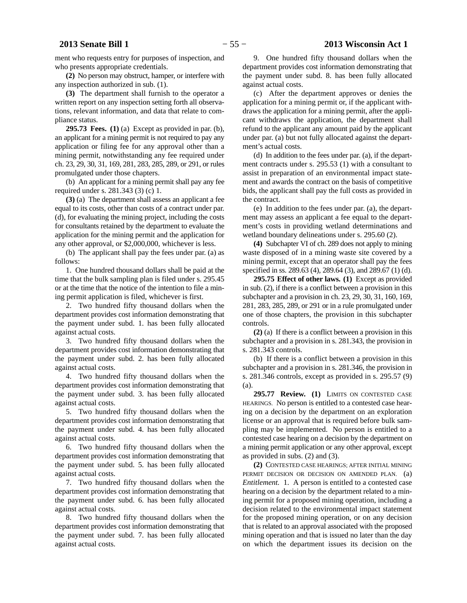ment who requests entry for purposes of inspection, and who presents appropriate credentials.

**(2)** No person may obstruct, hamper, or interfere with any inspection authorized in sub. (1).

**(3)** The department shall furnish to the operator a written report on any inspection setting forth all observations, relevant information, and data that relate to compliance status.

**295.73 Fees. (1)** (a) Except as provided in par. (b), an applicant for a mining permit is not required to pay any application or filing fee for any approval other than a mining permit, notwithstanding any fee required under ch. 23, 29, 30, 31, 169, 281, 283, 285, 289, or 291, or rules promulgated under those chapters.

(b) An applicant for a mining permit shall pay any fee required under s. 281.343 (3) (c) 1.

**(3)** (a) The department shall assess an applicant a fee equal to its costs, other than costs of a contract under par. (d), for evaluating the mining project, including the costs for consultants retained by the department to evaluate the application for the mining permit and the application for any other approval, or \$2,000,000, whichever is less.

(b) The applicant shall pay the fees under par. (a) as follows:

1. One hundred thousand dollars shall be paid at the time that the bulk sampling plan is filed under s. 295.45 or at the time that the notice of the intention to file a mining permit application is filed, whichever is first.

2. Two hundred fifty thousand dollars when the department provides cost information demonstrating that the payment under subd. 1. has been fully allocated against actual costs.

3. Two hundred fifty thousand dollars when the department provides cost information demonstrating that the payment under subd. 2. has been fully allocated against actual costs.

4. Two hundred fifty thousand dollars when the department provides cost information demonstrating that the payment under subd. 3. has been fully allocated against actual costs.

5. Two hundred fifty thousand dollars when the department provides cost information demonstrating that the payment under subd. 4. has been fully allocated against actual costs.

6. Two hundred fifty thousand dollars when the department provides cost information demonstrating that the payment under subd. 5. has been fully allocated against actual costs.

7. Two hundred fifty thousand dollars when the department provides cost information demonstrating that the payment under subd. 6. has been fully allocated against actual costs.

8. Two hundred fifty thousand dollars when the department provides cost information demonstrating that the payment under subd. 7. has been fully allocated against actual costs.

9. One hundred fifty thousand dollars when the department provides cost information demonstrating that the payment under subd. 8. has been fully allocated against actual costs.

(c) After the department approves or denies the application for a mining permit or, if the applicant withdraws the application for a mining permit, after the applicant withdraws the application, the department shall refund to the applicant any amount paid by the applicant under par. (a) but not fully allocated against the department's actual costs.

(d) In addition to the fees under par. (a), if the department contracts under s. 295.53 (1) with a consultant to assist in preparation of an environmental impact statement and awards the contract on the basis of competitive bids, the applicant shall pay the full costs as provided in the contract.

(e) In addition to the fees under par. (a), the department may assess an applicant a fee equal to the department's costs in providing wetland determinations and wetland boundary delineations under s. 295.60 (2).

**(4)** Subchapter VI of ch. 289 does not apply to mining waste disposed of in a mining waste site covered by a mining permit, except that an operator shall pay the fees specified in ss. 289.63 (4), 289.64 (3), and 289.67 (1) (d).

**295.75 Effect of other laws. (1)** Except as provided in sub. (2), if there is a conflict between a provision in this subchapter and a provision in ch. 23, 29, 30, 31, 160, 169, 281, 283, 285, 289, or 291 or in a rule promulgated under one of those chapters, the provision in this subchapter controls.

**(2)** (a) If there is a conflict between a provision in this subchapter and a provision in s. 281.343, the provision in s. 281.343 controls.

(b) If there is a conflict between a provision in this subchapter and a provision in s. 281.346, the provision in s. 281.346 controls, except as provided in s. 295.57 (9) (a).

**295.77 Review. (1)** LIMITS ON CONTESTED CASE HEARINGS. No person is entitled to a contested case hearing on a decision by the department on an exploration license or an approval that is required before bulk sampling may be implemented. No person is entitled to a contested case hearing on a decision by the department on a mining permit application or any other approval, except as provided in subs. (2) and (3).

**(2)** CONTESTED CASE HEARINGS; AFTER INITIAL MINING PERMIT DECISION OR DECISION ON AMENDED PLAN. (a) *Entitlement.* 1. A person is entitled to a contested case hearing on a decision by the department related to a mining permit for a proposed mining operation, including a decision related to the environmental impact statement for the proposed mining operation, or on any decision that is related to an approval associated with the proposed mining operation and that is issued no later than the day on which the department issues its decision on the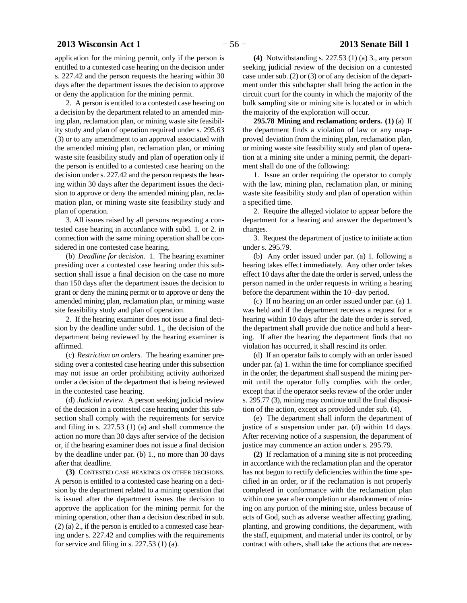application for the mining permit, only if the person is entitled to a contested case hearing on the decision under s. 227.42 and the person requests the hearing within 30 days after the department issues the decision to approve or deny the application for the mining permit.

2. A person is entitled to a contested case hearing on a decision by the department related to an amended mining plan, reclamation plan, or mining waste site feasibility study and plan of operation required under s. 295.63 (3) or to any amendment to an approval associated with the amended mining plan, reclamation plan, or mining waste site feasibility study and plan of operation only if the person is entitled to a contested case hearing on the decision under s. 227.42 and the person requests the hearing within 30 days after the department issues the decision to approve or deny the amended mining plan, reclamation plan, or mining waste site feasibility study and plan of operation.

3. All issues raised by all persons requesting a contested case hearing in accordance with subd. 1. or 2. in connection with the same mining operation shall be considered in one contested case hearing.

(b) *Deadline for decision.* 1. The hearing examiner presiding over a contested case hearing under this subsection shall issue a final decision on the case no more than 150 days after the department issues the decision to grant or deny the mining permit or to approve or deny the amended mining plan, reclamation plan, or mining waste site feasibility study and plan of operation.

2. If the hearing examiner does not issue a final decision by the deadline under subd. 1., the decision of the department being reviewed by the hearing examiner is affirmed.

(c) *Restriction on orders.* The hearing examiner presiding over a contested case hearing under this subsection may not issue an order prohibiting activity authorized under a decision of the department that is being reviewed in the contested case hearing.

(d) *Judicial review.* A person seeking judicial review of the decision in a contested case hearing under this subsection shall comply with the requirements for service and filing in s. 227.53 (1) (a) and shall commence the action no more than 30 days after service of the decision or, if the hearing examiner does not issue a final decision by the deadline under par. (b) 1., no more than 30 days after that deadline.

**(3)** CONTESTED CASE HEARINGS ON OTHER DECISIONS. A person is entitled to a contested case hearing on a decision by the department related to a mining operation that is issued after the department issues the decision to approve the application for the mining permit for the mining operation, other than a decision described in sub. (2) (a) 2., if the person is entitled to a contested case hearing under s. 227.42 and complies with the requirements for service and filing in s.  $227.53$  (1) (a).

**(4)** Notwithstanding s. 227.53 (1) (a) 3., any person seeking judicial review of the decision on a contested case under sub. (2) or (3) or of any decision of the department under this subchapter shall bring the action in the circuit court for the county in which the majority of the bulk sampling site or mining site is located or in which the majority of the exploration will occur.

**295.78 Mining and reclamation; orders. (1)** (a) If the department finds a violation of law or any unapproved deviation from the mining plan, reclamation plan, or mining waste site feasibility study and plan of operation at a mining site under a mining permit, the department shall do one of the following:

1. Issue an order requiring the operator to comply with the law, mining plan, reclamation plan, or mining waste site feasibility study and plan of operation within a specified time.

2. Require the alleged violator to appear before the department for a hearing and answer the department's charges.

3. Request the department of justice to initiate action under s. 295.79.

(b) Any order issued under par. (a) 1. following a hearing takes effect immediately. Any other order takes effect 10 days after the date the order is served, unless the person named in the order requests in writing a hearing before the department within the 10−day period.

(c) If no hearing on an order issued under par. (a) 1. was held and if the department receives a request for a hearing within 10 days after the date the order is served, the department shall provide due notice and hold a hearing. If after the hearing the department finds that no violation has occurred, it shall rescind its order.

(d) If an operator fails to comply with an order issued under par. (a) 1. within the time for compliance specified in the order, the department shall suspend the mining permit until the operator fully complies with the order, except that if the operator seeks review of the order under s. 295.77 (3), mining may continue until the final disposition of the action, except as provided under sub. (4).

(e) The department shall inform the department of justice of a suspension under par. (d) within 14 days. After receiving notice of a suspension, the department of justice may commence an action under s. 295.79.

**(2)** If reclamation of a mining site is not proceeding in accordance with the reclamation plan and the operator has not begun to rectify deficiencies within the time specified in an order, or if the reclamation is not properly completed in conformance with the reclamation plan within one year after completion or abandonment of mining on any portion of the mining site, unless because of acts of God, such as adverse weather affecting grading, planting, and growing conditions, the department, with the staff, equipment, and material under its control, or by contract with others, shall take the actions that are neces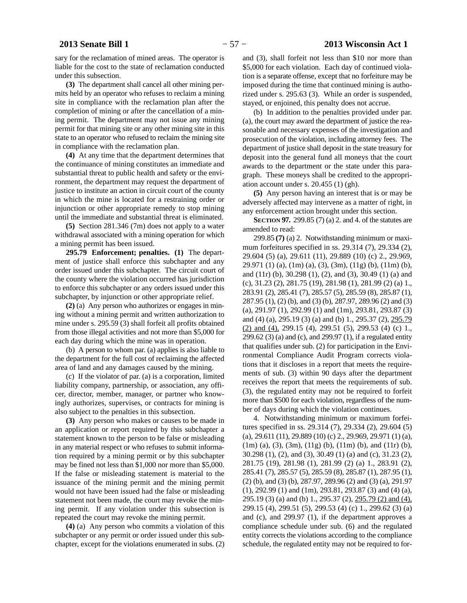sary for the reclamation of mined areas. The operator is liable for the cost to the state of reclamation conducted under this subsection.

**(3)** The department shall cancel all other mining permits held by an operator who refuses to reclaim a mining site in compliance with the reclamation plan after the completion of mining or after the cancellation of a mining permit. The department may not issue any mining permit for that mining site or any other mining site in this state to an operator who refused to reclaim the mining site in compliance with the reclamation plan.

**(4)** At any time that the department determines that the continuance of mining constitutes an immediate and substantial threat to public health and safety or the environment, the department may request the department of justice to institute an action in circuit court of the county in which the mine is located for a restraining order or injunction or other appropriate remedy to stop mining until the immediate and substantial threat is eliminated.

**(5)** Section 281.346 (7m) does not apply to a water withdrawal associated with a mining operation for which a mining permit has been issued.

**295.79 Enforcement; penalties. (1)** The department of justice shall enforce this subchapter and any order issued under this subchapter. The circuit court of the county where the violation occurred has jurisdiction to enforce this subchapter or any orders issued under this subchapter, by injunction or other appropriate relief.

**(2)** (a) Any person who authorizes or engages in mining without a mining permit and written authorization to mine under s. 295.59 (3) shall forfeit all profits obtained from those illegal activities and not more than \$5,000 for each day during which the mine was in operation.

(b) A person to whom par. (a) applies is also liable to the department for the full cost of reclaiming the affected area of land and any damages caused by the mining.

(c) If the violator of par. (a) is a corporation, limited liability company, partnership, or association, any officer, director, member, manager, or partner who knowingly authorizes, supervises, or contracts for mining is also subject to the penalties in this subsection.

**(3)** Any person who makes or causes to be made in an application or report required by this subchapter a statement known to the person to be false or misleading in any material respect or who refuses to submit information required by a mining permit or by this subchapter may be fined not less than \$1,000 nor more than \$5,000. If the false or misleading statement is material to the issuance of the mining permit and the mining permit would not have been issued had the false or misleading statement not been made, the court may revoke the mining permit. If any violation under this subsection is repeated the court may revoke the mining permit.

**(4)** (a) Any person who commits a violation of this subchapter or any permit or order issued under this subchapter, except for the violations enumerated in subs. (2) and (3), shall forfeit not less than \$10 nor more than \$5,000 for each violation. Each day of continued violation is a separate offense, except that no forfeiture may be imposed during the time that continued mining is authorized under s. 295.63 (3). While an order is suspended, stayed, or enjoined, this penalty does not accrue.

(b) In addition to the penalties provided under par. (a), the court may award the department of justice the reasonable and necessary expenses of the investigation and prosecution of the violation, including attorney fees. The department of justice shall deposit in the state treasury for deposit into the general fund all moneys that the court awards to the department or the state under this paragraph. These moneys shall be credited to the appropriation account under s. 20.455 (1) (gh).

**(5)** Any person having an interest that is or may be adversely affected may intervene as a matter of right, in any enforcement action brought under this section.

**SECTION 97.** 299.85 (7) (a) 2. and 4. of the statutes are amended to read:

299.85 **(7)** (a) 2. Notwithstanding minimum or maximum forfeitures specified in ss. 29.314 (7), 29.334 (2), 29.604 (5) (a), 29.611 (11), 29.889 (10) (c) 2., 29.969, 29.971 (1) (a), (1m) (a), (3), (3m), (11g) (b), (11m) (b), and (11r) (b), 30.298 (1), (2), and (3), 30.49 (1) (a) and (c), 31.23 (2), 281.75 (19), 281.98 (1), 281.99 (2) (a) 1., 283.91 (2), 285.41 (7), 285.57 (5), 285.59 (8), 285.87 (1), 287.95 (1), (2) (b), and (3) (b), 287.97, 289.96 (2) and (3) (a), 291.97 (1), 292.99 (1) and (1m), 293.81, 293.87 (3) and (4) (a), 295.19 (3) (a) and (b) 1., 295.37 (2), 295.79  $(2)$  and  $(4)$ , 299.15  $(4)$ , 299.51  $(5)$ , 299.53  $(4)$   $(c)$  1., 299.62 (3) (a) and (c), and 299.97 (1), if a regulated entity that qualifies under sub. (2) for participation in the Environmental Compliance Audit Program corrects violations that it discloses in a report that meets the requirements of sub. (3) within 90 days after the department receives the report that meets the requirements of sub. (3), the regulated entity may not be required to forfeit more than \$500 for each violation, regardless of the number of days during which the violation continues.

4. Notwithstanding minimum or maximum forfeitures specified in ss. 29.314 (7), 29.334 (2), 29.604 (5) (a), 29.611 (11), 29.889 (10) (c) 2., 29.969, 29.971 (1) (a), (1m) (a), (3), (3m), (11g) (b), (11m) (b), and (11r) (b), 30.298 (1), (2), and (3), 30.49 (1) (a) and (c), 31.23 (2), 281.75 (19), 281.98 (1), 281.99 (2) (a) 1., 283.91 (2), 285.41 (7), 285.57 (5), 285.59 (8), 285.87 (1), 287.95 (1), (2) (b), and (3) (b), 287.97, 289.96 (2) and (3) (a), 291.97 (1), 292.99 (1) and (1m), 293.81, 293.87 (3) and (4) (a), 295.19 (3) (a) and (b) 1., 295.37 (2), 295.79 (2) and (4), 299.15 (4), 299.51 (5), 299.53 (4) (c) 1., 299.62 (3) (a) and (c), and 299.97 (1), if the department approves a compliance schedule under sub. (6) and the regulated entity corrects the violations according to the compliance schedule, the regulated entity may not be required to for